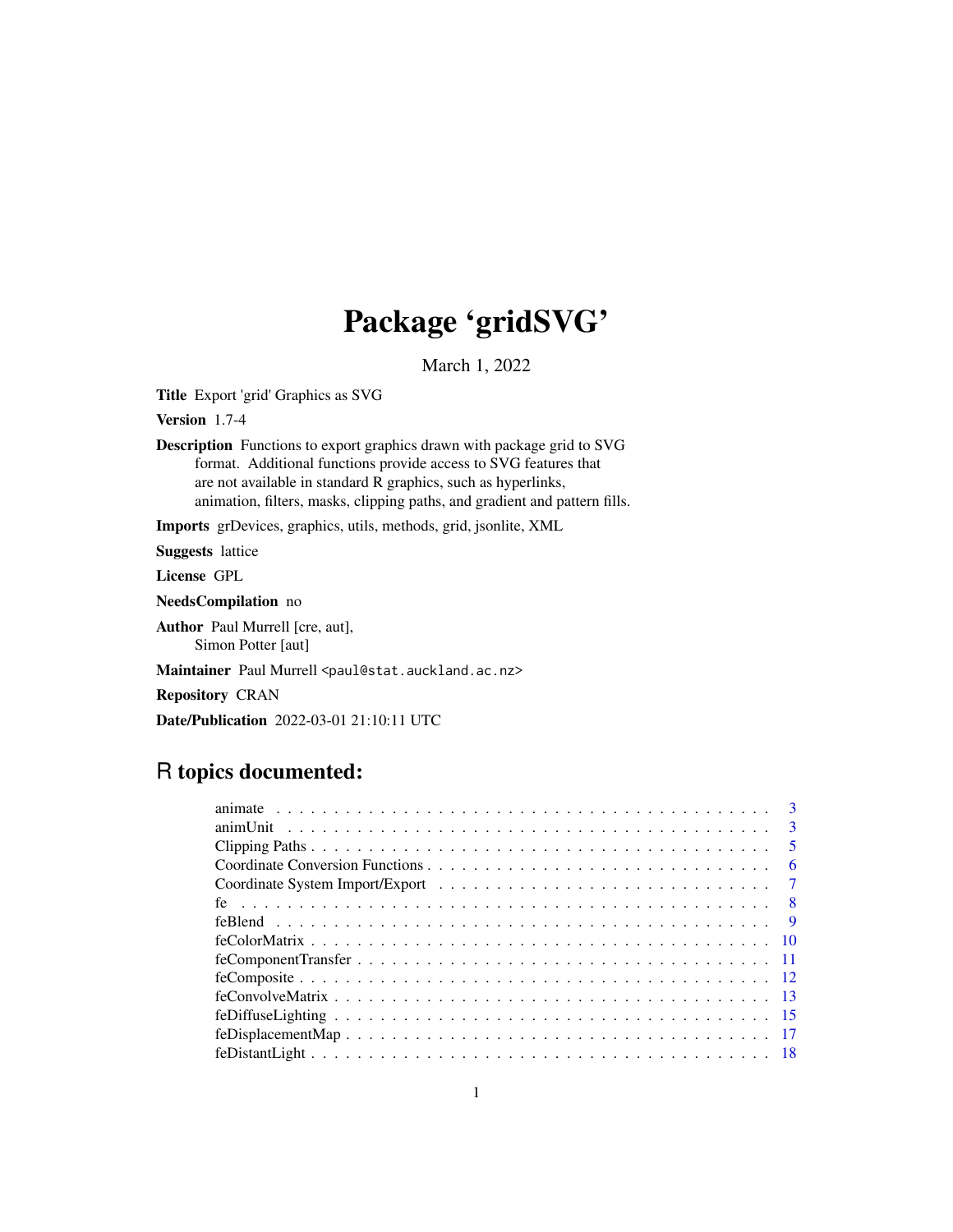# Package 'gridSVG'

March 1, 2022

<span id="page-0-0"></span>Title Export 'grid' Graphics as SVG

Version 1.7-4

Description Functions to export graphics drawn with package grid to SVG format. Additional functions provide access to SVG features that are not available in standard R graphics, such as hyperlinks, animation, filters, masks, clipping paths, and gradient and pattern fills.

Imports grDevices, graphics, utils, methods, grid, jsonlite, XML

Suggests lattice

License GPL

NeedsCompilation no

Author Paul Murrell [cre, aut], Simon Potter [aut]

Maintainer Paul Murrell <paul@stat.auckland.ac.nz>

Repository CRAN

Date/Publication 2022-03-01 21:10:11 UTC

# R topics documented:

| $\overline{\phantom{0}}$ 5 |
|----------------------------|
| -6                         |
| $\overline{7}$             |
|                            |
|                            |
|                            |
|                            |
|                            |
|                            |
|                            |
|                            |
|                            |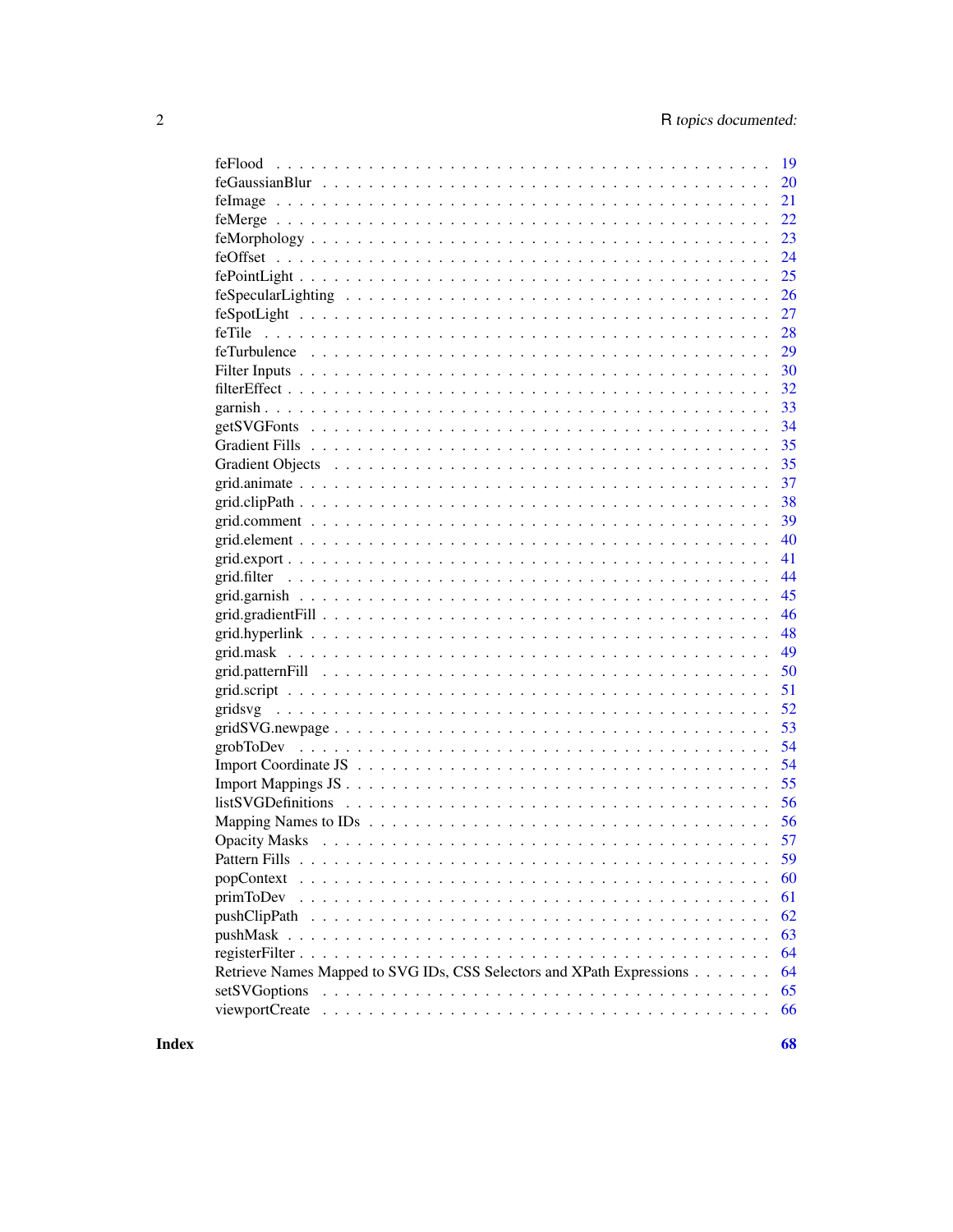| feFlood                                                               | 19       |
|-----------------------------------------------------------------------|----------|
|                                                                       | 20       |
|                                                                       | 21       |
|                                                                       | 22       |
|                                                                       | 23       |
|                                                                       | 24       |
|                                                                       | 25       |
|                                                                       | 26       |
|                                                                       | 27       |
| feTile                                                                | 28       |
|                                                                       | 29       |
|                                                                       | 30       |
|                                                                       | 32       |
|                                                                       | 33       |
|                                                                       | 34       |
|                                                                       | 35       |
|                                                                       | 35       |
|                                                                       | 37       |
|                                                                       | 38       |
|                                                                       | 39       |
|                                                                       | 40       |
|                                                                       | 41       |
|                                                                       | 44       |
|                                                                       | 45       |
|                                                                       | 46       |
|                                                                       | 48       |
|                                                                       | 49       |
|                                                                       | 50       |
|                                                                       | 51       |
| gridsvg                                                               | 52       |
|                                                                       | 53       |
|                                                                       | 54       |
|                                                                       | 54       |
|                                                                       | 55       |
|                                                                       | 56       |
|                                                                       | 56       |
|                                                                       |          |
|                                                                       | 57       |
| Pattern Fills                                                         | 59       |
| popContext                                                            | 60       |
| primToDev                                                             | 61       |
|                                                                       | 62       |
| $pushMask \dots$                                                      | 63       |
|                                                                       | 64       |
| Retrieve Names Mapped to SVG IDs, CSS Selectors and XPath Expressions |          |
|                                                                       | 64       |
| setSVGoptions<br>viewportCreate                                       | 65<br>66 |

**Index**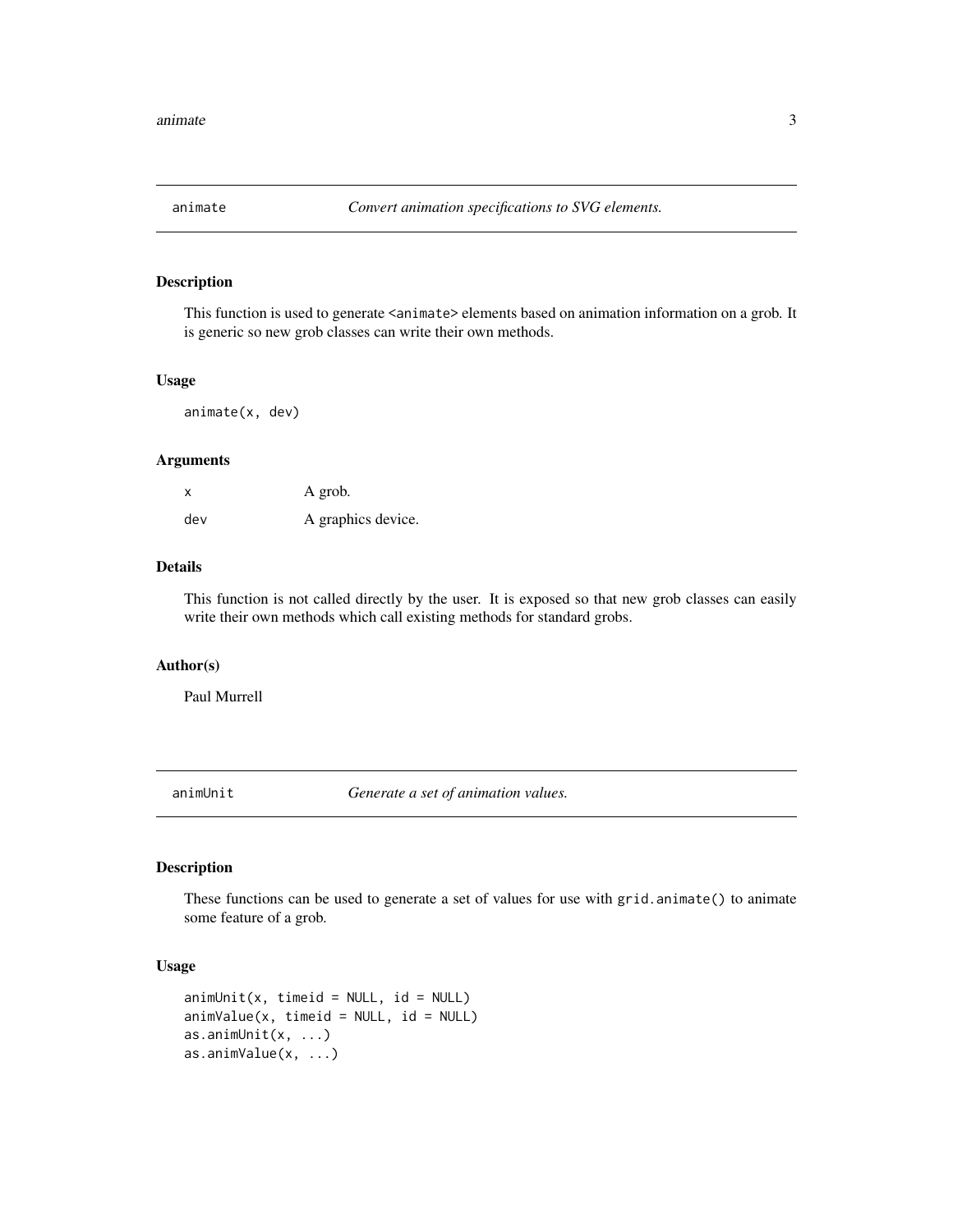<span id="page-2-0"></span>

This function is used to generate <animate> elements based on animation information on a grob. It is generic so new grob classes can write their own methods.

#### Usage

animate(x, dev)

# Arguments

| X   | A grob.            |
|-----|--------------------|
| dev | A graphics device. |

#### Details

This function is not called directly by the user. It is exposed so that new grob classes can easily write their own methods which call existing methods for standard grobs.

# Author(s)

Paul Murrell

animUnit *Generate a set of animation values.*

# Description

These functions can be used to generate a set of values for use with grid.animate() to animate some feature of a grob.

# Usage

```
animUnit(x, timeid = NULL, id = NULL)animValue(x, timeid = NULL, id = NULL)as.animUnit(x, ...)
as.animValue(x, ...)
```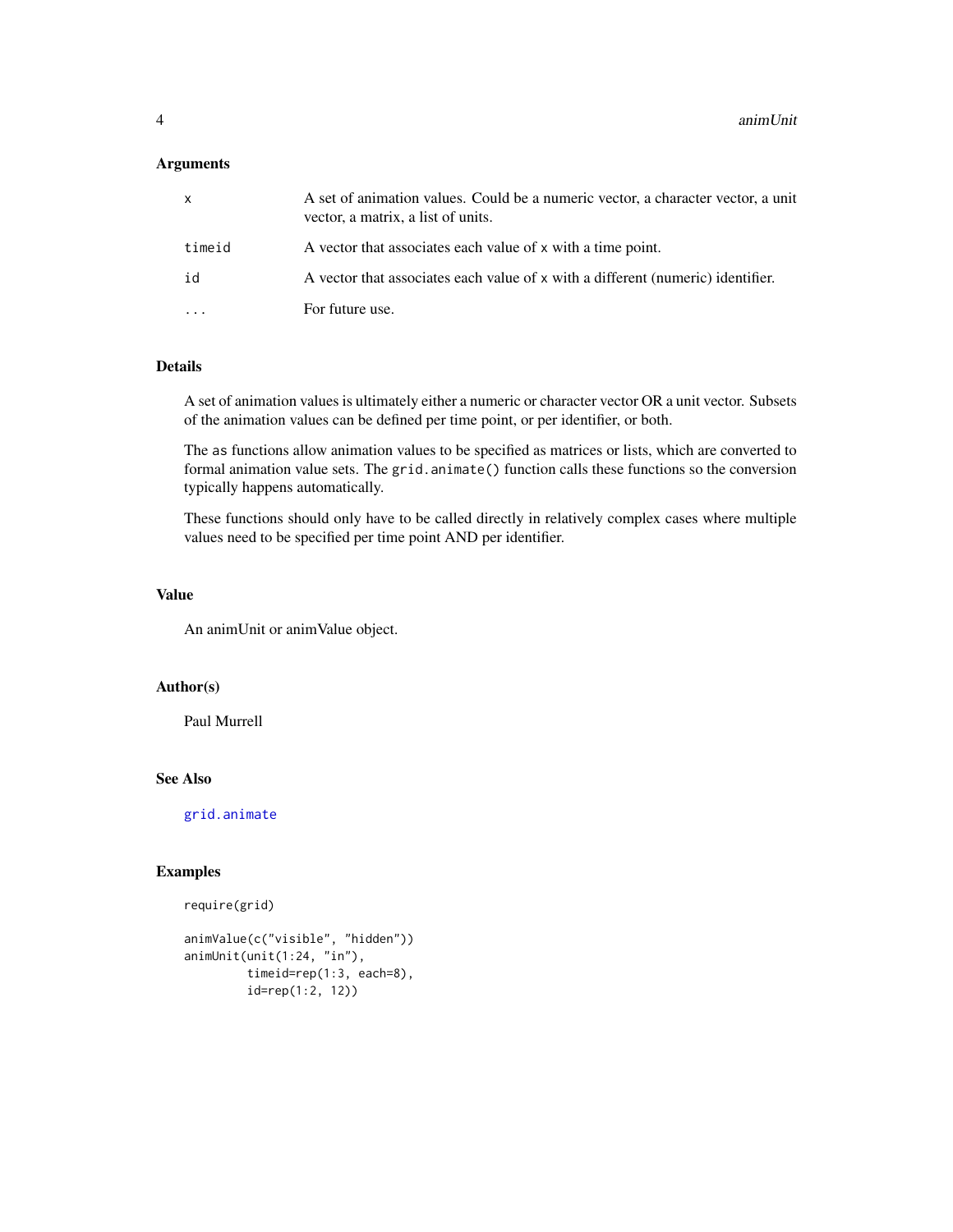# <span id="page-3-0"></span>Arguments

| x      | A set of animation values. Could be a numeric vector, a character vector, a unit<br>vector, a matrix, a list of units. |
|--------|------------------------------------------------------------------------------------------------------------------------|
| timeid | A vector that associates each value of x with a time point.                                                            |
| id     | A vector that associates each value of x with a different (numeric) identifier.                                        |
| .      | For future use.                                                                                                        |
|        |                                                                                                                        |

#### Details

A set of animation values is ultimately either a numeric or character vector OR a unit vector. Subsets of the animation values can be defined per time point, or per identifier, or both.

The as functions allow animation values to be specified as matrices or lists, which are converted to formal animation value sets. The grid.animate() function calls these functions so the conversion typically happens automatically.

These functions should only have to be called directly in relatively complex cases where multiple values need to be specified per time point AND per identifier.

#### Value

An animUnit or animValue object.

# Author(s)

Paul Murrell

# See Also

[grid.animate](#page-36-1)

# Examples

```
require(grid)
```

```
animValue(c("visible", "hidden"))
animUnit(unit(1:24, "in"),
        timeid=rep(1:3, each=8),
        id=rep(1:2, 12))
```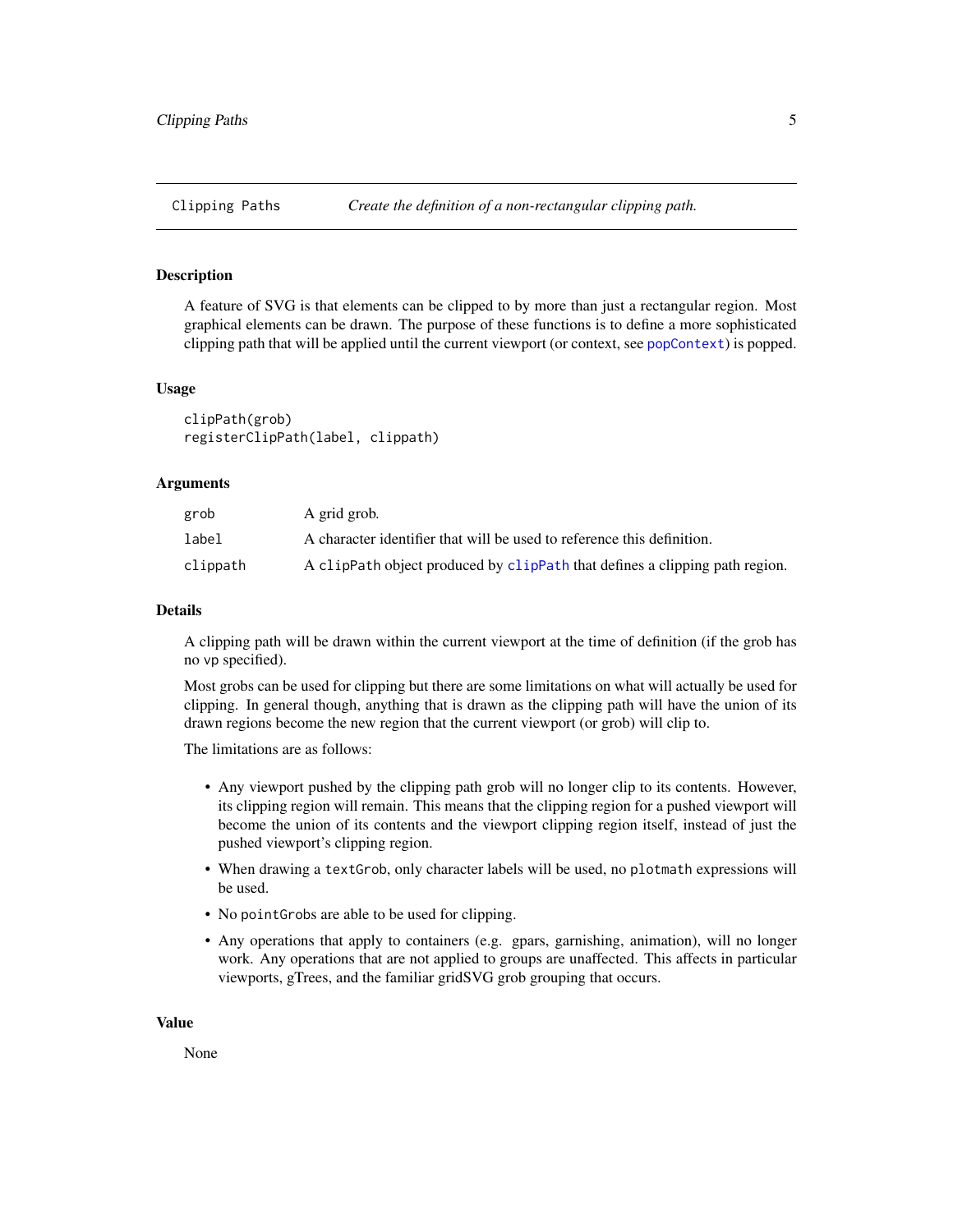<span id="page-4-1"></span><span id="page-4-0"></span>A feature of SVG is that elements can be clipped to by more than just a rectangular region. Most graphical elements can be drawn. The purpose of these functions is to define a more sophisticated clipping path that will be applied until the current viewport (or context, see [popContext](#page-59-1)) is popped.

#### Usage

clipPath(grob) registerClipPath(label, clippath)

#### Arguments

| grob     | A grid grob.                                                                |
|----------|-----------------------------------------------------------------------------|
| label    | A character identifier that will be used to reference this definition.      |
| clippath | A clipPath object produced by clipPath that defines a clipping path region. |

#### Details

A clipping path will be drawn within the current viewport at the time of definition (if the grob has no vp specified).

Most grobs can be used for clipping but there are some limitations on what will actually be used for clipping. In general though, anything that is drawn as the clipping path will have the union of its drawn regions become the new region that the current viewport (or grob) will clip to.

The limitations are as follows:

- Any viewport pushed by the clipping path grob will no longer clip to its contents. However, its clipping region will remain. This means that the clipping region for a pushed viewport will become the union of its contents and the viewport clipping region itself, instead of just the pushed viewport's clipping region.
- When drawing a textGrob, only character labels will be used, no plotmath expressions will be used.
- No pointGrobs are able to be used for clipping.
- Any operations that apply to containers (e.g. gpars, garnishing, animation), will no longer work. Any operations that are not applied to groups are unaffected. This affects in particular viewports, gTrees, and the familiar gridSVG grob grouping that occurs.

#### Value

None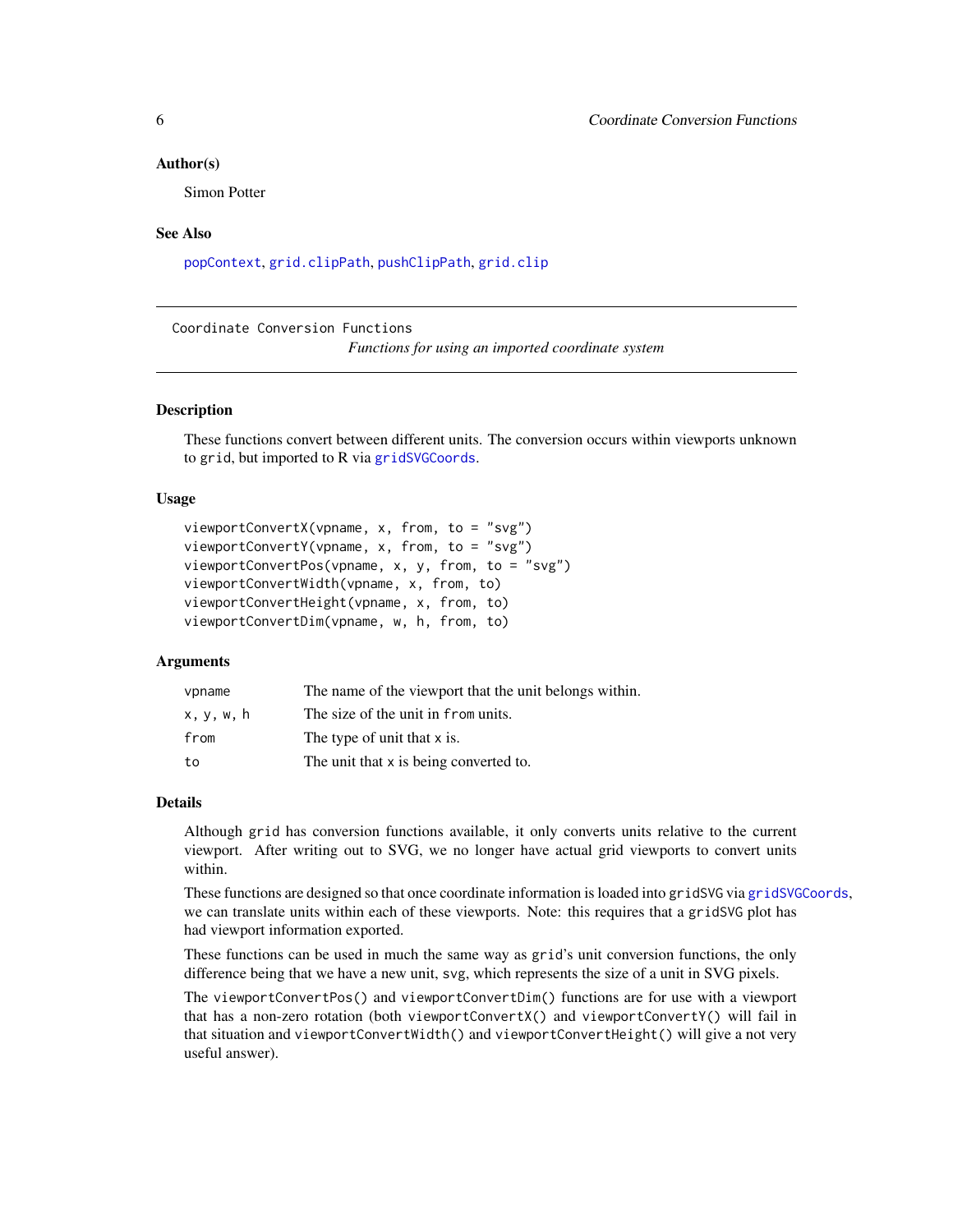#### <span id="page-5-0"></span>Author(s)

Simon Potter

#### See Also

[popContext](#page-59-1), [grid.clipPath](#page-37-1), [pushClipPath](#page-61-1), [grid.clip](#page-0-0)

Coordinate Conversion Functions

*Functions for using an imported coordinate system*

# **Description**

These functions convert between different units. The conversion occurs within viewports unknown to grid, but imported to R via [gridSVGCoords](#page-6-1).

#### Usage

```
viewportConvertX(vpname, x, from, to = "svg")
viewportConvertY(vpname, x, from, to = "svg")
viewportConvertPos(vpname, x, y, from, to = "svg")
viewportConvertWidth(vpname, x, from, to)
viewportConvertHeight(vpname, x, from, to)
viewportConvertDim(vpname, w, h, from, to)
```
#### Arguments

| vpname     | The name of the viewport that the unit belongs within. |
|------------|--------------------------------------------------------|
| x, y, w, h | The size of the unit in from units.                    |
| from       | The type of unit that x is.                            |
| to         | The unit that x is being converted to.                 |

#### Details

Although grid has conversion functions available, it only converts units relative to the current viewport. After writing out to SVG, we no longer have actual grid viewports to convert units within.

These functions are designed so that once coordinate information is loaded into gridSVG via [gridSVGCoords](#page-6-1), we can translate units within each of these viewports. Note: this requires that a gridSVG plot has had viewport information exported.

These functions can be used in much the same way as grid's unit conversion functions, the only difference being that we have a new unit, svg, which represents the size of a unit in SVG pixels.

The viewportConvertPos() and viewportConvertDim() functions are for use with a viewport that has a non-zero rotation (both viewportConvertX() and viewportConvertY() will fail in that situation and viewportConvertWidth() and viewportConvertHeight() will give a not very useful answer).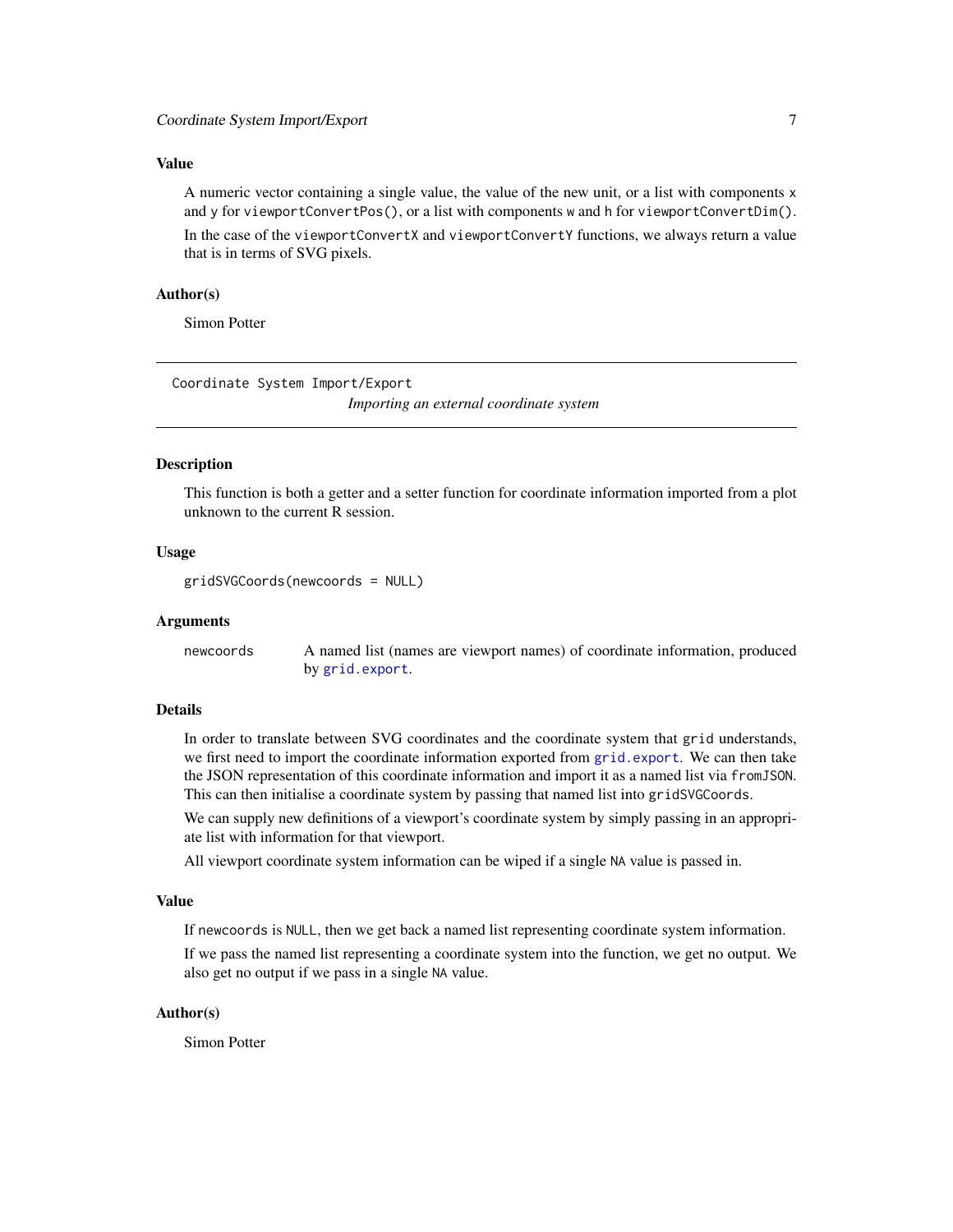# <span id="page-6-0"></span>Value

A numeric vector containing a single value, the value of the new unit, or a list with components x and y for viewportConvertPos(), or a list with components w and h for viewportConvertDim().

In the case of the viewportConvertX and viewportConvertY functions, we always return a value that is in terms of SVG pixels.

#### Author(s)

Simon Potter

Coordinate System Import/Export *Importing an external coordinate system*

#### <span id="page-6-1"></span>Description

This function is both a getter and a setter function for coordinate information imported from a plot unknown to the current R session.

#### Usage

gridSVGCoords(newcoords = NULL)

#### Arguments

newcoords A named list (names are viewport names) of coordinate information, produced by [grid.export](#page-40-1).

#### Details

In order to translate between SVG coordinates and the coordinate system that grid understands, we first need to import the coordinate information exported from [grid.export](#page-40-1). We can then take the JSON representation of this coordinate information and import it as a named list via fromJSON. This can then initialise a coordinate system by passing that named list into gridSVGCoords.

We can supply new definitions of a viewport's coordinate system by simply passing in an appropriate list with information for that viewport.

All viewport coordinate system information can be wiped if a single NA value is passed in.

#### Value

If newcoords is NULL, then we get back a named list representing coordinate system information.

If we pass the named list representing a coordinate system into the function, we get no output. We also get no output if we pass in a single NA value.

#### Author(s)

Simon Potter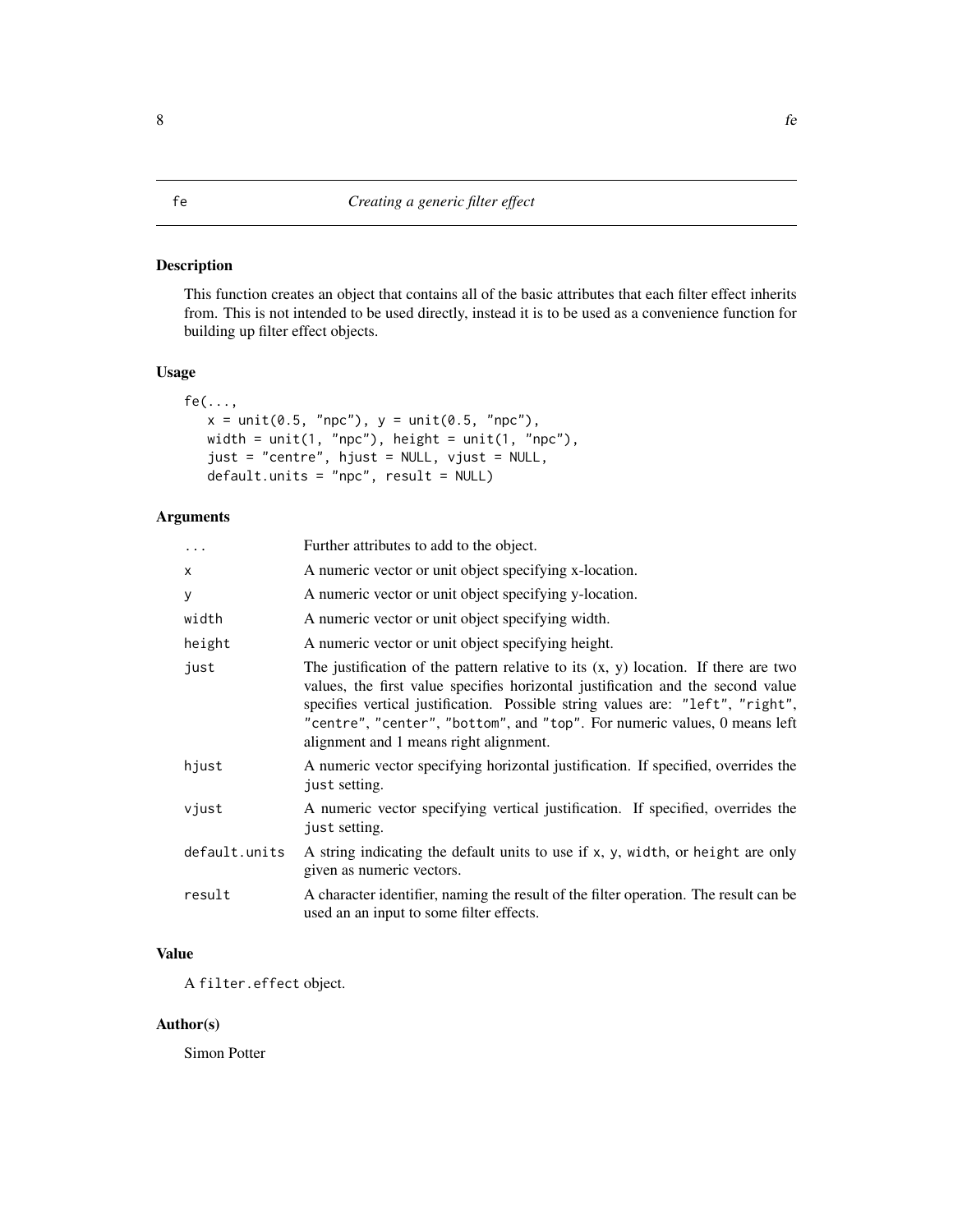<span id="page-7-1"></span><span id="page-7-0"></span>This function creates an object that contains all of the basic attributes that each filter effect inherits from. This is not intended to be used directly, instead it is to be used as a convenience function for building up filter effect objects.

# Usage

```
fe(\ldots,x = unit(0.5, "npc"), y = unit(0.5, "npc"),width = unit(1, "npc"), height = unit(1, "npc"),
  just = "centre", hjust = NULL, vjust = NULL,
  default.units = "npc", result = NULL)
```
# Arguments

| $\ddots$      | Further attributes to add to the object.                                                                                                                                                                                                                                                                                                                                         |
|---------------|----------------------------------------------------------------------------------------------------------------------------------------------------------------------------------------------------------------------------------------------------------------------------------------------------------------------------------------------------------------------------------|
| X             | A numeric vector or unit object specifying x-location.                                                                                                                                                                                                                                                                                                                           |
| У             | A numeric vector or unit object specifying y-location.                                                                                                                                                                                                                                                                                                                           |
| width         | A numeric vector or unit object specifying width.                                                                                                                                                                                                                                                                                                                                |
| height        | A numeric vector or unit object specifying height.                                                                                                                                                                                                                                                                                                                               |
| just          | The justification of the pattern relative to its $(x, y)$ location. If there are two<br>values, the first value specifies horizontal justification and the second value<br>specifies vertical justification. Possible string values are: "left", "right",<br>"centre", "center", "bottom", and "top". For numeric values, 0 means left<br>alignment and 1 means right alignment. |
| hjust         | A numeric vector specifying horizontal justification. If specified, overrides the<br>just setting.                                                                                                                                                                                                                                                                               |
| vjust         | A numeric vector specifying vertical justification. If specified, overrides the<br>just setting.                                                                                                                                                                                                                                                                                 |
| default.units | A string indicating the default units to use if x, y, width, or height are only<br>given as numeric vectors.                                                                                                                                                                                                                                                                     |
| result        | A character identifier, naming the result of the filter operation. The result can be<br>used an an input to some filter effects.                                                                                                                                                                                                                                                 |

# Value

A filter.effect object.

# Author(s)

Simon Potter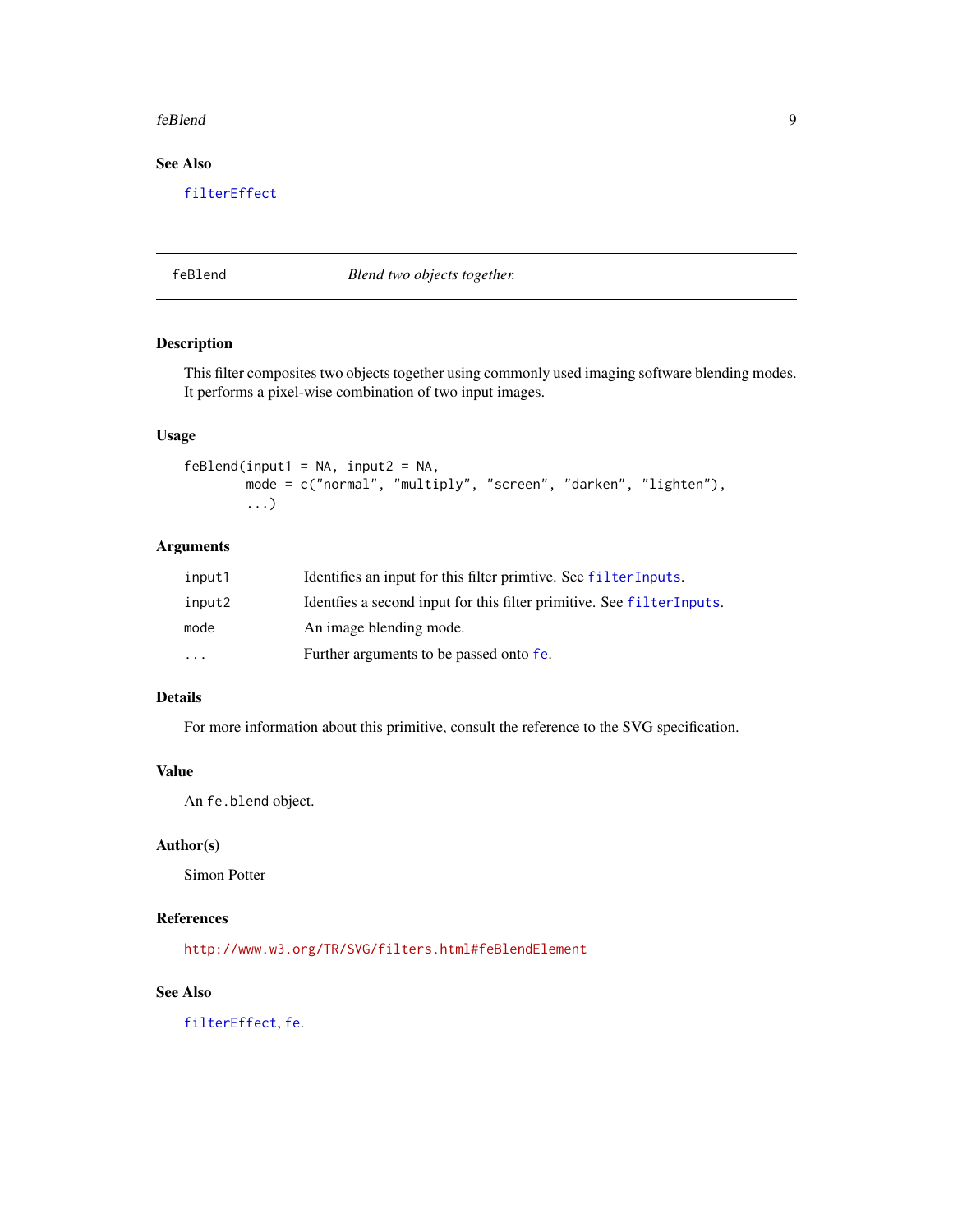#### <span id="page-8-0"></span>feBlend 9

# See Also

[filterEffect](#page-31-1)

# feBlend *Blend two objects together.*

# Description

This filter composites two objects together using commonly used imaging software blending modes. It performs a pixel-wise combination of two input images.

# Usage

 $f eBlend(input1 = NA, input2 = NA,$ mode = c("normal", "multiply", "screen", "darken", "lighten"), ...)

# Arguments

| input1   | Identifies an input for this filter primitive. See filter Inputs.      |
|----------|------------------------------------------------------------------------|
| input2   | Identifies a second input for this filter primitive. See filterInputs. |
| mode     | An image blending mode.                                                |
| $\cdots$ | Further arguments to be passed onto fe.                                |

# Details

For more information about this primitive, consult the reference to the SVG specification.

# Value

An fe.blend object.

# Author(s)

Simon Potter

# References

<http://www.w3.org/TR/SVG/filters.html#feBlendElement>

# See Also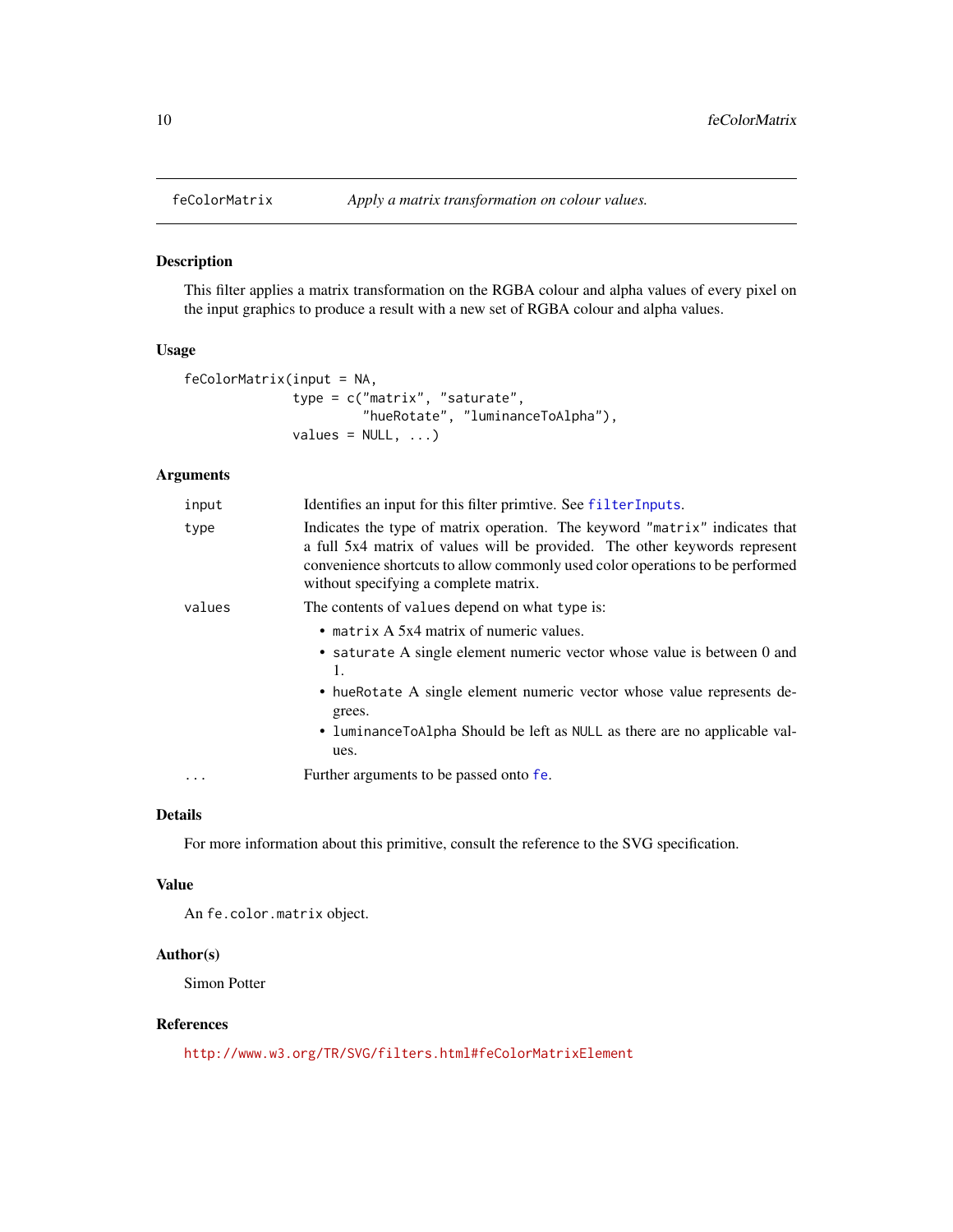<span id="page-9-0"></span>

This filter applies a matrix transformation on the RGBA colour and alpha values of every pixel on the input graphics to produce a result with a new set of RGBA colour and alpha values.

# Usage

```
feColorMatrix(input = NA,
              type = c("matrix", "saturate",
                       "hueRotate", "luminanceToAlpha"),
              values = NULL, ...)
```
# Arguments

| input  | Identifies an input for this filter primitive. See filter Inputs.                                                                                                                                                                                                                                       |
|--------|---------------------------------------------------------------------------------------------------------------------------------------------------------------------------------------------------------------------------------------------------------------------------------------------------------|
| type   | Indicates the type of matrix operation. The keyword "matrix" indicates that<br>a full 5x4 matrix of values will be provided. The other keywords represent<br>convenience shortcuts to allow commonly used color operations to be performed<br>without specifying a complete matrix.                     |
| values | The contents of values depend on what type is:                                                                                                                                                                                                                                                          |
|        | • matrix $A$ 5x4 matrix of numeric values.<br>• saturate A single element numeric vector whose value is between 0 and<br>1.<br>• hue Rotate A single element numeric vector whose value represents de-<br>grees.<br>• luminance To Alpha Should be left as NULL as there are no applicable val-<br>ues. |
| .      | Further arguments to be passed onto fe.                                                                                                                                                                                                                                                                 |

# Details

For more information about this primitive, consult the reference to the SVG specification.

#### Value

An fe.color.matrix object.

# Author(s)

Simon Potter

### References

<http://www.w3.org/TR/SVG/filters.html#feColorMatrixElement>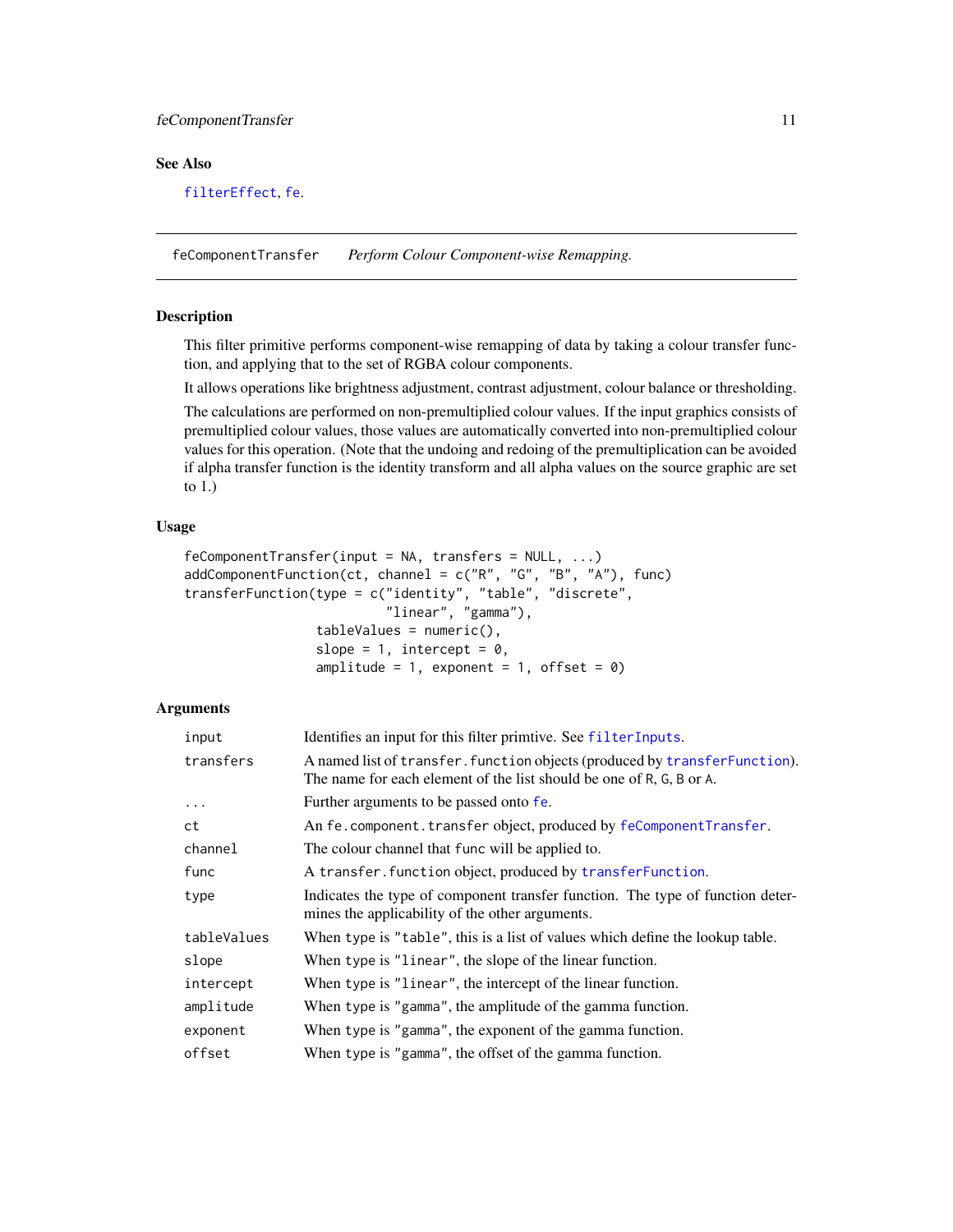# <span id="page-10-0"></span>feComponentTransfer 11

# See Also

[filterEffect](#page-31-1), [fe](#page-7-1).

<span id="page-10-2"></span>feComponentTransfer *Perform Colour Component-wise Remapping.*

# <span id="page-10-1"></span>**Description**

This filter primitive performs component-wise remapping of data by taking a colour transfer function, and applying that to the set of RGBA colour components.

It allows operations like brightness adjustment, contrast adjustment, colour balance or thresholding.

The calculations are performed on non-premultiplied colour values. If the input graphics consists of premultiplied colour values, those values are automatically converted into non-premultiplied colour values for this operation. (Note that the undoing and redoing of the premultiplication can be avoided if alpha transfer function is the identity transform and all alpha values on the source graphic are set to 1.)

#### Usage

```
feComponentTransfer(input = NA, transfers = NULL, ...)
addComponentFunction(ct, channel = c("R", "G", "B", "A"), func)transferFunction(type = c("identity", "table", "discrete",
                          "linear", "gamma"),
                 tableValues = numeric(),
                 slope = 1, intercept = 0,
                 amplitude = 1, exponent = 1, offset = 0)
```

| input       | Identifies an input for this filter primitive. See filterInputs.                                                                                   |
|-------------|----------------------------------------------------------------------------------------------------------------------------------------------------|
| transfers   | A named list of transfer. function objects (produced by transferFunction).<br>The name for each element of the list should be one of R, G, B or A. |
| $\cdots$    | Further arguments to be passed onto fe.                                                                                                            |
| ct          | An fe. component. transfer object, produced by feComponentTransfer.                                                                                |
| channel     | The colour channel that func will be applied to.                                                                                                   |
| func        | A transfer. function object, produced by transferFunction.                                                                                         |
| type        | Indicates the type of component transfer function. The type of function deter-<br>mines the applicability of the other arguments.                  |
| tableValues | When type is "table", this is a list of values which define the lookup table.                                                                      |
| slope       | When type is "linear", the slope of the linear function.                                                                                           |
| intercept   | When type is "linear", the intercept of the linear function.                                                                                       |
| amplitude   | When type is "gamma", the amplitude of the gamma function.                                                                                         |
| exponent    | When type is "gamma", the exponent of the gamma function.                                                                                          |
| offset      | When type is "gamma", the offset of the gamma function.                                                                                            |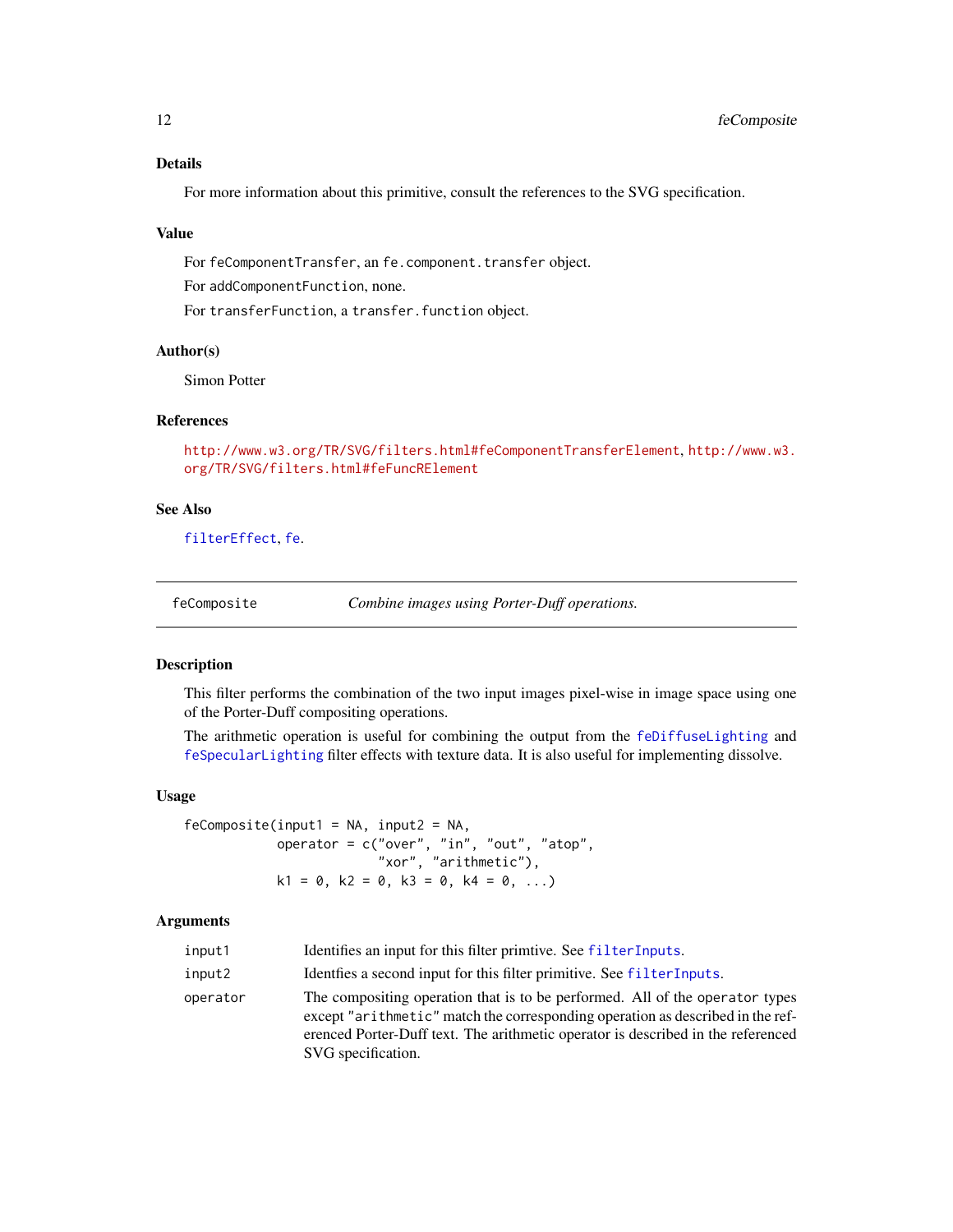# Details

For more information about this primitive, consult the references to the SVG specification.

#### Value

For feComponentTransfer, an fe.component.transfer object.

For addComponentFunction, none.

For transferFunction, a transfer. function object.

# Author(s)

Simon Potter

# References

<http://www.w3.org/TR/SVG/filters.html#feComponentTransferElement>, [http://www.w3.](http://www.w3.org/TR/SVG/filters.html#feFuncRElement) [org/TR/SVG/filters.html#feFuncRElement](http://www.w3.org/TR/SVG/filters.html#feFuncRElement)

#### See Also

[filterEffect](#page-31-1), [fe](#page-7-1).

<span id="page-11-1"></span>

| feComposite |  |  | Combine images using Porter-Duff operations. |
|-------------|--|--|----------------------------------------------|
|             |  |  |                                              |

#### Description

This filter performs the combination of the two input images pixel-wise in image space using one of the Porter-Duff compositing operations.

The arithmetic operation is useful for combining the output from the [feDiffuseLighting](#page-14-1) and [feSpecularLighting](#page-25-1) filter effects with texture data. It is also useful for implementing dissolve.

# Usage

```
feComposite(input1 = NA, input2 = NA,operator = c("over", "in", "out", "atop",
                            "\times , \cdots, \cdots, \cdots, ", "\timesk1 = 0, k2 = 0, k3 = 0, k4 = 0, ...)
```

| input1   | Identifies an input for this filter primtive. See filterInputs.                                                                                                                                                                                                          |
|----------|--------------------------------------------------------------------------------------------------------------------------------------------------------------------------------------------------------------------------------------------------------------------------|
| input2   | Identifies a second input for this filter primitive. See filter Inputs.                                                                                                                                                                                                  |
| operator | The compositing operation that is to be performed. All of the operator types<br>except "arithmetic" match the corresponding operation as described in the ref-<br>erenced Porter-Duff text. The arithmetic operator is described in the referenced<br>SVG specification. |

<span id="page-11-0"></span>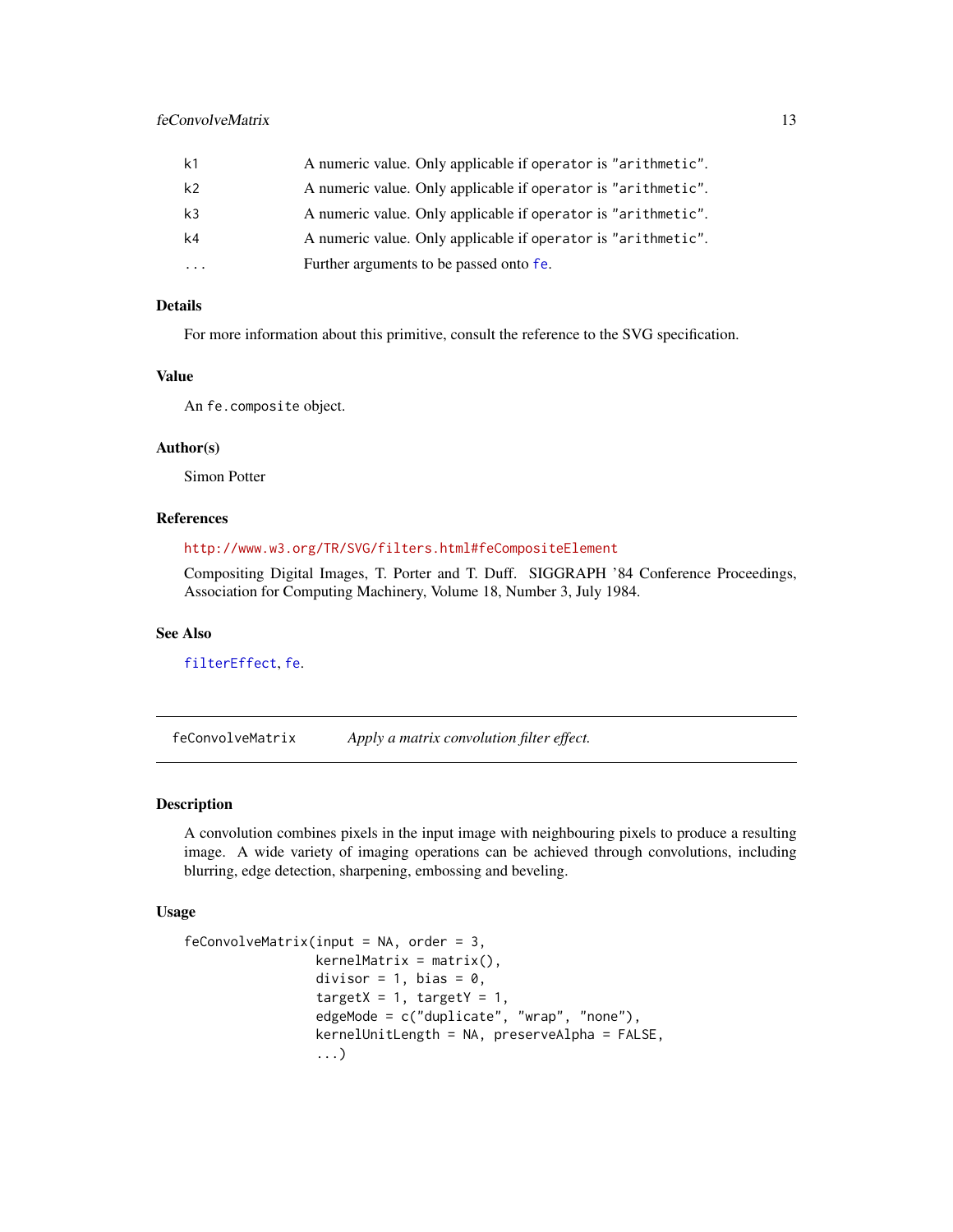<span id="page-12-0"></span>

| k <sub>1</sub> | A numeric value. Only applicable if operator is "arithmetic". |
|----------------|---------------------------------------------------------------|
| k <sub>2</sub> | A numeric value. Only applicable if operator is "arithmetic". |
| k <sub>3</sub> | A numeric value. Only applicable if operator is "arithmetic". |
| k4             | A numeric value. Only applicable if operator is "arithmetic". |
|                | Further arguments to be passed onto fe.                       |

# Details

For more information about this primitive, consult the reference to the SVG specification.

# Value

An fe.composite object.

#### Author(s)

Simon Potter

#### References

# <http://www.w3.org/TR/SVG/filters.html#feCompositeElement>

Compositing Digital Images, T. Porter and T. Duff. SIGGRAPH '84 Conference Proceedings, Association for Computing Machinery, Volume 18, Number 3, July 1984.

# See Also

[filterEffect](#page-31-1), [fe](#page-7-1).

feConvolveMatrix *Apply a matrix convolution filter effect.*

# Description

A convolution combines pixels in the input image with neighbouring pixels to produce a resulting image. A wide variety of imaging operations can be achieved through convolutions, including blurring, edge detection, sharpening, embossing and beveling.

#### Usage

```
feConvolveMatrix(input = NA, order = 3,kernelMatrix = matrix(),
                 divisor = 1, bias = 0,
                 targetX = 1, targetY = 1,
                 edgeMode = c("duplicate", "wrap", "none"),
                 kernelUnitLength = NA, preserveAlpha = FALSE,
                 ...)
```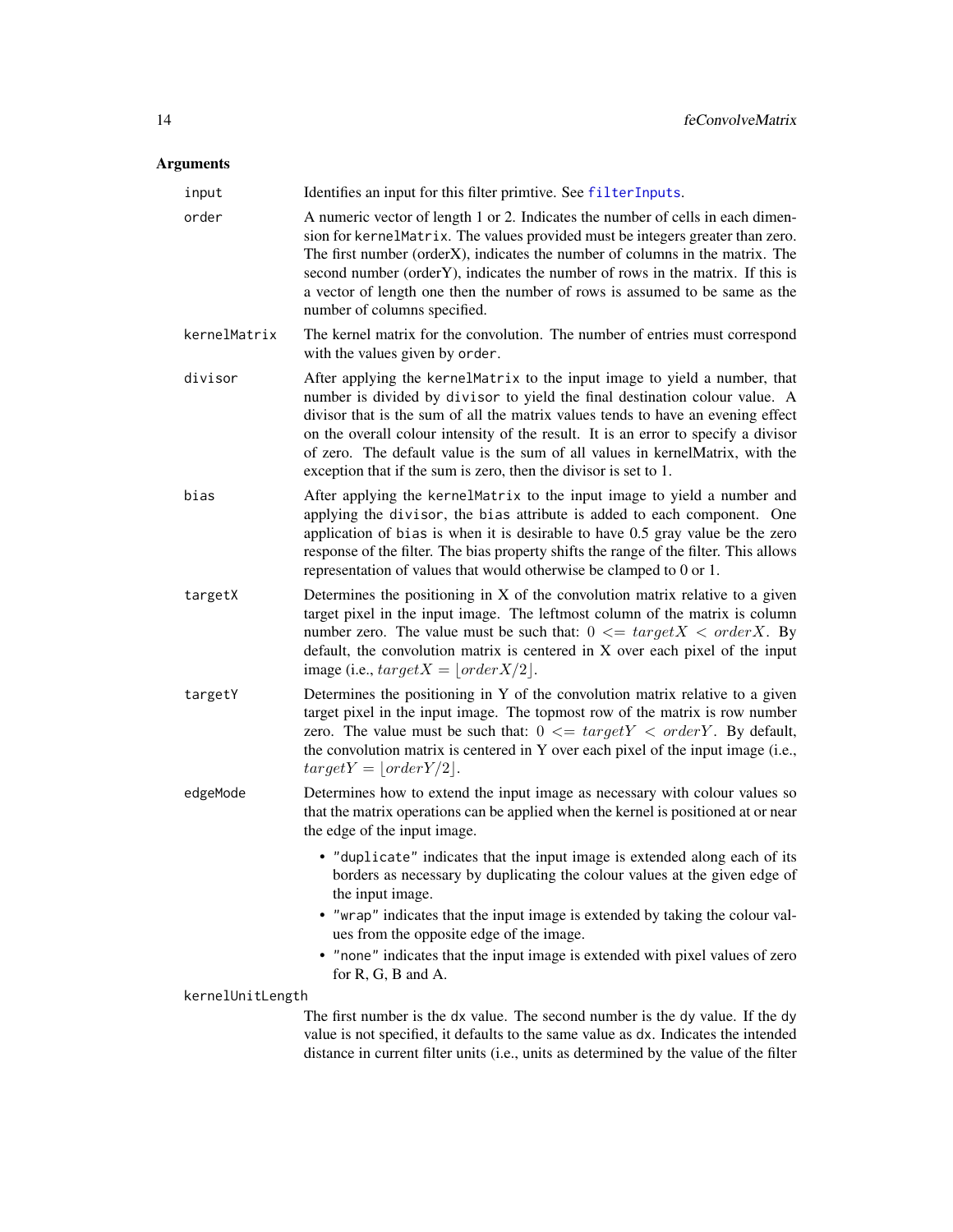<span id="page-13-0"></span>

| input            | Identifies an input for this filter primtive. See filterInputs.                                                                                                                                                                                                                                                                                                                                                                                                                          |  |
|------------------|------------------------------------------------------------------------------------------------------------------------------------------------------------------------------------------------------------------------------------------------------------------------------------------------------------------------------------------------------------------------------------------------------------------------------------------------------------------------------------------|--|
| order            | A numeric vector of length 1 or 2. Indicates the number of cells in each dimen-<br>sion for kernelMatrix. The values provided must be integers greater than zero.<br>The first number (orderX), indicates the number of columns in the matrix. The<br>second number (orderY), indicates the number of rows in the matrix. If this is<br>a vector of length one then the number of rows is assumed to be same as the<br>number of columns specified.                                      |  |
| kernelMatrix     | The kernel matrix for the convolution. The number of entries must correspond<br>with the values given by order.                                                                                                                                                                                                                                                                                                                                                                          |  |
| divisor          | After applying the kernelMatrix to the input image to yield a number, that<br>number is divided by divisor to yield the final destination colour value. A<br>divisor that is the sum of all the matrix values tends to have an evening effect<br>on the overall colour intensity of the result. It is an error to specify a divisor<br>of zero. The default value is the sum of all values in kernelMatrix, with the<br>exception that if the sum is zero, then the divisor is set to 1. |  |
| bias             | After applying the kernelMatrix to the input image to yield a number and<br>applying the divisor, the bias attribute is added to each component. One<br>application of bias is when it is desirable to have 0.5 gray value be the zero<br>response of the filter. The bias property shifts the range of the filter. This allows<br>representation of values that would otherwise be clamped to 0 or 1.                                                                                   |  |
| targetX          | Determines the positioning in $X$ of the convolution matrix relative to a given<br>target pixel in the input image. The leftmost column of the matrix is column<br>number zero. The value must be such that: $0 \leq t \arget{X} \leq \text{order } X$ . By<br>default, the convolution matrix is centered in X over each pixel of the input<br>image (i.e., $targetX =  order X/2 $ .                                                                                                   |  |
| targetY          | Determines the positioning in Y of the convolution matrix relative to a given<br>target pixel in the input image. The topmost row of the matrix is row number<br>zero. The value must be such that: $0 \leq z$ <i>targetY</i> < <i>orderY</i> . By default,<br>the convolution matrix is centered in Y over each pixel of the input image (i.e.,<br>$targetY =  orderY/2 .$                                                                                                              |  |
| edgeMode         | Determines how to extend the input image as necessary with colour values so<br>that the matrix operations can be applied when the kernel is positioned at or near<br>the edge of the input image.                                                                                                                                                                                                                                                                                        |  |
|                  | • "duplicate" indicates that the input image is extended along each of its<br>borders as necessary by duplicating the colour values at the given edge of<br>the input image.                                                                                                                                                                                                                                                                                                             |  |
|                  | • "wrap" indicates that the input image is extended by taking the colour val-<br>ues from the opposite edge of the image.                                                                                                                                                                                                                                                                                                                                                                |  |
|                  | • "none" indicates that the input image is extended with pixel values of zero<br>for R, G, B and A.                                                                                                                                                                                                                                                                                                                                                                                      |  |
| kernelUnitLength |                                                                                                                                                                                                                                                                                                                                                                                                                                                                                          |  |
|                  | The first number is the dx value. The second number is the dy value. If the dy<br>value is not specified, it defaults to the same value as dx. Indicates the intended<br>distance in current filter units (i.e., units as determined by the value of the filter                                                                                                                                                                                                                          |  |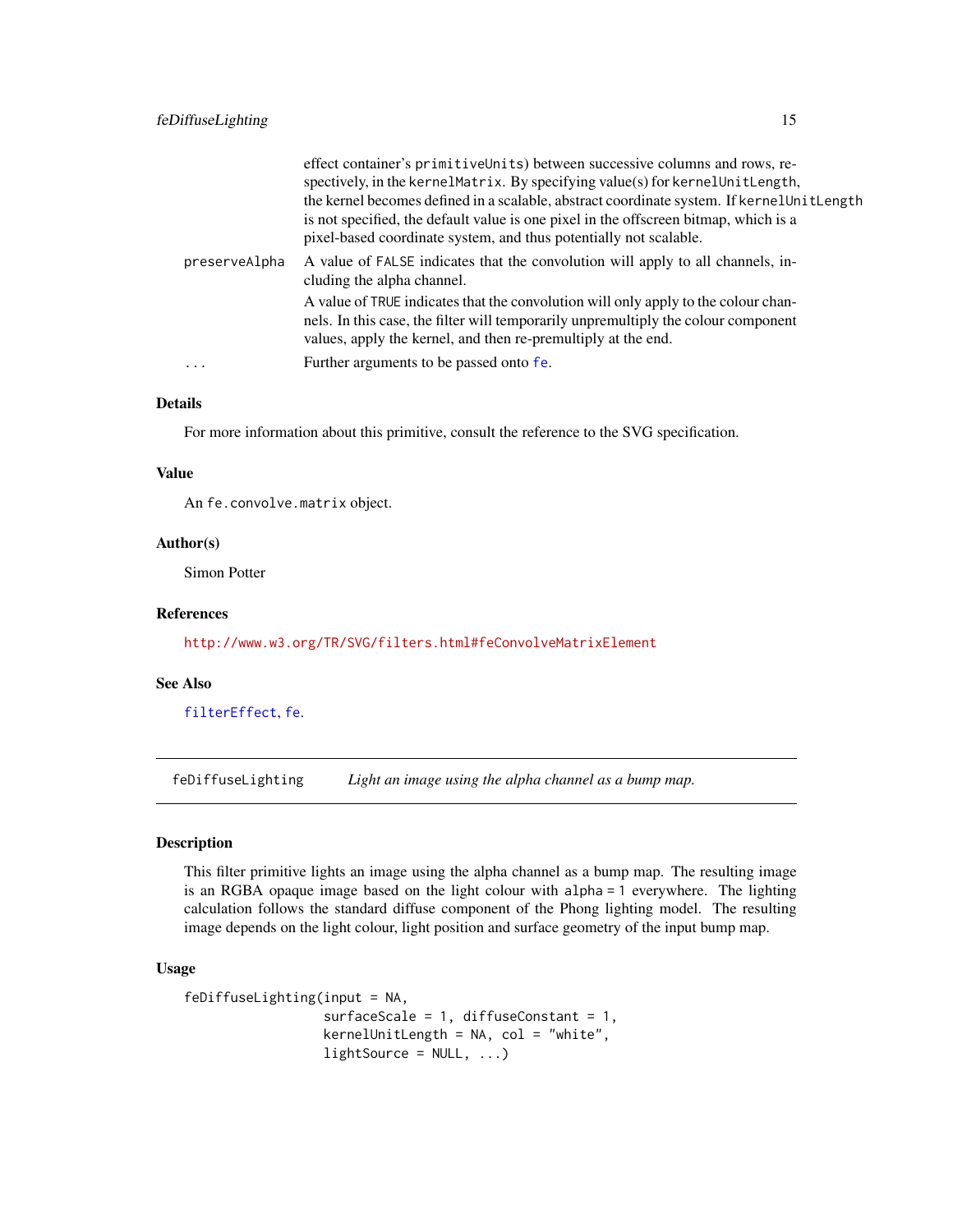<span id="page-14-0"></span>

|               | effect container's primitiveUnits) between successive columns and rows, re-<br>spectively, in the kernelMatrix. By specifying value(s) for kernelUnitLength,<br>the kernel becomes defined in a scalable, abstract coordinate system. If kernel UnitLength<br>is not specified, the default value is one pixel in the offscreen bitmap, which is a<br>pixel-based coordinate system, and thus potentially not scalable. |
|---------------|-------------------------------------------------------------------------------------------------------------------------------------------------------------------------------------------------------------------------------------------------------------------------------------------------------------------------------------------------------------------------------------------------------------------------|
| preserveAlpha | A value of FALSE indicates that the convolution will apply to all channels, in-<br>cluding the alpha channel.                                                                                                                                                                                                                                                                                                           |
|               | A value of TRUE indicates that the convolution will only apply to the colour chan-<br>nels. In this case, the filter will temporarily unpremultiply the colour component<br>values, apply the kernel, and then re-premultiply at the end.                                                                                                                                                                               |
| $\ddotsc$     | Further arguments to be passed onto fe.                                                                                                                                                                                                                                                                                                                                                                                 |

# Details

For more information about this primitive, consult the reference to the SVG specification.

#### Value

An fe.convolve.matrix object.

# Author(s)

Simon Potter

#### References

<http://www.w3.org/TR/SVG/filters.html#feConvolveMatrixElement>

#### See Also

[filterEffect](#page-31-1), [fe](#page-7-1).

<span id="page-14-1"></span>feDiffuseLighting *Light an image using the alpha channel as a bump map.*

#### Description

This filter primitive lights an image using the alpha channel as a bump map. The resulting image is an RGBA opaque image based on the light colour with alpha = 1 everywhere. The lighting calculation follows the standard diffuse component of the Phong lighting model. The resulting image depends on the light colour, light position and surface geometry of the input bump map.

#### Usage

```
feDiffuseLighting(input = NA,
                surfaceScale = 1, diffuseConstant = 1,
                kernelUnitLength = NA, col = "white",
                lightharpoonup
```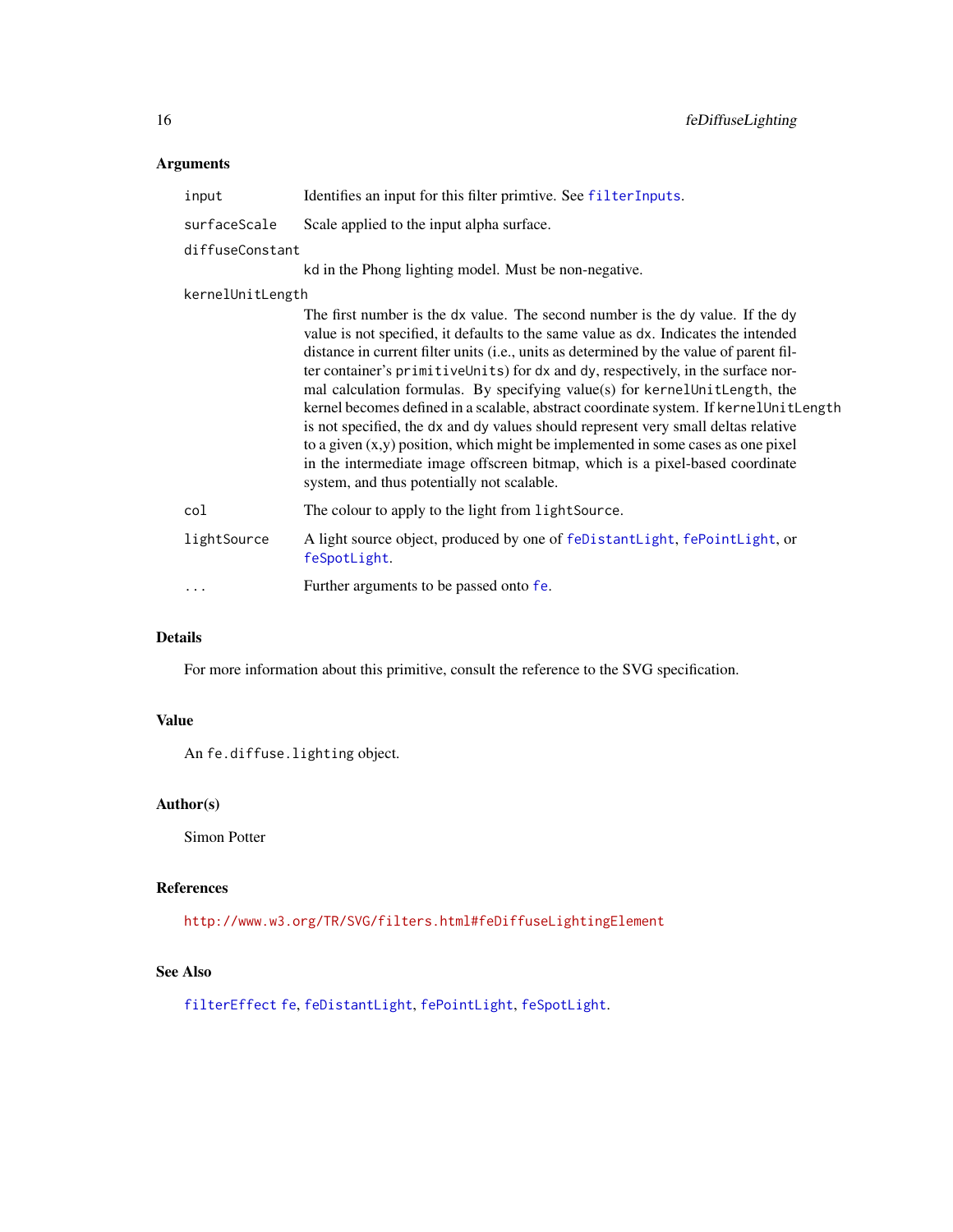# <span id="page-15-0"></span>Arguments

| input            | Identifies an input for this filter primtive. See filterInputs.                                                                                                                                                                                                                                                                                                                                                                                                                                                                                                                                                                                                                                                                                                                                                                           |
|------------------|-------------------------------------------------------------------------------------------------------------------------------------------------------------------------------------------------------------------------------------------------------------------------------------------------------------------------------------------------------------------------------------------------------------------------------------------------------------------------------------------------------------------------------------------------------------------------------------------------------------------------------------------------------------------------------------------------------------------------------------------------------------------------------------------------------------------------------------------|
| surfaceScale     | Scale applied to the input alpha surface.                                                                                                                                                                                                                                                                                                                                                                                                                                                                                                                                                                                                                                                                                                                                                                                                 |
| diffuseConstant  |                                                                                                                                                                                                                                                                                                                                                                                                                                                                                                                                                                                                                                                                                                                                                                                                                                           |
|                  | kd in the Phong lighting model. Must be non-negative.                                                                                                                                                                                                                                                                                                                                                                                                                                                                                                                                                                                                                                                                                                                                                                                     |
| kernelUnitLength |                                                                                                                                                                                                                                                                                                                                                                                                                                                                                                                                                                                                                                                                                                                                                                                                                                           |
|                  | The first number is the dx value. The second number is the dy value. If the dy<br>value is not specified, it defaults to the same value as dx. Indicates the intended<br>distance in current filter units (i.e., units as determined by the value of parent fil-<br>ter container's primitiveUnits) for dx and dy, respectively, in the surface nor-<br>mal calculation formulas. By specifying value(s) for kernelUnitLength, the<br>kernel becomes defined in a scalable, abstract coordinate system. If kernel Unit Length<br>is not specified, the dx and dy values should represent very small deltas relative<br>to a given $(x, y)$ position, which might be implemented in some cases as one pixel<br>in the intermediate image offscreen bitmap, which is a pixel-based coordinate<br>system, and thus potentially not scalable. |
| col              | The colour to apply to the light from light Source.                                                                                                                                                                                                                                                                                                                                                                                                                                                                                                                                                                                                                                                                                                                                                                                       |
| lightSource      | A light source object, produced by one of feDistantLight, fePointLight, or<br>feSpotLight.                                                                                                                                                                                                                                                                                                                                                                                                                                                                                                                                                                                                                                                                                                                                                |
| .                | Further arguments to be passed onto fe.                                                                                                                                                                                                                                                                                                                                                                                                                                                                                                                                                                                                                                                                                                                                                                                                   |

# Details

For more information about this primitive, consult the reference to the SVG specification.

# Value

An fe.diffuse.lighting object.

# Author(s)

Simon Potter

#### References

<http://www.w3.org/TR/SVG/filters.html#feDiffuseLightingElement>

# See Also

[filterEffect](#page-31-1) [fe](#page-7-1), [feDistantLight](#page-17-1), [fePointLight](#page-24-1), [feSpotLight](#page-26-1).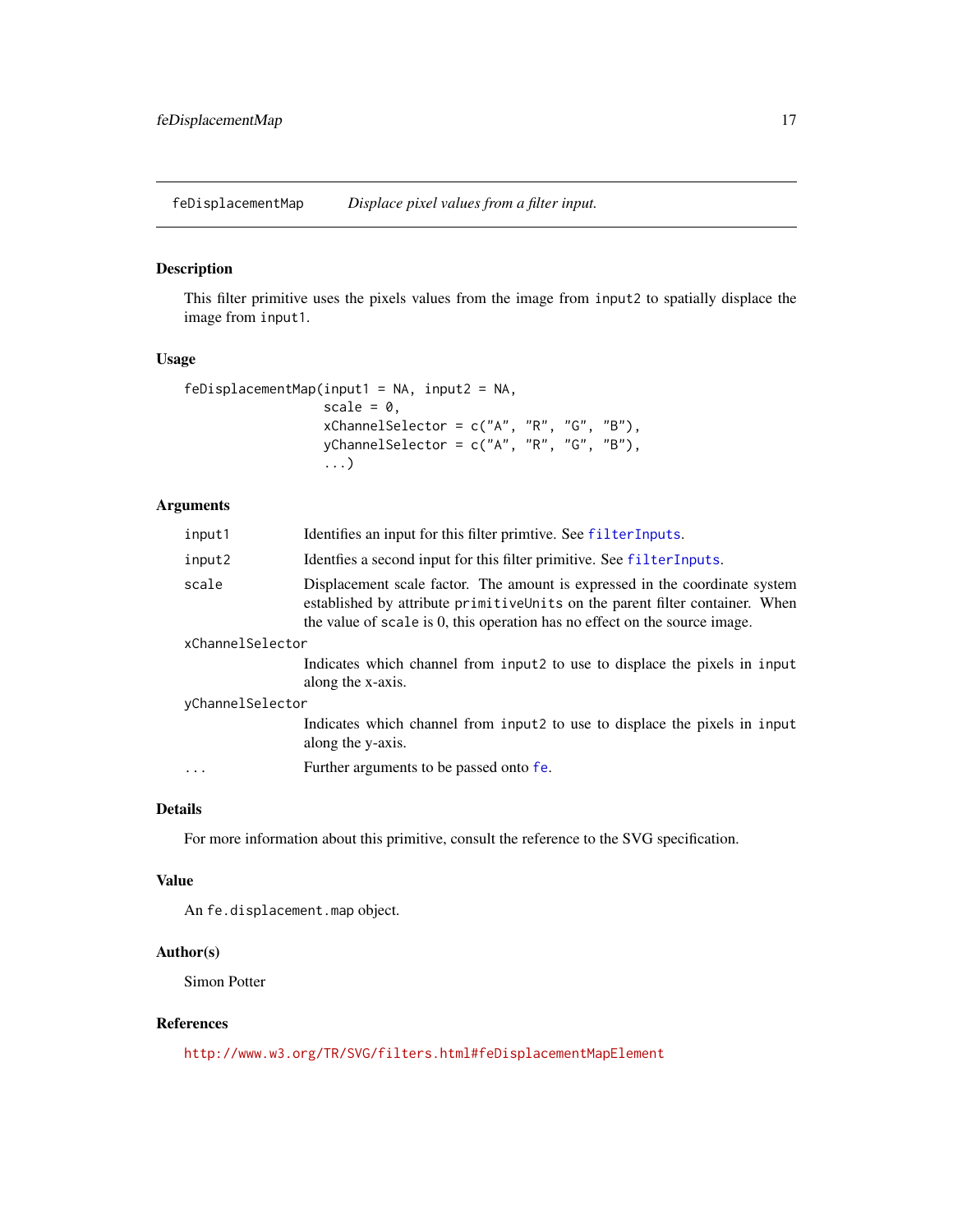<span id="page-16-0"></span>feDisplacementMap *Displace pixel values from a filter input.*

# Description

This filter primitive uses the pixels values from the image from input2 to spatially displace the image from input1.

# Usage

```
feDisplacementMap(input1 = NA, input2 = NA,
                  scale = 0,
                  xChannelSelector = c("A", "R", "G", "B"),
                  yChannelSelection = c("A", "R", "G", "B"),...)
```
# Arguments

| input1           | Identifies an input for this filter primtive. See filterInputs.                                                                                                                                                                            |  |
|------------------|--------------------------------------------------------------------------------------------------------------------------------------------------------------------------------------------------------------------------------------------|--|
| input2           | Identifies a second input for this filter primitive. See filterInputs.                                                                                                                                                                     |  |
| scale            | Displacement scale factor. The amount is expressed in the coordinate system<br>established by attribute primitive Units on the parent filter container. When<br>the value of scale is 0, this operation has no effect on the source image. |  |
| xChannelSelector |                                                                                                                                                                                                                                            |  |
|                  | Indicates which channel from input <sub>2</sub> to use to displace the pixels in input<br>along the x-axis.                                                                                                                                |  |
| yChannelSelector |                                                                                                                                                                                                                                            |  |
|                  | Indicates which channel from input2 to use to displace the pixels in input<br>along the y-axis.                                                                                                                                            |  |
| .                | Further arguments to be passed onto fe.                                                                                                                                                                                                    |  |

#### Details

For more information about this primitive, consult the reference to the SVG specification.

#### Value

An fe.displacement.map object.

# Author(s)

Simon Potter

# References

<http://www.w3.org/TR/SVG/filters.html#feDisplacementMapElement>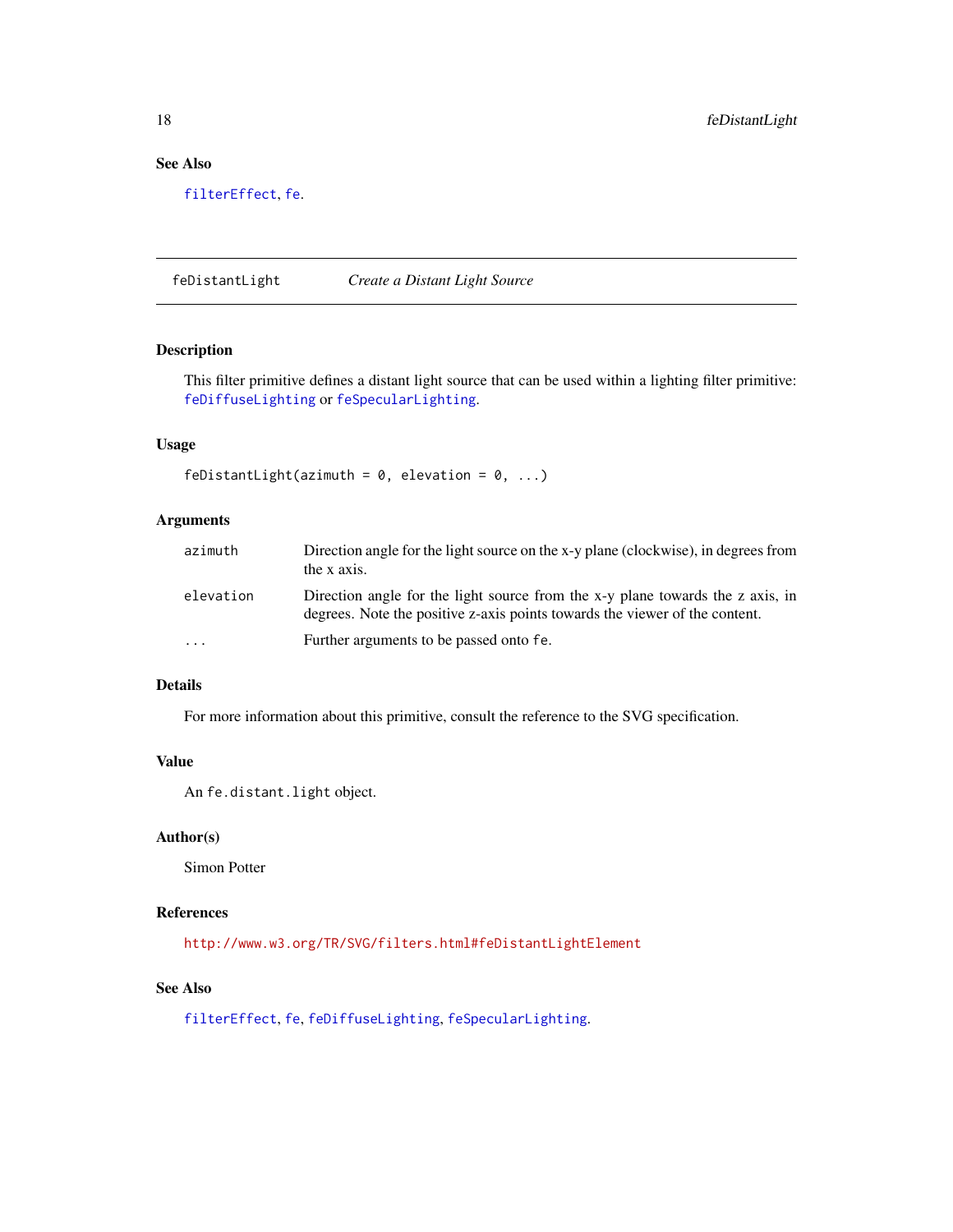# See Also

[filterEffect](#page-31-1), [fe](#page-7-1).

<span id="page-17-1"></span>feDistantLight *Create a Distant Light Source*

# Description

This filter primitive defines a distant light source that can be used within a lighting filter primitive: [feDiffuseLighting](#page-14-1) or [feSpecularLighting](#page-25-1).

# Usage

```
feDistantLight(azimuth = 0, elevation = 0, ...)
```
#### Arguments

| azimuth                 | Direction angle for the light source on the x-y plane (clockwise), in degrees from<br>the x axis.                                                             |
|-------------------------|---------------------------------------------------------------------------------------------------------------------------------------------------------------|
| elevation               | Direction angle for the light source from the x-y plane towards the z axis, in<br>degrees. Note the positive z-axis points towards the viewer of the content. |
| $\cdot$ $\cdot$ $\cdot$ | Further arguments to be passed onto fe.                                                                                                                       |

# Details

For more information about this primitive, consult the reference to the SVG specification.

# Value

An fe.distant.light object.

# Author(s)

Simon Potter

# References

<http://www.w3.org/TR/SVG/filters.html#feDistantLightElement>

# See Also

[filterEffect](#page-31-1), [fe](#page-7-1), [feDiffuseLighting](#page-14-1), [feSpecularLighting](#page-25-1).

<span id="page-17-0"></span>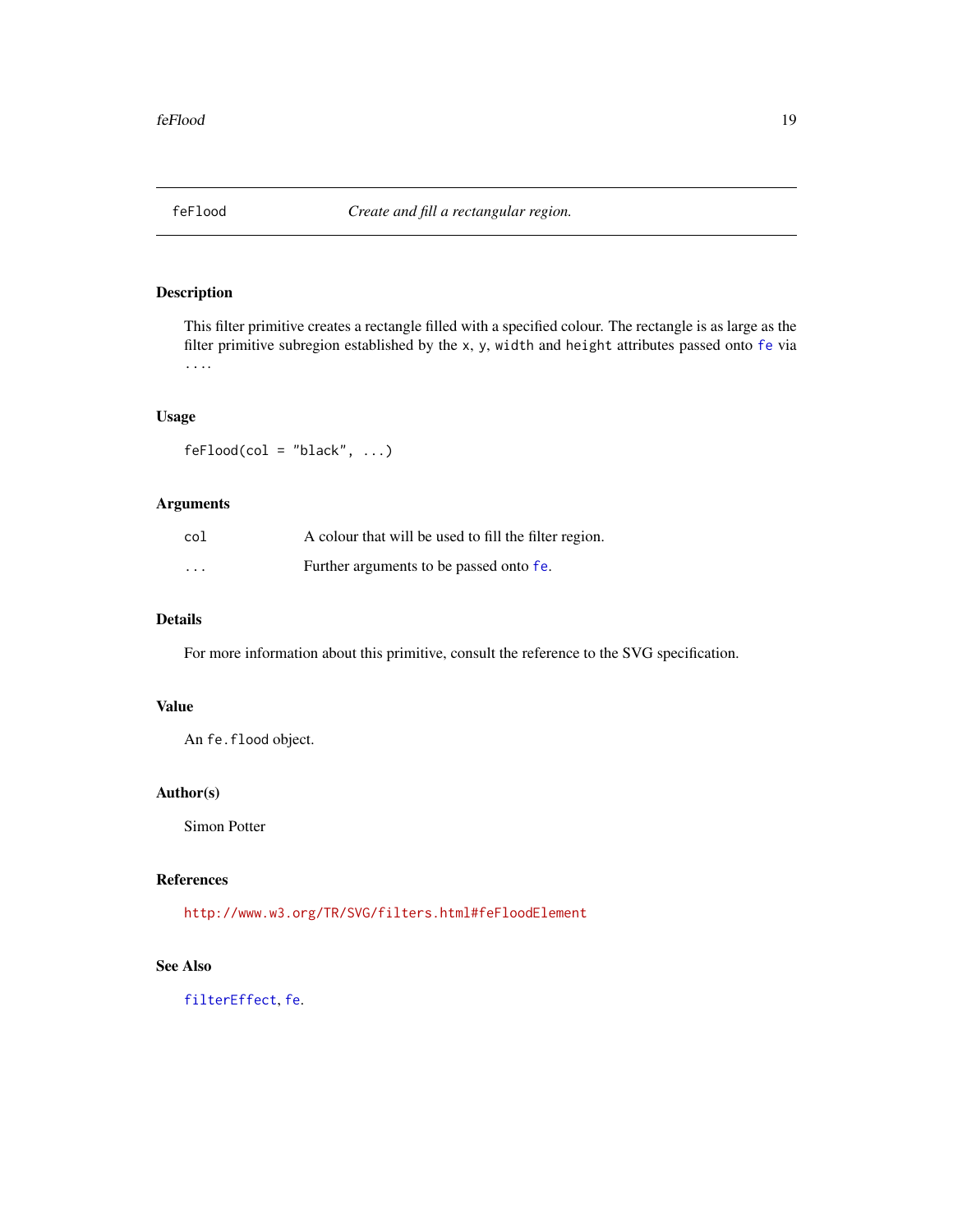<span id="page-18-0"></span>

This filter primitive creates a rectangle filled with a specified colour. The rectangle is as large as the filter primitive subregion established by the x, y, width and height attributes passed onto [fe](#page-7-1) via ....

# Usage

 $feflood(col = "black", ...)$ 

# Arguments

| col      | A colour that will be used to fill the filter region. |
|----------|-------------------------------------------------------|
| $\cdots$ | Further arguments to be passed onto fe.               |

# Details

For more information about this primitive, consult the reference to the SVG specification.

# Value

An fe.flood object.

# Author(s)

Simon Potter

#### References

<http://www.w3.org/TR/SVG/filters.html#feFloodElement>

# See Also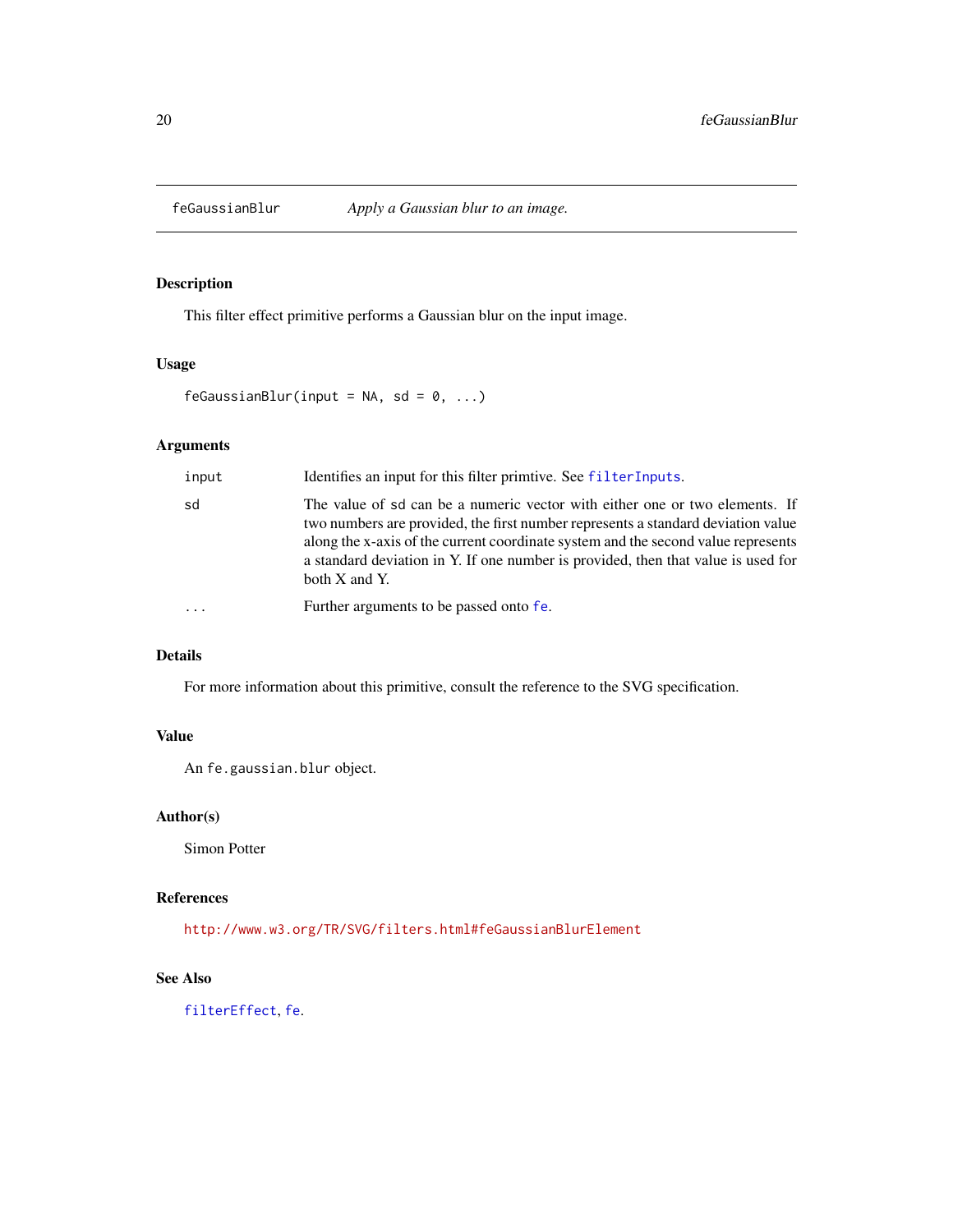<span id="page-19-1"></span><span id="page-19-0"></span>

This filter effect primitive performs a Gaussian blur on the input image.

#### Usage

 $f$ eGaussianBlur(input = NA, sd = 0, ...)

# Arguments

| input    | Identifies an input for this filter primitive. See filter Inputs.                                                                                                                                                                                                                                                                                          |
|----------|------------------------------------------------------------------------------------------------------------------------------------------------------------------------------------------------------------------------------------------------------------------------------------------------------------------------------------------------------------|
| sd       | The value of sd can be a numeric vector with either one or two elements. If<br>two numbers are provided, the first number represents a standard deviation value<br>along the x-axis of the current coordinate system and the second value represents<br>a standard deviation in Y. If one number is provided, then that value is used for<br>both X and Y. |
| $\cdots$ | Further arguments to be passed onto fe.                                                                                                                                                                                                                                                                                                                    |

# Details

For more information about this primitive, consult the reference to the SVG specification.

# Value

An fe.gaussian.blur object.

# Author(s)

Simon Potter

# References

<http://www.w3.org/TR/SVG/filters.html#feGaussianBlurElement>

#### See Also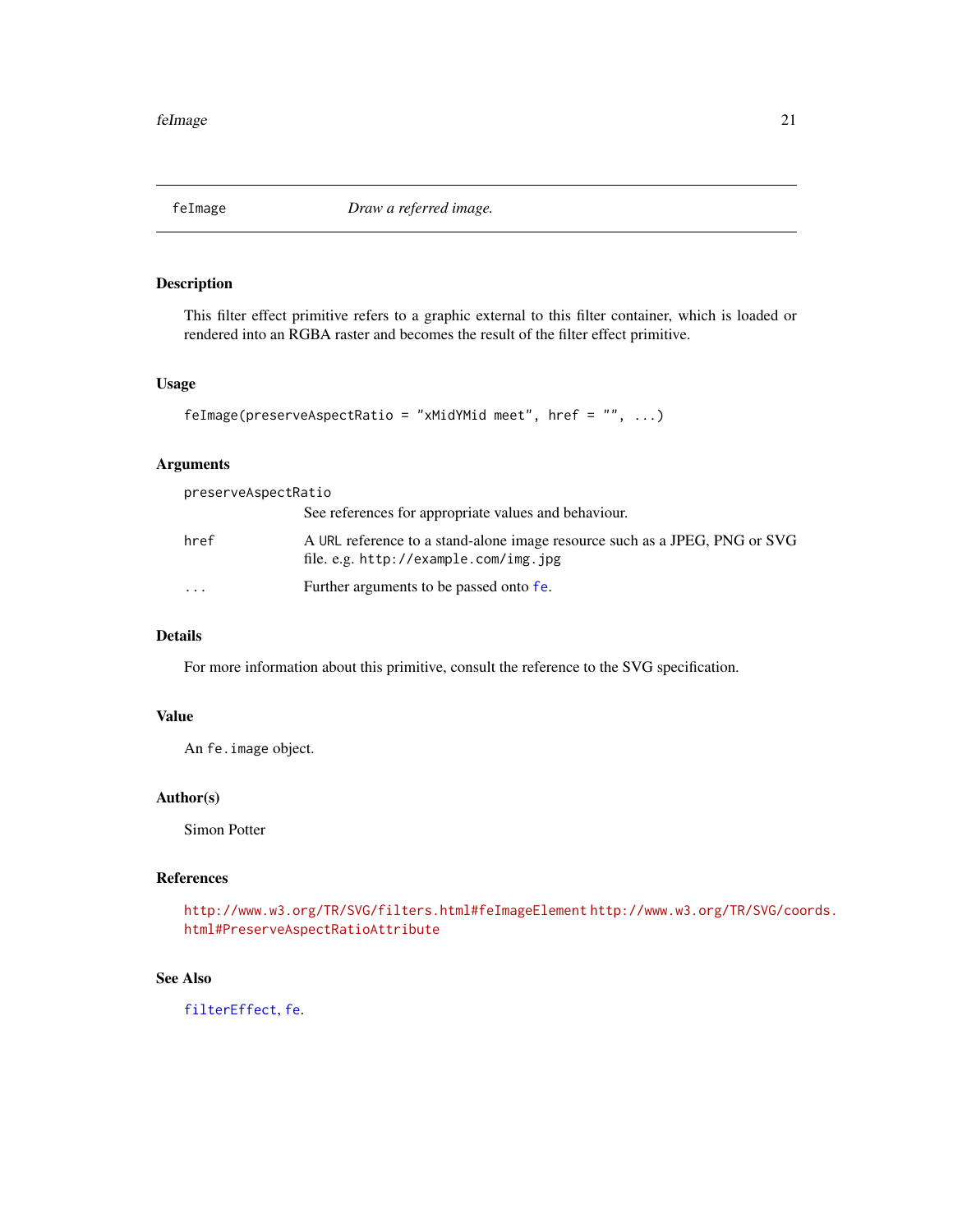<span id="page-20-0"></span>

This filter effect primitive refers to a graphic external to this filter container, which is loaded or rendered into an RGBA raster and becomes the result of the filter effect primitive.

# Usage

```
feImage(preserveAspectRatio = "xMidYMid meet", href = "", ...)
```
# Arguments

| preserveAspectRatio |                                                                                                                     |
|---------------------|---------------------------------------------------------------------------------------------------------------------|
|                     | See references for appropriate values and behaviour.                                                                |
| href                | A URL reference to a stand-alone image resource such as a JPEG, PNG or SVG<br>file. e.g. http://example.com/img.jpg |
| $\ddotsc$           | Further arguments to be passed onto fe.                                                                             |

# Details

For more information about this primitive, consult the reference to the SVG specification.

# Value

An fe.image object.

#### Author(s)

Simon Potter

#### References

<http://www.w3.org/TR/SVG/filters.html#feImageElement> [http://www.w3.org/TR/SVG/co](http://www.w3.org/TR/SVG/coords.html#PreserveAspectRatioAttribute)ords. [html#PreserveAspectRatioAttribute](http://www.w3.org/TR/SVG/coords.html#PreserveAspectRatioAttribute)

#### See Also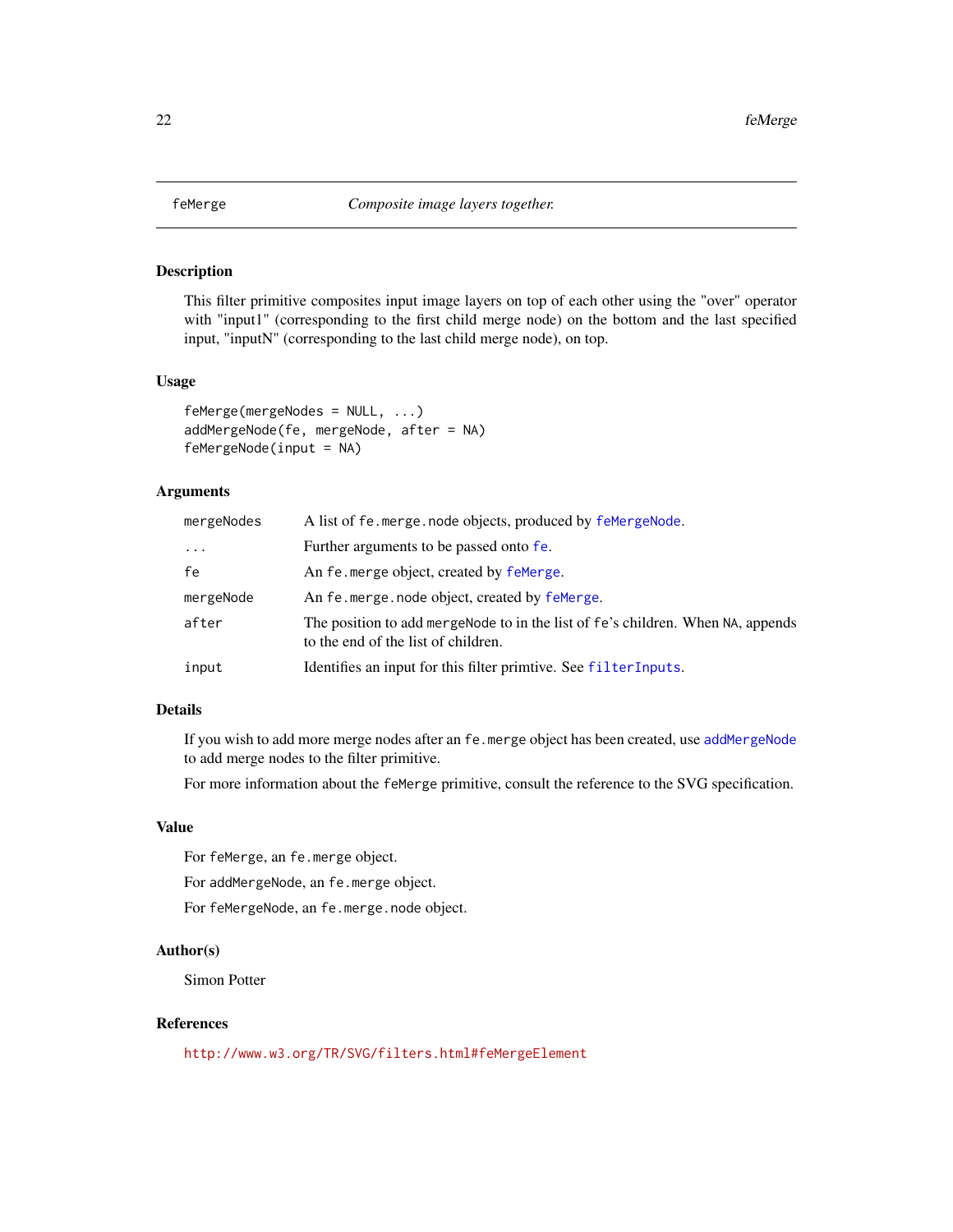<span id="page-21-2"></span><span id="page-21-1"></span><span id="page-21-0"></span>

This filter primitive composites input image layers on top of each other using the "over" operator with "input1" (corresponding to the first child merge node) on the bottom and the last specified input, "inputN" (corresponding to the last child merge node), on top.

#### Usage

```
feMerge(mergeNodes = NULL, ...)
addMergeNode(fe, mergeNode, after = NA)
feMergeNode(input = NA)
```
#### Arguments

| mergeNodes | A list of fe. merge. node objects, produced by femerge Node.                                                           |
|------------|------------------------------------------------------------------------------------------------------------------------|
| $\cdots$   | Further arguments to be passed onto fe.                                                                                |
| fe         | An fe merge object, created by femerge.                                                                                |
| mergeNode  | An fe.merge.node object, created by feMerge.                                                                           |
| after      | The position to add mergeNode to in the list of fe's children. When NA, appends<br>to the end of the list of children. |
| input      | Identifies an input for this filter primtive. See filterInputs.                                                        |

#### Details

If you wish to add more merge nodes after an fe.merge object has been created, use [addMergeNode](#page-21-1) to add merge nodes to the filter primitive.

For more information about the feMerge primitive, consult the reference to the SVG specification.

#### Value

For feMerge, an fe.merge object.

For addMergeNode, an fe.merge object.

For feMergeNode, an fe.merge.node object.

# Author(s)

Simon Potter

# References

<http://www.w3.org/TR/SVG/filters.html#feMergeElement>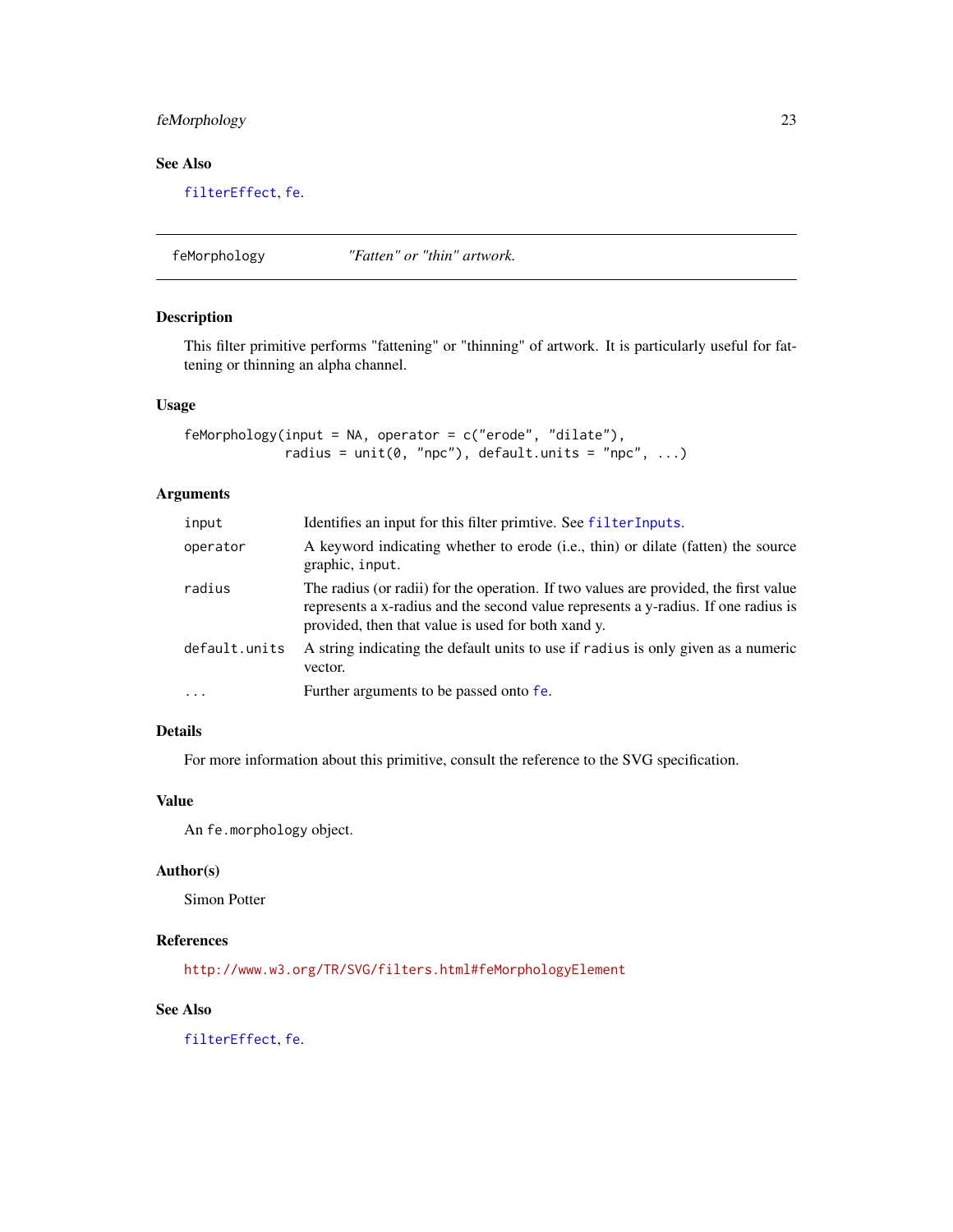# <span id="page-22-0"></span>feMorphology 23

# See Also

[filterEffect](#page-31-1), [fe](#page-7-1).

feMorphology *"Fatten" or "thin" artwork.*

# Description

This filter primitive performs "fattening" or "thinning" of artwork. It is particularly useful for fattening or thinning an alpha channel.

#### Usage

```
feMorphology(input = NA, operator = c("erode", "dilate"),
            radius = unit(0, "npc"), default.units = "npc", ...)
```
# Arguments

| input         | Identifies an input for this filter primtive. See filterInputs.                                                                                                                                                                  |
|---------------|----------------------------------------------------------------------------------------------------------------------------------------------------------------------------------------------------------------------------------|
| operator      | A keyword indicating whether to erode (i.e., thin) or dilate (fatten) the source<br>graphic, input.                                                                                                                              |
| radius        | The radius (or radii) for the operation. If two values are provided, the first value<br>represents a x-radius and the second value represents a y-radius. If one radius is<br>provided, then that value is used for both xand y. |
| default.units | A string indicating the default units to use if radius is only given as a numeric<br>vector.                                                                                                                                     |
| $\cdots$      | Further arguments to be passed onto fe.                                                                                                                                                                                          |

# Details

For more information about this primitive, consult the reference to the SVG specification.

# Value

An fe.morphology object.

# Author(s)

Simon Potter

# References

<http://www.w3.org/TR/SVG/filters.html#feMorphologyElement>

# See Also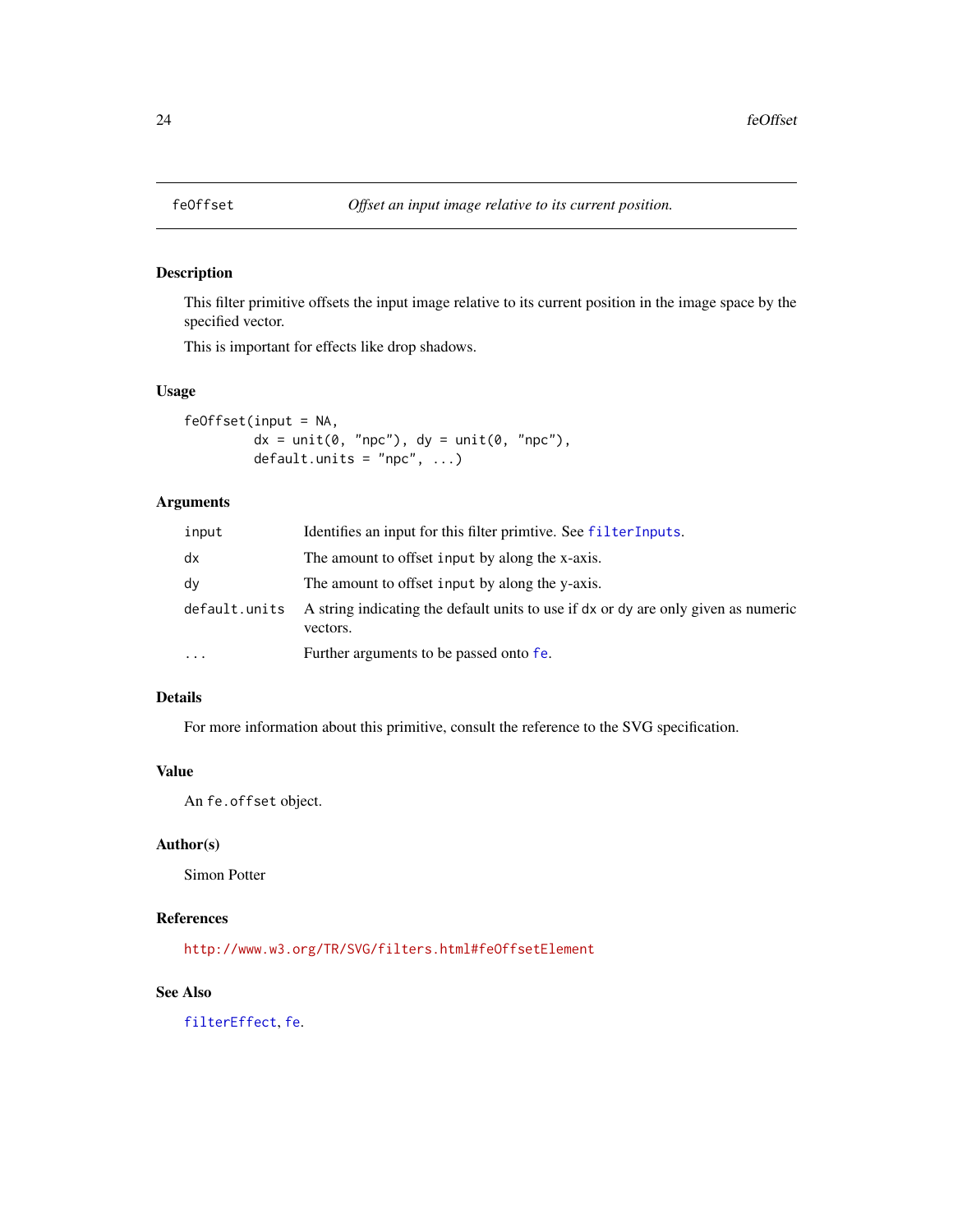<span id="page-23-0"></span>

This filter primitive offsets the input image relative to its current position in the image space by the specified vector.

This is important for effects like drop shadows.

#### Usage

feOffset(input = NA,  $dx = unit(0, 'npc'')$ ,  $dy = unit(0, 'npc'')$ ,  $default.units = "npc", ...)$ 

# Arguments

| input         | Identifies an input for this filter primitive. See filterInputs.                               |
|---------------|------------------------------------------------------------------------------------------------|
| dx            | The amount to offset input by along the x-axis.                                                |
| dy            | The amount to offset input by along the y-axis.                                                |
| default.units | A string indicating the default units to use if dx or dy are only given as numeric<br>vectors. |
| $\cdots$      | Further arguments to be passed onto fe.                                                        |

# Details

For more information about this primitive, consult the reference to the SVG specification.

# Value

An fe.offset object.

# Author(s)

Simon Potter

# References

<http://www.w3.org/TR/SVG/filters.html#feOffsetElement>

# See Also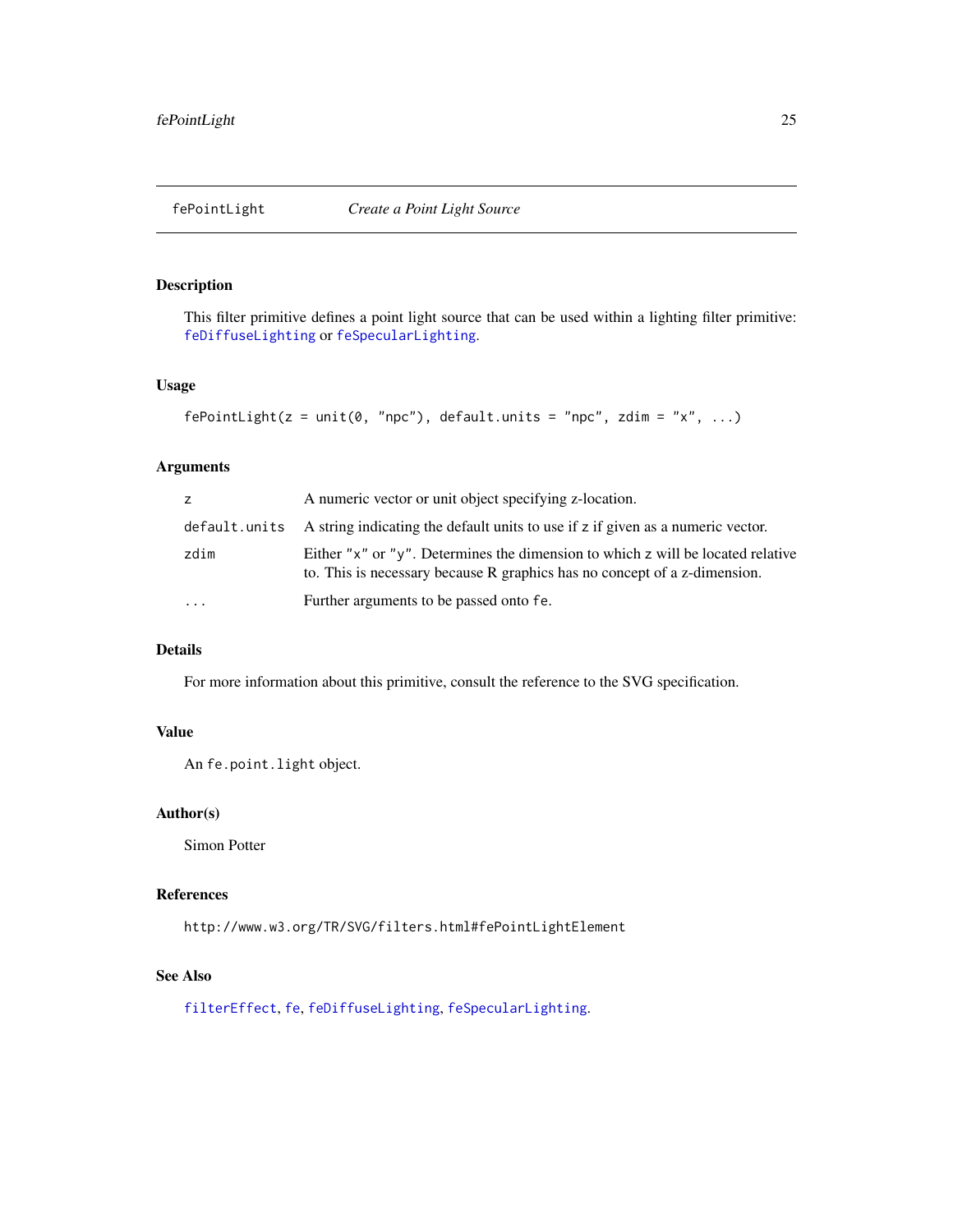<span id="page-24-1"></span><span id="page-24-0"></span>This filter primitive defines a point light source that can be used within a lighting filter primitive: [feDiffuseLighting](#page-14-1) or [feSpecularLighting](#page-25-1).

# Usage

```
fePointLight(z = unit(0, 'npc''), default.units = "npc", zdim = "x", ...)
```
# Arguments

| Z.        | A numeric vector or unit object specifying z-location.                                                                                                       |
|-----------|--------------------------------------------------------------------------------------------------------------------------------------------------------------|
|           | default units A string indicating the default units to use if z if given as a numeric vector.                                                                |
| zdim      | Either "x" or "y". Determines the dimension to which z will be located relative<br>to. This is necessary because R graphics has no concept of a z-dimension. |
| $\ddotsc$ | Further arguments to be passed onto fe.                                                                                                                      |

# Details

For more information about this primitive, consult the reference to the SVG specification.

# Value

An fe.point.light object.

# Author(s)

Simon Potter

# References

http://www.w3.org/TR/SVG/filters.html#fePointLightElement

# See Also

[filterEffect](#page-31-1), [fe](#page-7-1), [feDiffuseLighting](#page-14-1), [feSpecularLighting](#page-25-1).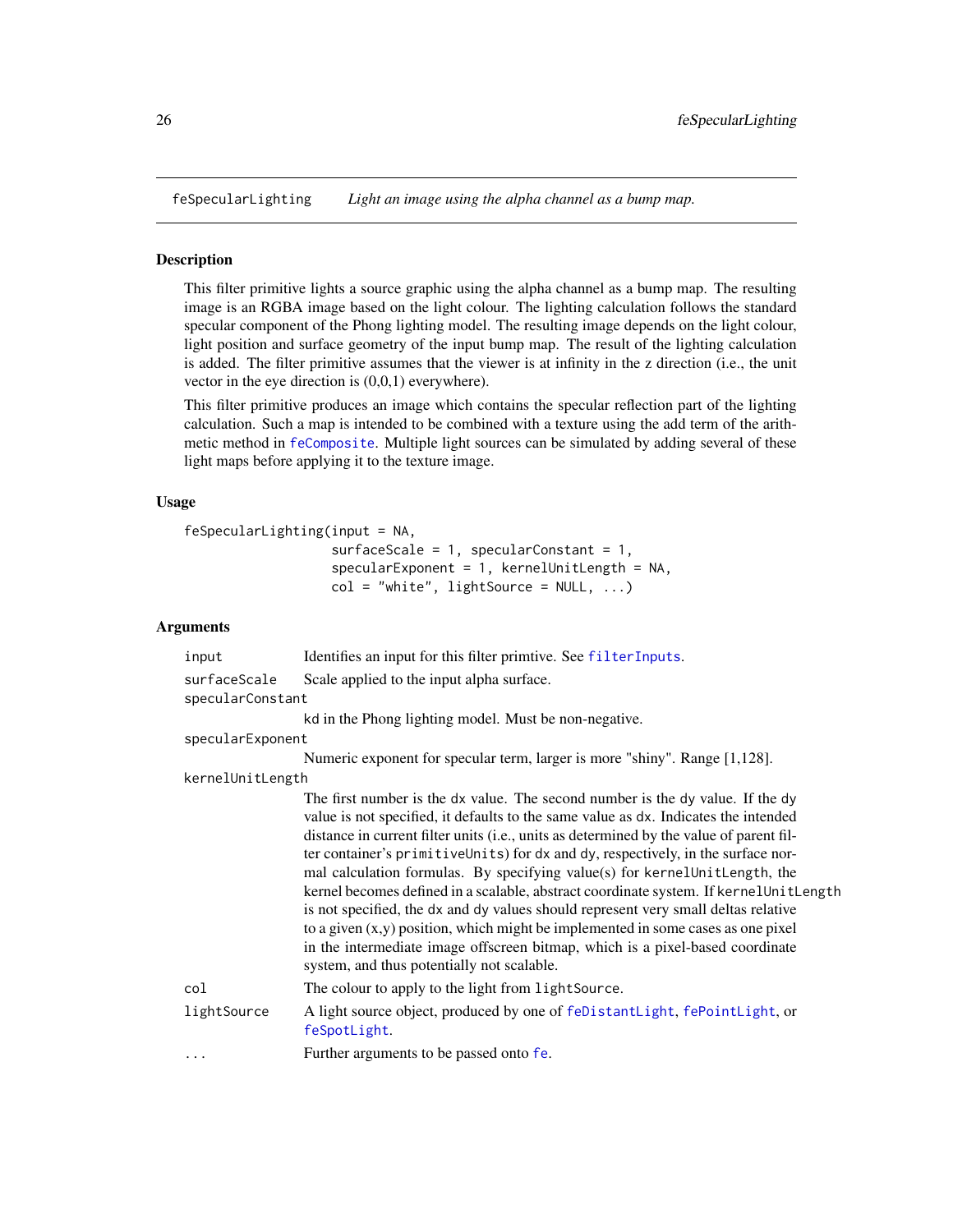<span id="page-25-1"></span><span id="page-25-0"></span>feSpecularLighting *Light an image using the alpha channel as a bump map.*

#### Description

This filter primitive lights a source graphic using the alpha channel as a bump map. The resulting image is an RGBA image based on the light colour. The lighting calculation follows the standard specular component of the Phong lighting model. The resulting image depends on the light colour, light position and surface geometry of the input bump map. The result of the lighting calculation is added. The filter primitive assumes that the viewer is at infinity in the z direction (i.e., the unit vector in the eye direction is (0,0,1) everywhere).

This filter primitive produces an image which contains the specular reflection part of the lighting calculation. Such a map is intended to be combined with a texture using the add term of the arithmetic method in [feComposite](#page-11-1). Multiple light sources can be simulated by adding several of these light maps before applying it to the texture image.

#### Usage

```
feSpecularLighting(input = NA,
```

```
surfaceScale = 1, specularConstant = 1,
specularExponent = 1, kernelUnitLength = NA,
col = "white", lightSource = NULL, ...)
```

| input            | Identifies an input for this filter primtive. See filterInputs.                                                                                                                                                                                                                                                                                                                                                                                                                                                                                                                                                                                                                                                                                                                                                                          |
|------------------|------------------------------------------------------------------------------------------------------------------------------------------------------------------------------------------------------------------------------------------------------------------------------------------------------------------------------------------------------------------------------------------------------------------------------------------------------------------------------------------------------------------------------------------------------------------------------------------------------------------------------------------------------------------------------------------------------------------------------------------------------------------------------------------------------------------------------------------|
| surfaceScale     | Scale applied to the input alpha surface.                                                                                                                                                                                                                                                                                                                                                                                                                                                                                                                                                                                                                                                                                                                                                                                                |
| specularConstant |                                                                                                                                                                                                                                                                                                                                                                                                                                                                                                                                                                                                                                                                                                                                                                                                                                          |
|                  | kd in the Phong lighting model. Must be non-negative.                                                                                                                                                                                                                                                                                                                                                                                                                                                                                                                                                                                                                                                                                                                                                                                    |
| specularExponent |                                                                                                                                                                                                                                                                                                                                                                                                                                                                                                                                                                                                                                                                                                                                                                                                                                          |
|                  | Numeric exponent for specular term, larger is more "shiny". Range [1,128].                                                                                                                                                                                                                                                                                                                                                                                                                                                                                                                                                                                                                                                                                                                                                               |
| kernelUnitLength |                                                                                                                                                                                                                                                                                                                                                                                                                                                                                                                                                                                                                                                                                                                                                                                                                                          |
|                  | The first number is the dx value. The second number is the dy value. If the dy<br>value is not specified, it defaults to the same value as dx. Indicates the intended<br>distance in current filter units (i.e., units as determined by the value of parent fil-<br>ter container's primitiveUnits) for dx and dy, respectively, in the surface nor-<br>mal calculation formulas. By specifying value(s) for kernel UnitLength, the<br>kernel becomes defined in a scalable, abstract coordinate system. If kernelUnitLength<br>is not specified, the dx and dy values should represent very small deltas relative<br>to a given $(x, y)$ position, which might be implemented in some cases as one pixel<br>in the intermediate image offscreen bitmap, which is a pixel-based coordinate<br>system, and thus potentially not scalable. |
| col              | The colour to apply to the light from light Source.                                                                                                                                                                                                                                                                                                                                                                                                                                                                                                                                                                                                                                                                                                                                                                                      |
| lightSource      | A light source object, produced by one of feDistantLight, fePointLight, or<br>feSpotLight.                                                                                                                                                                                                                                                                                                                                                                                                                                                                                                                                                                                                                                                                                                                                               |
| $\cdots$         | Further arguments to be passed onto fe.                                                                                                                                                                                                                                                                                                                                                                                                                                                                                                                                                                                                                                                                                                                                                                                                  |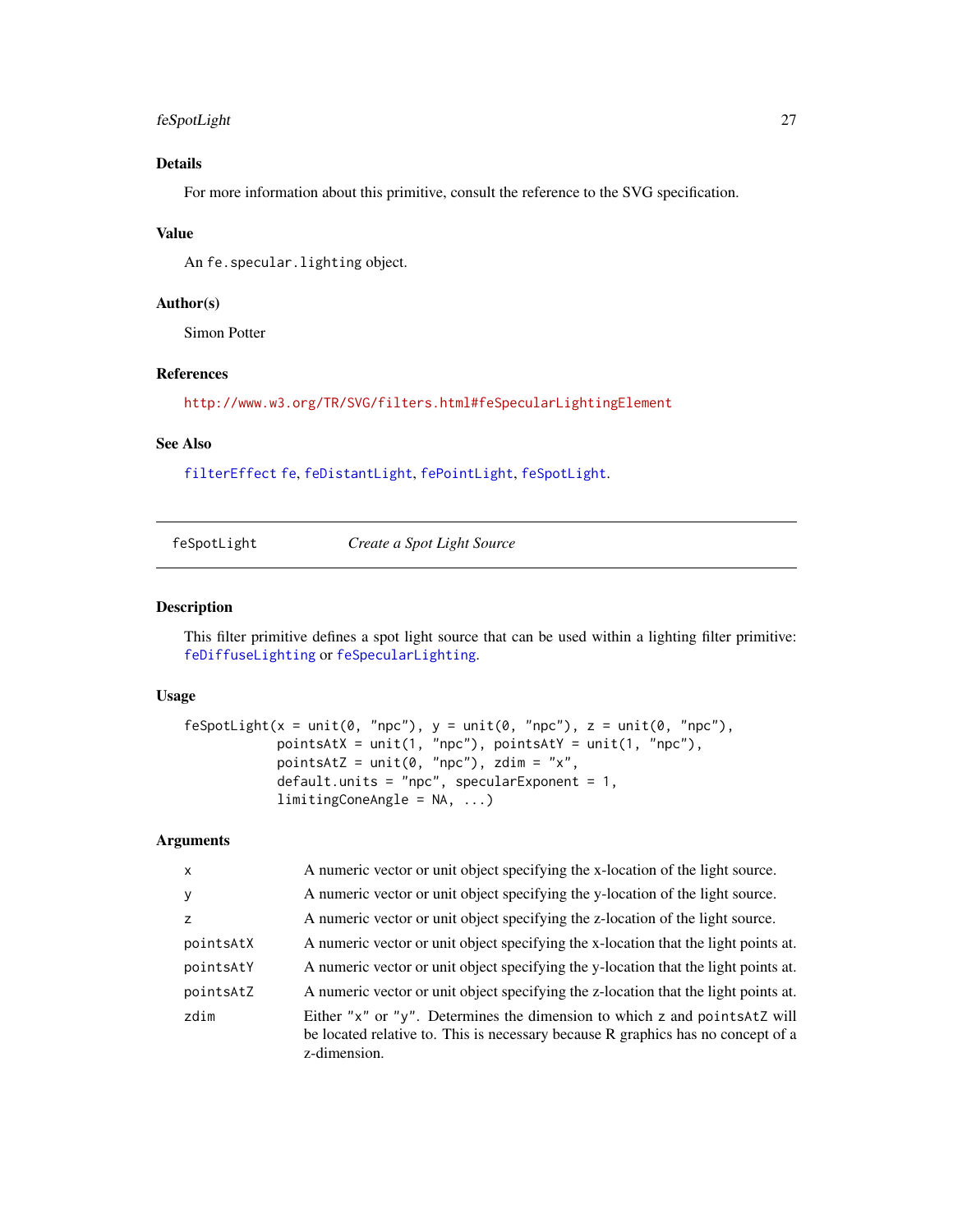# <span id="page-26-0"></span>feSpotLight 27

# Details

For more information about this primitive, consult the reference to the SVG specification.

#### Value

An fe.specular.lighting object.

#### Author(s)

Simon Potter

#### References

<http://www.w3.org/TR/SVG/filters.html#feSpecularLightingElement>

# See Also

[filterEffect](#page-31-1) [fe](#page-7-1), [feDistantLight](#page-17-1), [fePointLight](#page-24-1), [feSpotLight](#page-26-1).

<span id="page-26-1"></span>

| feSpotLight | Create a Spot Light Source |
|-------------|----------------------------|
|-------------|----------------------------|

# Description

This filter primitive defines a spot light source that can be used within a lighting filter primitive: [feDiffuseLighting](#page-14-1) or [feSpecularLighting](#page-25-1).

# Usage

```
feSpotLight(x = unit(0, "npc"), y = unit(0, "npc"), z = unit(0, "npc"),
            pointsAtX = unit(1, "npc"), pointsAtY = unit(1, "npc"),
            pointsAtZ = unit(0, "npc"), zdim = "x",
            default.units = "npc", specularExponent = 1,
            limitingConeAngle = NA, ...)
```

| A numeric vector or unit object specifying the x-location of the light source.                                                                                                 |
|--------------------------------------------------------------------------------------------------------------------------------------------------------------------------------|
| A numeric vector or unit object specifying the y-location of the light source.                                                                                                 |
| A numeric vector or unit object specifying the z-location of the light source.                                                                                                 |
| A numeric vector or unit object specifying the x-location that the light points at.                                                                                            |
| A numeric vector or unit object specifying the y-location that the light points at.                                                                                            |
| A numeric vector or unit object specifying the z-location that the light points at.                                                                                            |
| Either "x" or "y". Determines the dimension to which z and points Atz will<br>be located relative to. This is necessary because R graphics has no concept of a<br>z-dimension. |
|                                                                                                                                                                                |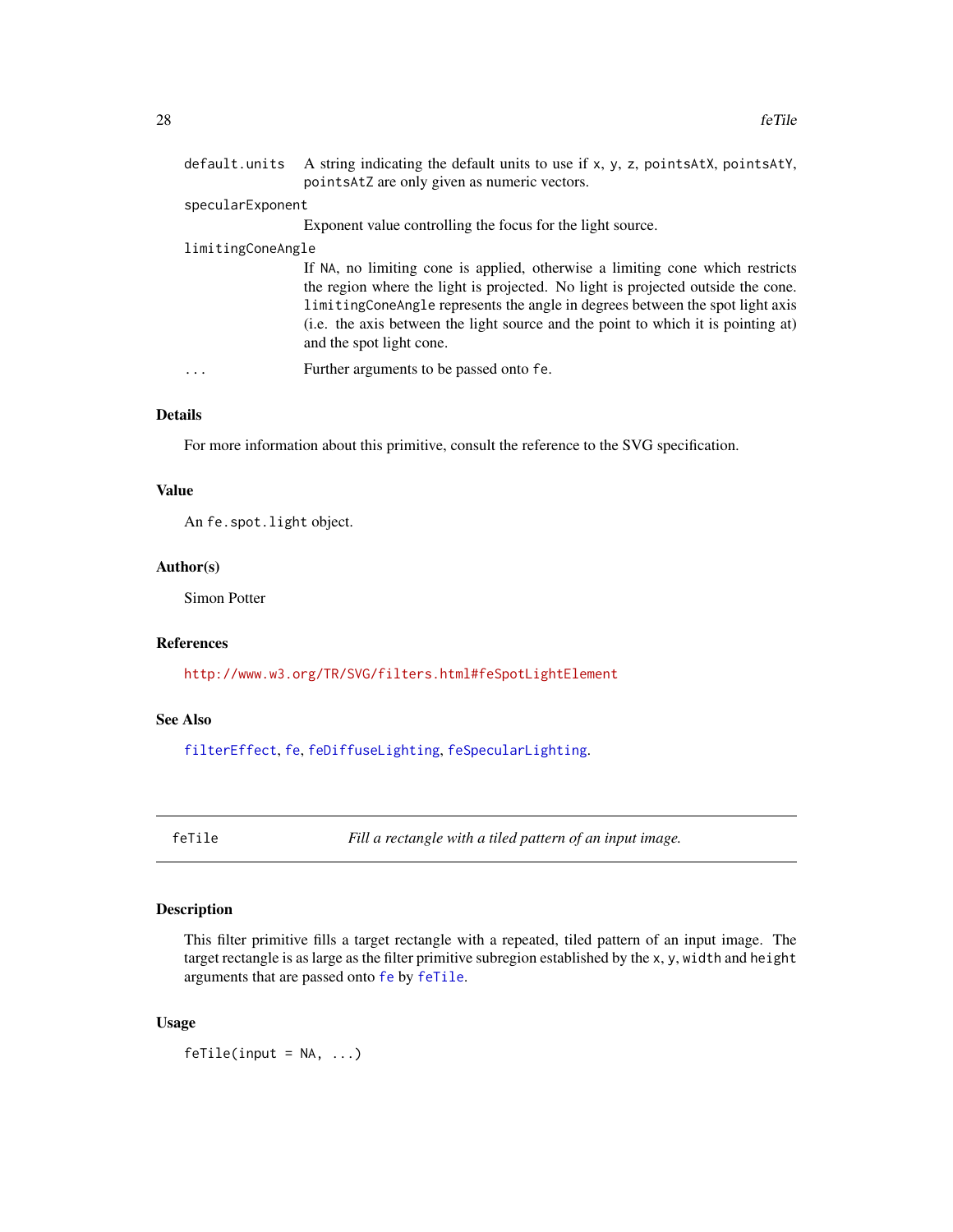<span id="page-27-0"></span>

|                   | default.units A string indicating the default units to use if x, y, z, pointsAtX, pointsAtY,<br>pointsAtZ are only given as numeric vectors.                                                                                                                                                                                                                        |
|-------------------|---------------------------------------------------------------------------------------------------------------------------------------------------------------------------------------------------------------------------------------------------------------------------------------------------------------------------------------------------------------------|
| specularExponent  |                                                                                                                                                                                                                                                                                                                                                                     |
|                   | Exponent value controlling the focus for the light source.                                                                                                                                                                                                                                                                                                          |
| limitingConeAngle |                                                                                                                                                                                                                                                                                                                                                                     |
|                   | If NA, no limiting cone is applied, otherwise a limiting cone which restricts<br>the region where the light is projected. No light is projected outside the cone.<br>limitingConeAngle represents the angle in degrees between the spot light axis<br>(i.e. the axis between the light source and the point to which it is pointing at)<br>and the spot light cone. |
| .                 | Further arguments to be passed onto fe.                                                                                                                                                                                                                                                                                                                             |
|                   |                                                                                                                                                                                                                                                                                                                                                                     |

# Details

For more information about this primitive, consult the reference to the SVG specification.

#### Value

An fe.spot.light object.

# Author(s)

Simon Potter

# References

<http://www.w3.org/TR/SVG/filters.html#feSpotLightElement>

#### See Also

[filterEffect](#page-31-1), [fe](#page-7-1), [feDiffuseLighting](#page-14-1), [feSpecularLighting](#page-25-1).

<span id="page-27-1"></span>feTile *Fill a rectangle with a tiled pattern of an input image.*

# Description

This filter primitive fills a target rectangle with a repeated, tiled pattern of an input image. The target rectangle is as large as the filter primitive subregion established by the x, y, width and height arguments that are passed onto [fe](#page-7-1) by [feTile](#page-27-1).

#### Usage

 $f$ eTile(input = NA, ...)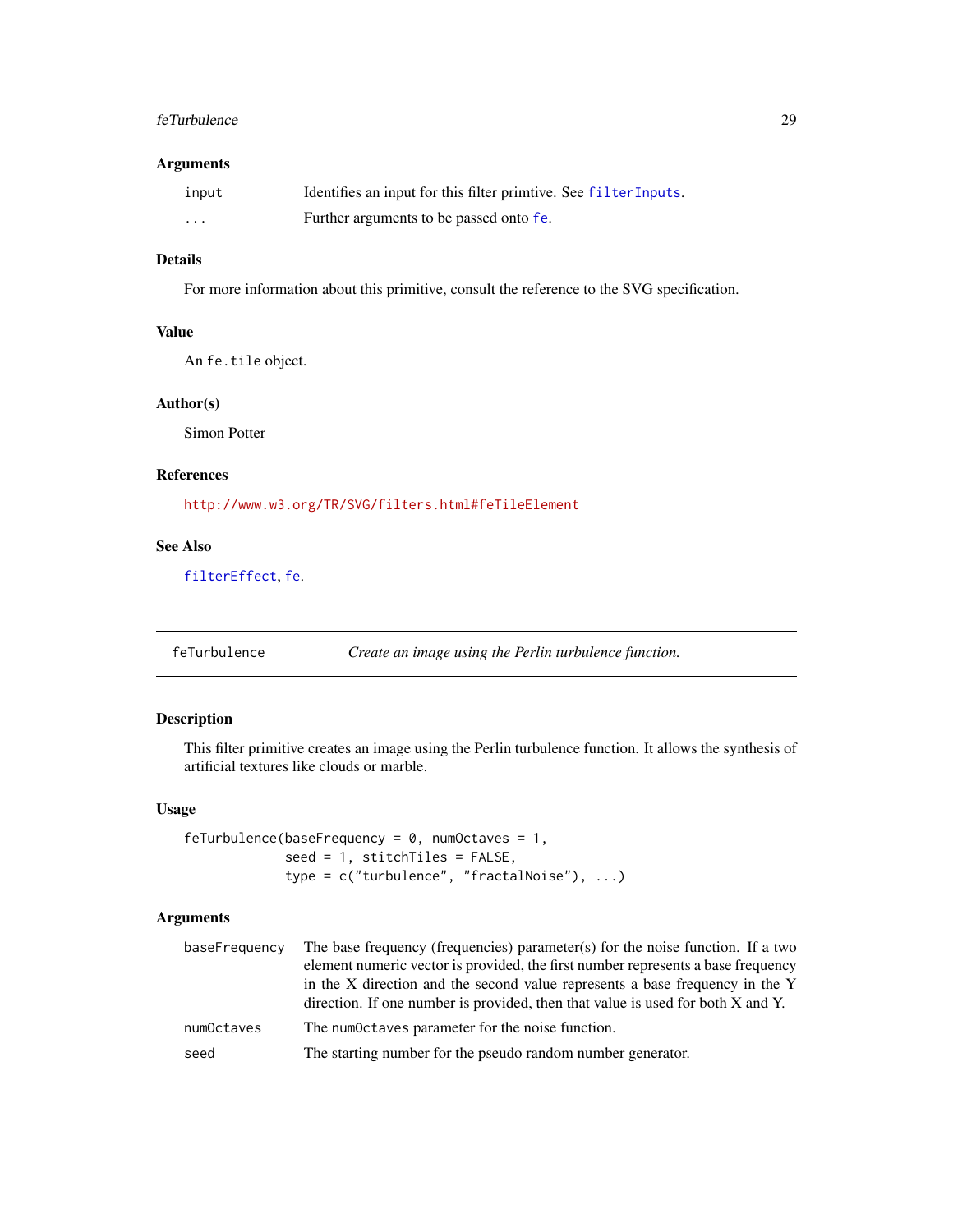#### <span id="page-28-0"></span>feTurbulence 29

#### Arguments

| input | Identifies an input for this filter primtive. See filterInputs. |
|-------|-----------------------------------------------------------------|
| .     | Further arguments to be passed onto fe.                         |

# Details

For more information about this primitive, consult the reference to the SVG specification.

# Value

An fe.tile object.

# Author(s)

Simon Potter

# References

<http://www.w3.org/TR/SVG/filters.html#feTileElement>

# See Also

[filterEffect](#page-31-1), [fe](#page-7-1).

feTurbulence *Create an image using the Perlin turbulence function.*

# Description

This filter primitive creates an image using the Perlin turbulence function. It allows the synthesis of artificial textures like clouds or marble.

#### Usage

```
feTurbulence(baseFrequency = 0, numOctaves = 1,
            seed = 1, stitchTiles = FALSE,
             type = c("turbulence", "fractalNoise"), ...)
```

| baseFrequency | The base frequency (frequencies) parameter(s) for the noise function. If a two<br>element numeric vector is provided, the first number represents a base frequency<br>in the X direction and the second value represents a base frequency in the Y<br>direction. If one number is provided, then that value is used for both X and Y. |  |
|---------------|---------------------------------------------------------------------------------------------------------------------------------------------------------------------------------------------------------------------------------------------------------------------------------------------------------------------------------------|--|
| numOctaves    | The numOctaves parameter for the noise function.                                                                                                                                                                                                                                                                                      |  |
| seed          | The starting number for the pseudo random number generator.                                                                                                                                                                                                                                                                           |  |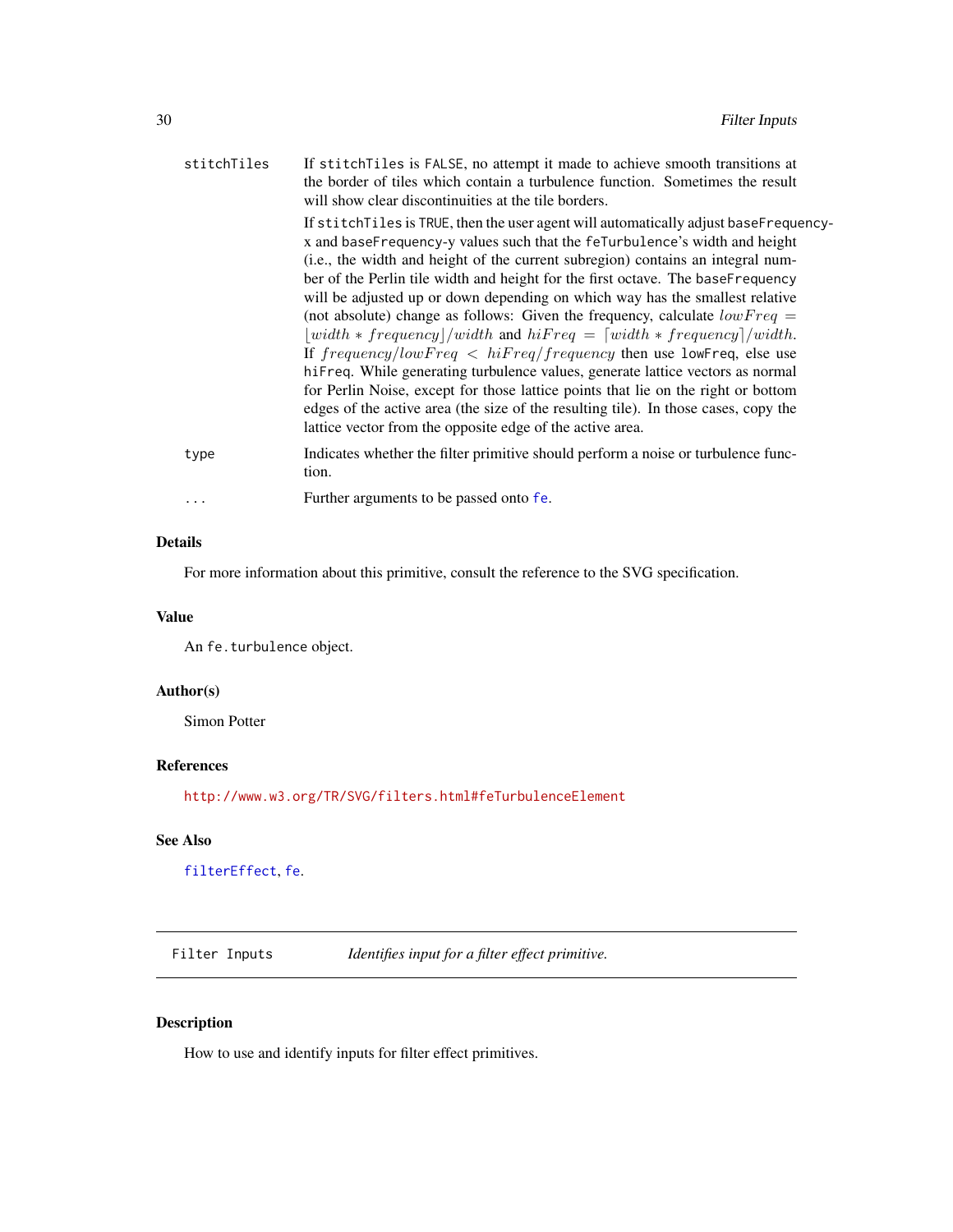<span id="page-29-0"></span>

| stitchTiles | If stitch Tiles is FALSE, no attempt it made to achieve smooth transitions at<br>the border of tiles which contain a turbulence function. Sometimes the result<br>will show clear discontinuities at the tile borders.<br>If stitch Tiles is TRUE, then the user agent will automatically adjust base Frequency-        |
|-------------|-------------------------------------------------------------------------------------------------------------------------------------------------------------------------------------------------------------------------------------------------------------------------------------------------------------------------|
|             | x and baseFrequency-y values such that the feTurbulence's width and height<br>(i.e., the width and height of the current subregion) contains an integral num-<br>ber of the Perlin tile width and height for the first octave. The baseFrequency                                                                        |
|             | will be adjusted up or down depending on which way has the smallest relative<br>(not absolute) change as follows: Given the frequency, calculate $lowFreq =$<br>$ width * frequency /width$ and $hifreq = [width * frequency]/width$ .<br>If $frequency/lowFreq < hifreq/frequency$ then use lowFreq, else use          |
|             | hiFreq. While generating turbulence values, generate lattice vectors as normal<br>for Perlin Noise, except for those lattice points that lie on the right or bottom<br>edges of the active area (the size of the resulting tile). In those cases, copy the<br>lattice vector from the opposite edge of the active area. |
| type        | Indicates whether the filter primitive should perform a noise or turbulence func-<br>tion.                                                                                                                                                                                                                              |
| $\cdots$    | Further arguments to be passed onto fe.                                                                                                                                                                                                                                                                                 |

# Details

For more information about this primitive, consult the reference to the SVG specification.

# Value

An fe.turbulence object.

# Author(s)

Simon Potter

# References

<http://www.w3.org/TR/SVG/filters.html#feTurbulenceElement>

# See Also

[filterEffect](#page-31-1), [fe](#page-7-1).

Filter Inputs *Identifies input for a filter effect primitive.*

# <span id="page-29-1"></span>Description

How to use and identify inputs for filter effect primitives.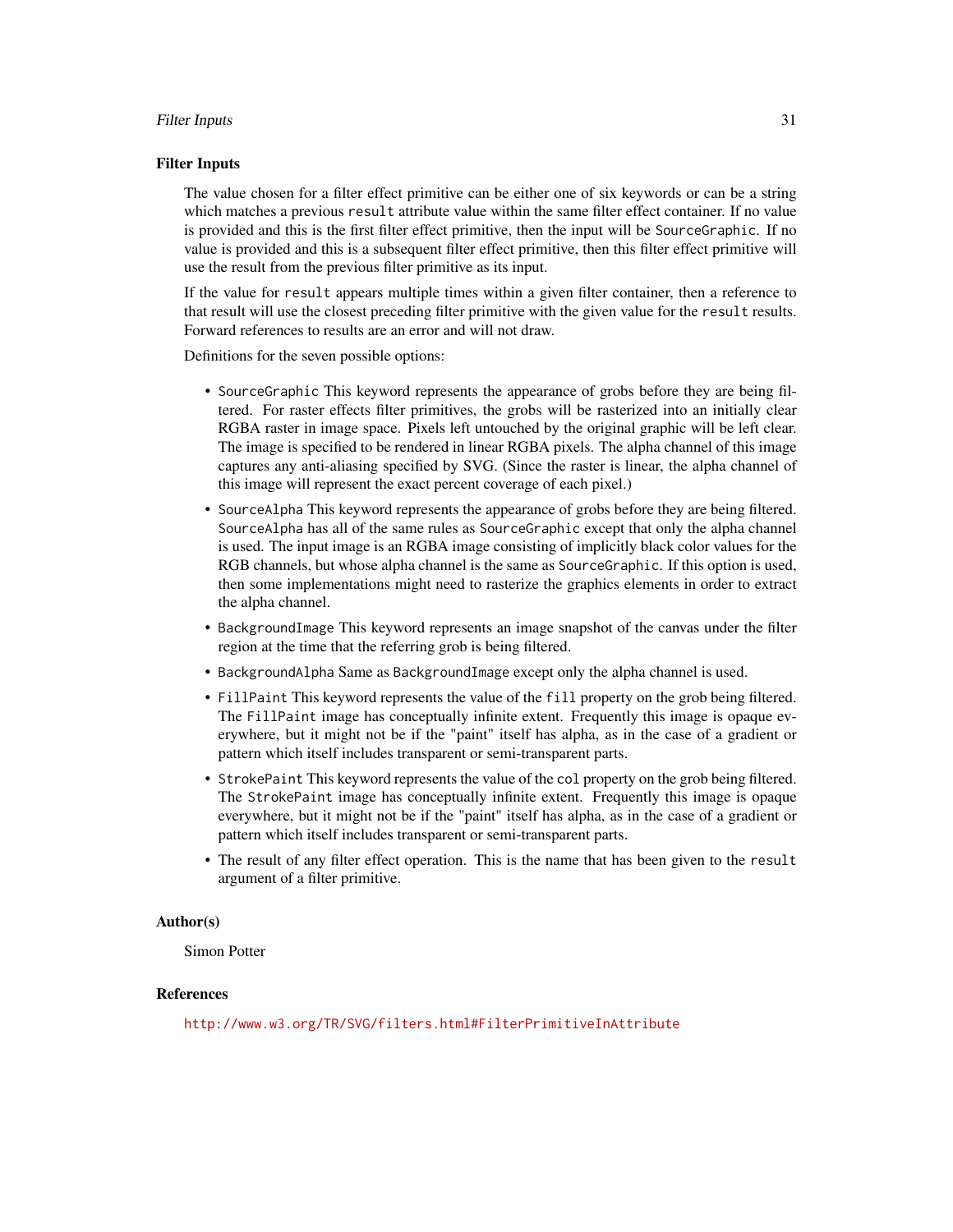#### Filter Inputs 31

#### Filter Inputs

The value chosen for a filter effect primitive can be either one of six keywords or can be a string which matches a previous result attribute value within the same filter effect container. If no value is provided and this is the first filter effect primitive, then the input will be SourceGraphic. If no value is provided and this is a subsequent filter effect primitive, then this filter effect primitive will use the result from the previous filter primitive as its input.

If the value for result appears multiple times within a given filter container, then a reference to that result will use the closest preceding filter primitive with the given value for the result results. Forward references to results are an error and will not draw.

Definitions for the seven possible options:

- SourceGraphic This keyword represents the appearance of grobs before they are being filtered. For raster effects filter primitives, the grobs will be rasterized into an initially clear RGBA raster in image space. Pixels left untouched by the original graphic will be left clear. The image is specified to be rendered in linear RGBA pixels. The alpha channel of this image captures any anti-aliasing specified by SVG. (Since the raster is linear, the alpha channel of this image will represent the exact percent coverage of each pixel.)
- SourceAlpha This keyword represents the appearance of grobs before they are being filtered. SourceAlpha has all of the same rules as SourceGraphic except that only the alpha channel is used. The input image is an RGBA image consisting of implicitly black color values for the RGB channels, but whose alpha channel is the same as SourceGraphic. If this option is used, then some implementations might need to rasterize the graphics elements in order to extract the alpha channel.
- BackgroundImage This keyword represents an image snapshot of the canvas under the filter region at the time that the referring grob is being filtered.
- BackgroundAlpha Same as BackgroundImage except only the alpha channel is used.
- FillPaint This keyword represents the value of the fill property on the grob being filtered. The FillPaint image has conceptually infinite extent. Frequently this image is opaque everywhere, but it might not be if the "paint" itself has alpha, as in the case of a gradient or pattern which itself includes transparent or semi-transparent parts.
- StrokePaint This keyword represents the value of the col property on the grob being filtered. The StrokePaint image has conceptually infinite extent. Frequently this image is opaque everywhere, but it might not be if the "paint" itself has alpha, as in the case of a gradient or pattern which itself includes transparent or semi-transparent parts.
- The result of any filter effect operation. This is the name that has been given to the result argument of a filter primitive.

#### Author(s)

Simon Potter

# References

<http://www.w3.org/TR/SVG/filters.html#FilterPrimitiveInAttribute>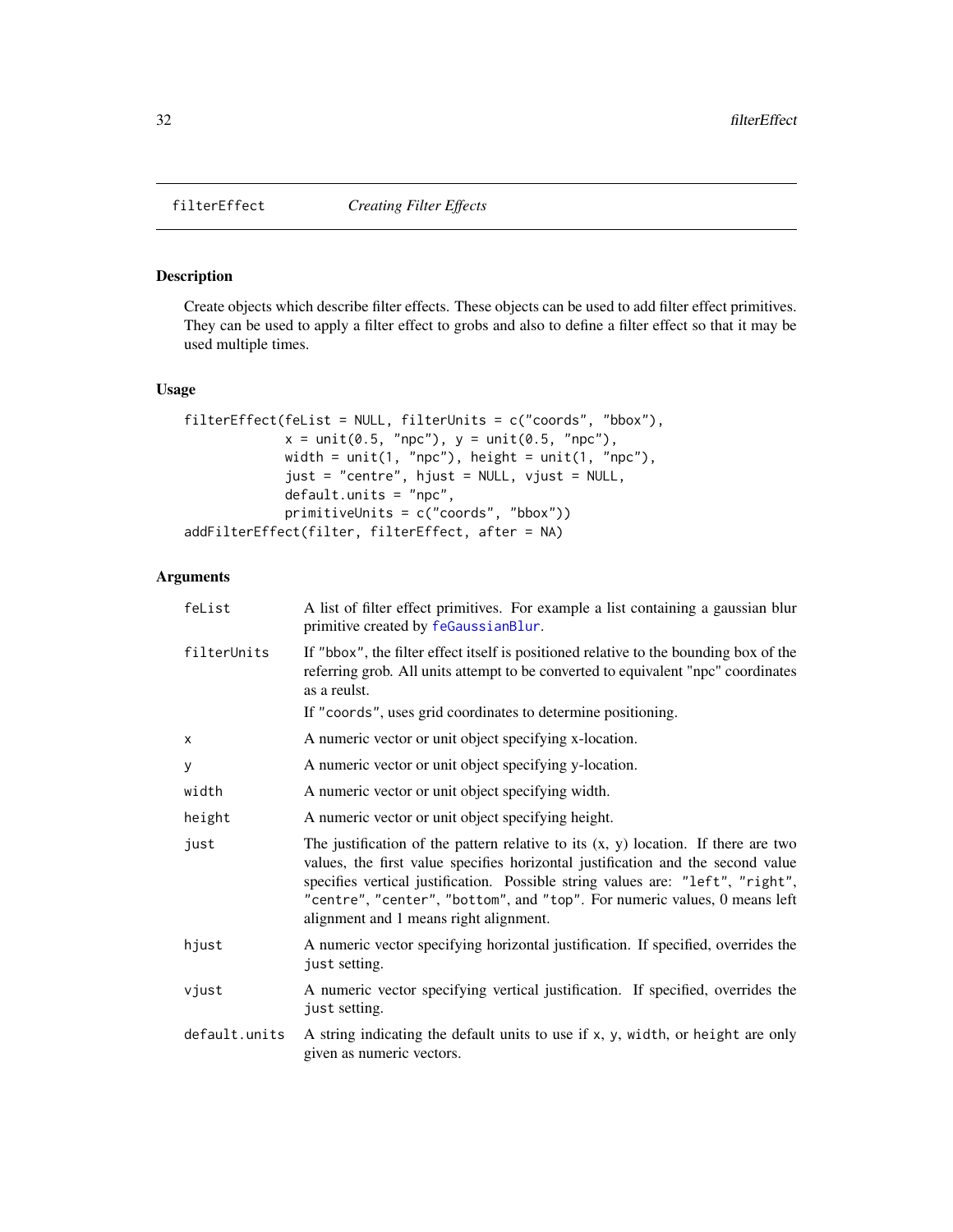<span id="page-31-1"></span><span id="page-31-0"></span>

Create objects which describe filter effects. These objects can be used to add filter effect primitives. They can be used to apply a filter effect to grobs and also to define a filter effect so that it may be used multiple times.

#### Usage

```
filterEffect(feList = NULL, filterUnits = c("coords", "bbox"),
            x = unit(0.5, "npc"), y = unit(0.5, "npc"),width = unit(1, 'npc"), height = unit(1, 'npc"),
             just = "centre", hjust = NULL, vjust = NULL,
             default.units = "npc",
             primitiveUnits = c("coords", "bbox"))
addFilterEffect(filter, filterEffect, after = NA)
```

| feList        | A list of filter effect primitives. For example a list containing a gaussian blur<br>primitive created by feGaussianBlur.                                                                                                                                                                                                                                                        |  |
|---------------|----------------------------------------------------------------------------------------------------------------------------------------------------------------------------------------------------------------------------------------------------------------------------------------------------------------------------------------------------------------------------------|--|
| filterUnits   | If "bbox", the filter effect itself is positioned relative to the bounding box of the<br>referring grob. All units attempt to be converted to equivalent "npc" coordinates<br>as a reulst.                                                                                                                                                                                       |  |
|               | If "coords", uses grid coordinates to determine positioning.                                                                                                                                                                                                                                                                                                                     |  |
| x             | A numeric vector or unit object specifying x-location.                                                                                                                                                                                                                                                                                                                           |  |
| У             | A numeric vector or unit object specifying y-location.                                                                                                                                                                                                                                                                                                                           |  |
| width         | A numeric vector or unit object specifying width.                                                                                                                                                                                                                                                                                                                                |  |
| height        | A numeric vector or unit object specifying height.                                                                                                                                                                                                                                                                                                                               |  |
| just          | The justification of the pattern relative to its $(x, y)$ location. If there are two<br>values, the first value specifies horizontal justification and the second value<br>specifies vertical justification. Possible string values are: "left", "right",<br>"centre", "center", "bottom", and "top". For numeric values, 0 means left<br>alignment and 1 means right alignment. |  |
| hjust         | A numeric vector specifying horizontal justification. If specified, overrides the<br>just setting.                                                                                                                                                                                                                                                                               |  |
| vjust         | A numeric vector specifying vertical justification. If specified, overrides the<br>just setting.                                                                                                                                                                                                                                                                                 |  |
| default.units | A string indicating the default units to use if x, y, width, or height are only<br>given as numeric vectors.                                                                                                                                                                                                                                                                     |  |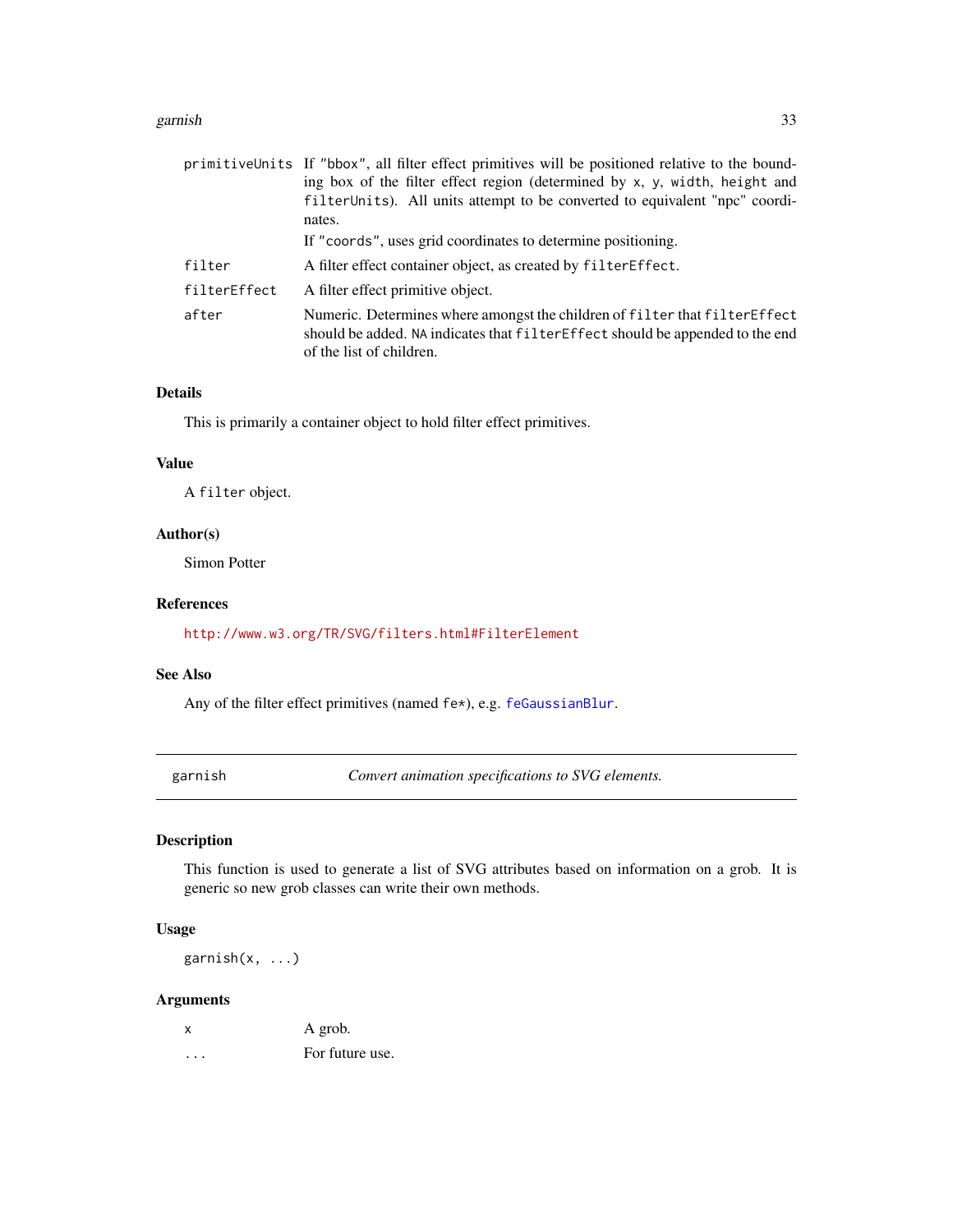#### <span id="page-32-0"></span>garnish 33

|              | primitiveUnits If "bbox", all filter effect primitives will be positioned relative to the bound-<br>ing box of the filter effect region (determined by x, y, width, height and<br>filter Units). All units attempt to be converted to equivalent "npc" coordi-<br>nates. |
|--------------|--------------------------------------------------------------------------------------------------------------------------------------------------------------------------------------------------------------------------------------------------------------------------|
|              | If "coords", uses grid coordinates to determine positioning.                                                                                                                                                                                                             |
| filter       | A filter effect container object, as created by filter Effect.                                                                                                                                                                                                           |
| filterEffect | A filter effect primitive object.                                                                                                                                                                                                                                        |
| after        | Numeric. Determines where amongst the children of filter that filter Effect<br>should be added. NA indicates that filter Effect should be appended to the end<br>of the list of children.                                                                                |

# Details

This is primarily a container object to hold filter effect primitives.

#### Value

A filter object.

# Author(s)

Simon Potter

#### References

<http://www.w3.org/TR/SVG/filters.html#FilterElement>

#### See Also

Any of the filter effect primitives (named fe\*), e.g. [feGaussianBlur](#page-19-1).

garnish *Convert animation specifications to SVG elements.*

# Description

This function is used to generate a list of SVG attributes based on information on a grob. It is generic so new grob classes can write their own methods.

# Usage

garnish(x, ...)

| x | A grob.         |
|---|-----------------|
| . | For future use. |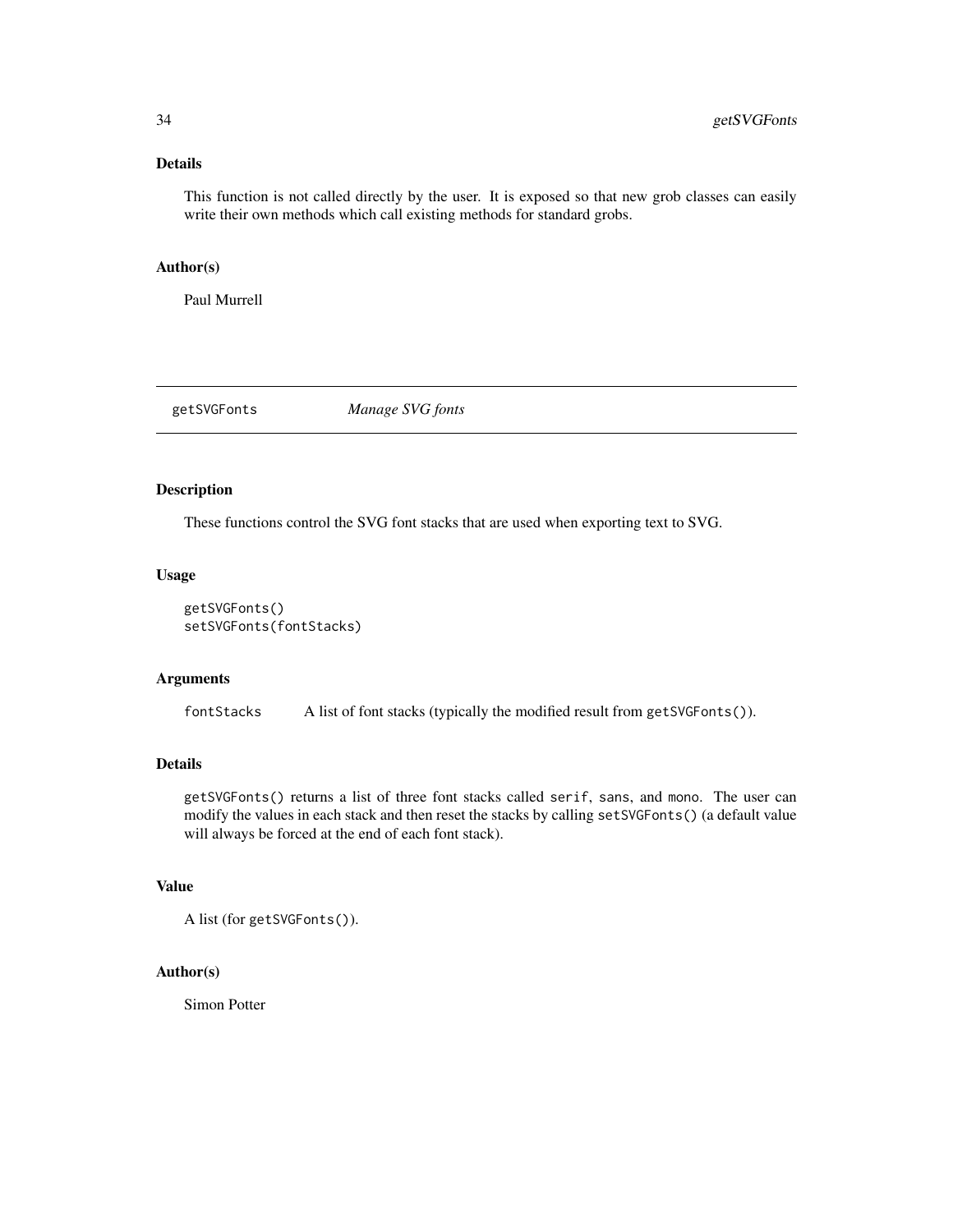#### <span id="page-33-0"></span>Details

This function is not called directly by the user. It is exposed so that new grob classes can easily write their own methods which call existing methods for standard grobs.

# Author(s)

Paul Murrell

getSVGFonts *Manage SVG fonts*

# Description

These functions control the SVG font stacks that are used when exporting text to SVG.

# Usage

```
getSVGFonts()
setSVGFonts(fontStacks)
```
# Arguments

fontStacks A list of font stacks (typically the modified result from getSVGFonts()).

# Details

getSVGFonts() returns a list of three font stacks called serif, sans, and mono. The user can modify the values in each stack and then reset the stacks by calling setSVGFonts() (a default value will always be forced at the end of each font stack).

#### Value

A list (for getSVGFonts()).

# Author(s)

Simon Potter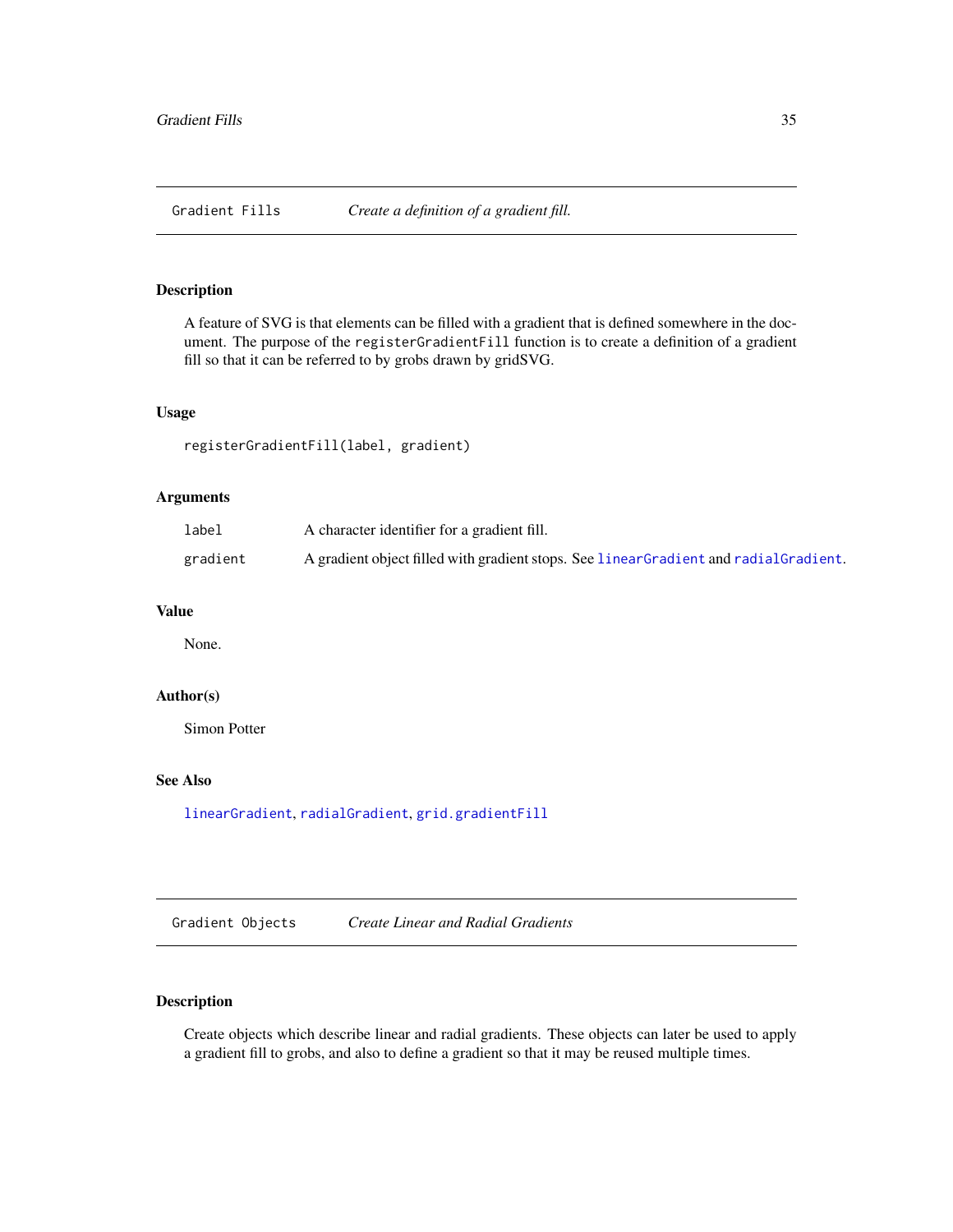<span id="page-34-0"></span>Gradient Fills *Create a definition of a gradient fill.*

# <span id="page-34-2"></span>Description

A feature of SVG is that elements can be filled with a gradient that is defined somewhere in the document. The purpose of the registerGradientFill function is to create a definition of a gradient fill so that it can be referred to by grobs drawn by gridSVG.

#### Usage

registerGradientFill(label, gradient)

# Arguments

| label    | A character identifier for a gradient fill.                                            |
|----------|----------------------------------------------------------------------------------------|
| gradient | A gradient object filled with gradient stops. See linear Gradient and radial Gradient. |

#### Value

None.

#### Author(s)

Simon Potter

# See Also

[linearGradient](#page-34-1), [radialGradient](#page-34-1), [grid.gradientFill](#page-45-1)

Gradient Objects *Create Linear and Radial Gradients*

# <span id="page-34-1"></span>Description

Create objects which describe linear and radial gradients. These objects can later be used to apply a gradient fill to grobs, and also to define a gradient so that it may be reused multiple times.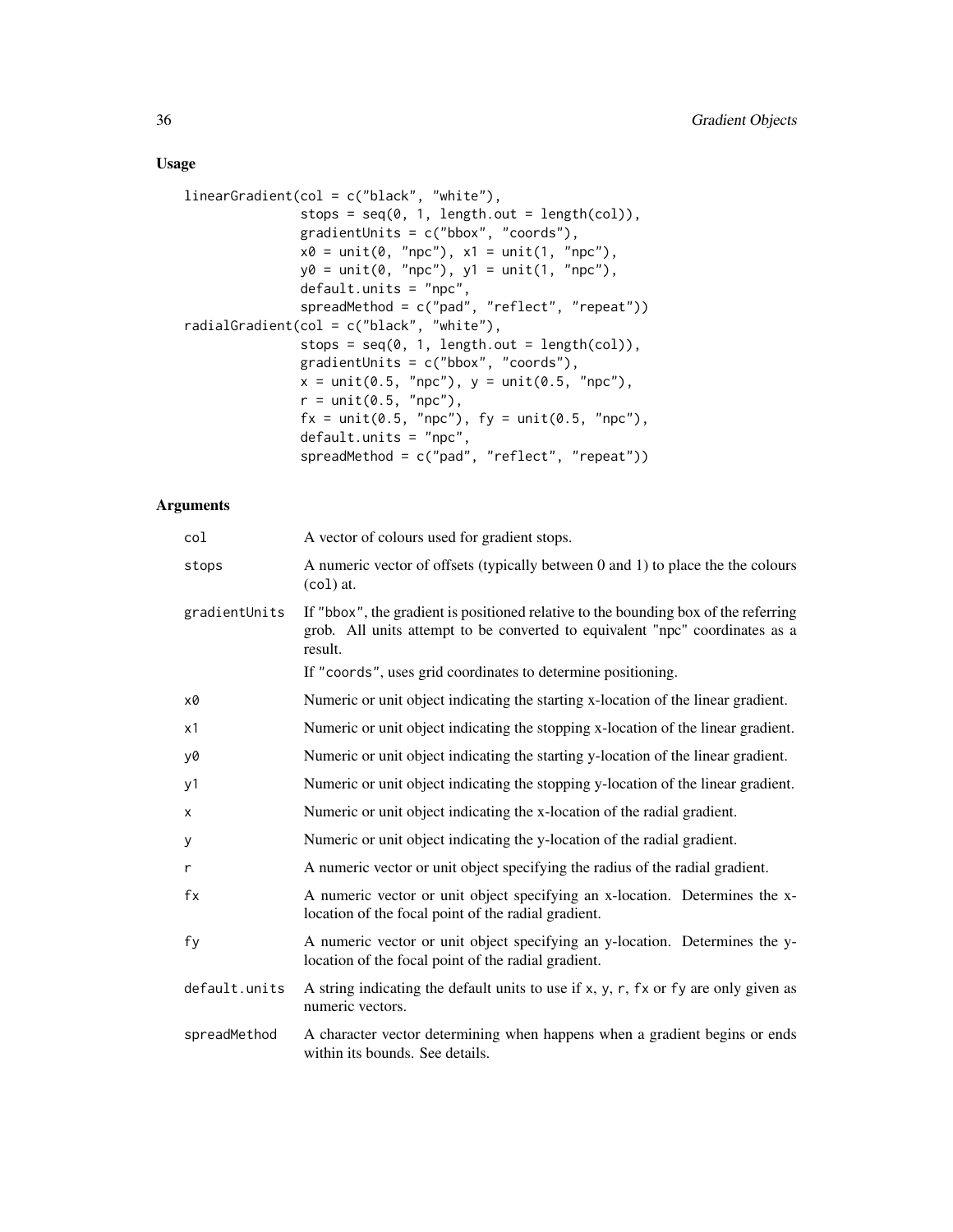# Usage

```
linearGradient(col = c("black", "white"),
              stops = seq(0, 1, length.out = length(col)),gradientUnits = c("bbox", "coords"),
              x0 = unit(0, "npc"), x1 = unit(1, "npc"),y0 = unit(0, 'mpc"), y1 = unit(1, 'mpc"),default.units = "npc",
              spreadMethod = c("pad", "reflect", "repeat"))
radialGradient(col = c("black", "white"),
              stops = seq(0, 1, length.out = length(col)),gradientUnits = c("bbox", "coords"),
               x = unit(0.5, "npc"), y = unit(0.5, "npc"),r = unit(0.5, "npc"),fx = unit(0.5, 'npc"), fy = unit(0.5, 'npc"),default.units = "npc",
               spreadMethod = c("pad", "reflect", "repeat"))
```

| col           | A vector of colours used for gradient stops.                                                                                                                                   |
|---------------|--------------------------------------------------------------------------------------------------------------------------------------------------------------------------------|
| stops         | A numeric vector of offsets (typically between 0 and 1) to place the the colours<br>$(col)$ at.                                                                                |
| gradientUnits | If "bbox", the gradient is positioned relative to the bounding box of the referring<br>grob. All units attempt to be converted to equivalent "npc" coordinates as a<br>result. |
|               | If "coords", uses grid coordinates to determine positioning.                                                                                                                   |
| x0            | Numeric or unit object indicating the starting x-location of the linear gradient.                                                                                              |
| х1            | Numeric or unit object indicating the stopping x-location of the linear gradient.                                                                                              |
| y0            | Numeric or unit object indicating the starting y-location of the linear gradient.                                                                                              |
| y1            | Numeric or unit object indicating the stopping y-location of the linear gradient.                                                                                              |
| x             | Numeric or unit object indicating the x-location of the radial gradient.                                                                                                       |
| У             | Numeric or unit object indicating the y-location of the radial gradient.                                                                                                       |
| r             | A numeric vector or unit object specifying the radius of the radial gradient.                                                                                                  |
| fx            | A numeric vector or unit object specifying an x-location. Determines the x-<br>location of the focal point of the radial gradient.                                             |
| fv            | A numeric vector or unit object specifying an y-location. Determines the y-<br>location of the focal point of the radial gradient.                                             |
| default.units | A string indicating the default units to use if x, y, r, fx or fy are only given as<br>numeric vectors.                                                                        |
| spreadMethod  | A character vector determining when happens when a gradient begins or ends<br>within its bounds. See details.                                                                  |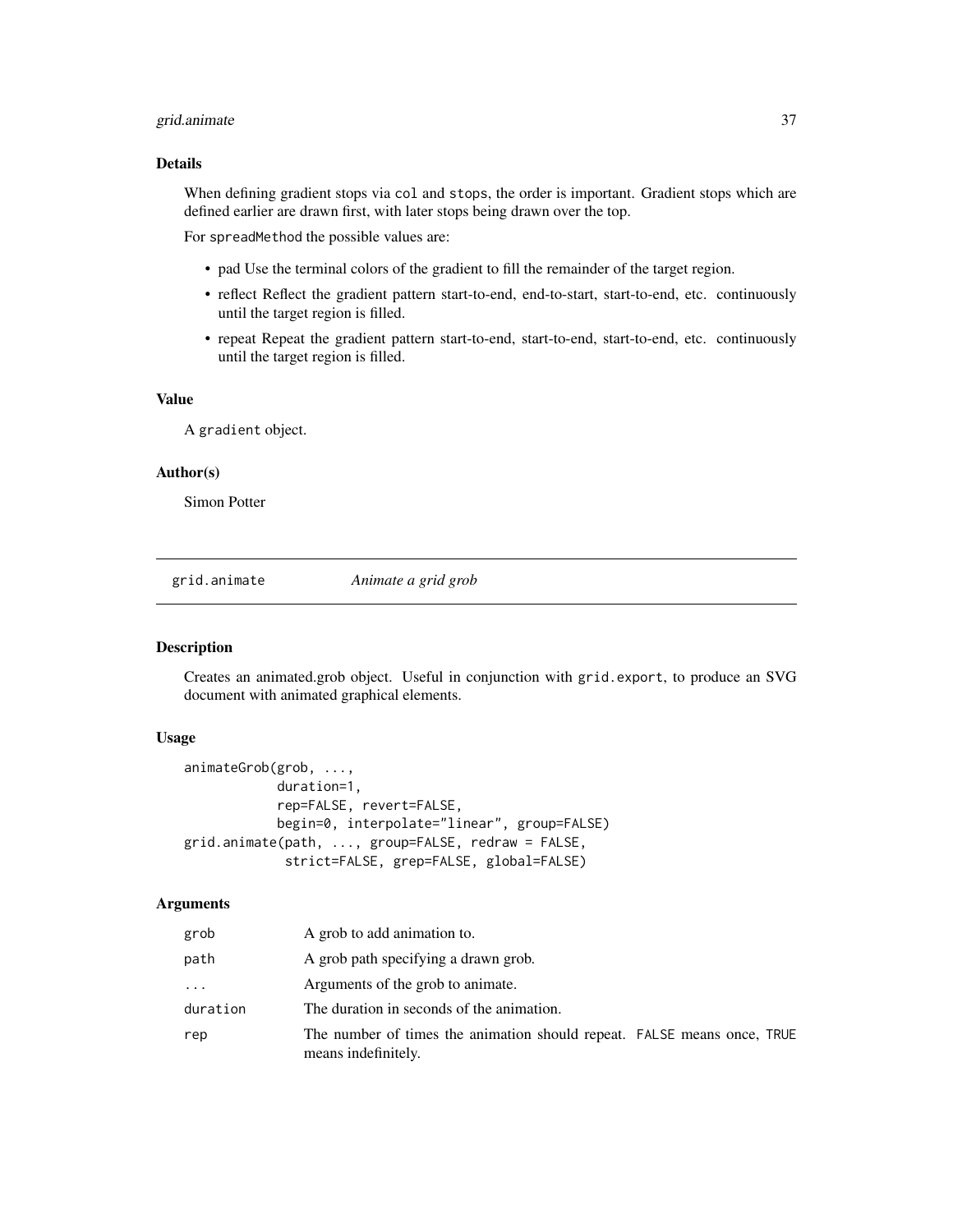# <span id="page-36-0"></span>grid.animate 37

# Details

When defining gradient stops via col and stops, the order is important. Gradient stops which are defined earlier are drawn first, with later stops being drawn over the top.

For spreadMethod the possible values are:

- pad Use the terminal colors of the gradient to fill the remainder of the target region.
- reflect Reflect the gradient pattern start-to-end, end-to-start, start-to-end, etc. continuously until the target region is filled.
- repeat Repeat the gradient pattern start-to-end, start-to-end, start-to-end, etc. continuously until the target region is filled.

#### Value

A gradient object.

#### Author(s)

Simon Potter

<span id="page-36-1"></span>grid.animate *Animate a grid grob*

#### Description

Creates an animated.grob object. Useful in conjunction with grid.export, to produce an SVG document with animated graphical elements.

# Usage

```
animateGrob(grob, ...,
            duration=1,
            rep=FALSE, revert=FALSE,
            begin=0, interpolate="linear", group=FALSE)
grid.animate(path, ..., group=FALSE, redraw = FALSE,
             strict=FALSE, grep=FALSE, global=FALSE)
```

| grob     | A grob to add animation to.                                                                    |
|----------|------------------------------------------------------------------------------------------------|
| path     | A grob path specifying a drawn grob.                                                           |
| $\cdots$ | Arguments of the grob to animate.                                                              |
| duration | The duration in seconds of the animation.                                                      |
| rep      | The number of times the animation should repeat. FALSE means once, TRUE<br>means indefinitely. |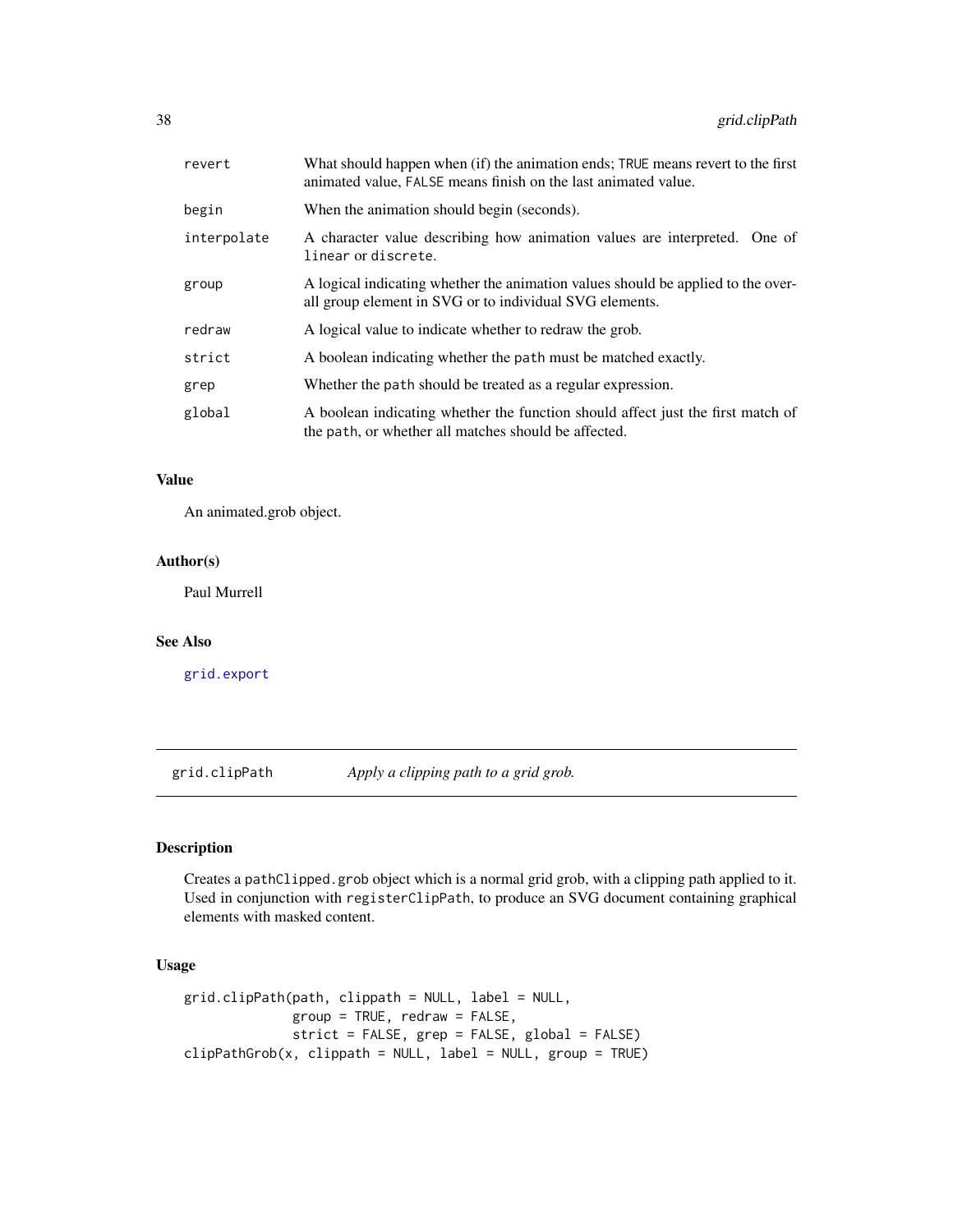<span id="page-37-0"></span>

| revert      | What should happen when (if) the animation ends; TRUE means revert to the first<br>animated value, FALSE means finish on the last animated value. |
|-------------|---------------------------------------------------------------------------------------------------------------------------------------------------|
| begin       | When the animation should begin (seconds).                                                                                                        |
| interpolate | A character value describing how animation values are interpreted. One of<br>linear or discrete.                                                  |
| group       | A logical indicating whether the animation values should be applied to the over-<br>all group element in SVG or to individual SVG elements.       |
| redraw      | A logical value to indicate whether to redraw the grob.                                                                                           |
| strict      | A boolean indicating whether the path must be matched exactly.                                                                                    |
| grep        | Whether the path should be treated as a regular expression.                                                                                       |
| global      | A boolean indicating whether the function should affect just the first match of<br>the path, or whether all matches should be affected.           |

# Value

An animated.grob object.

# Author(s)

Paul Murrell

# See Also

[grid.export](#page-40-1)

<span id="page-37-1"></span>grid.clipPath *Apply a clipping path to a grid grob.*

# Description

Creates a pathClipped.grob object which is a normal grid grob, with a clipping path applied to it. Used in conjunction with registerClipPath, to produce an SVG document containing graphical elements with masked content.

# Usage

```
grid.clipPath(path, clippath = NULL, label = NULL,
             group = TRUE, redraw = FALSE,
              strict = FALSE, grep = FALSE, global = FALSE)
clipPathGrob(x, clippath = NULL, label = NULL, group = TRUE)
```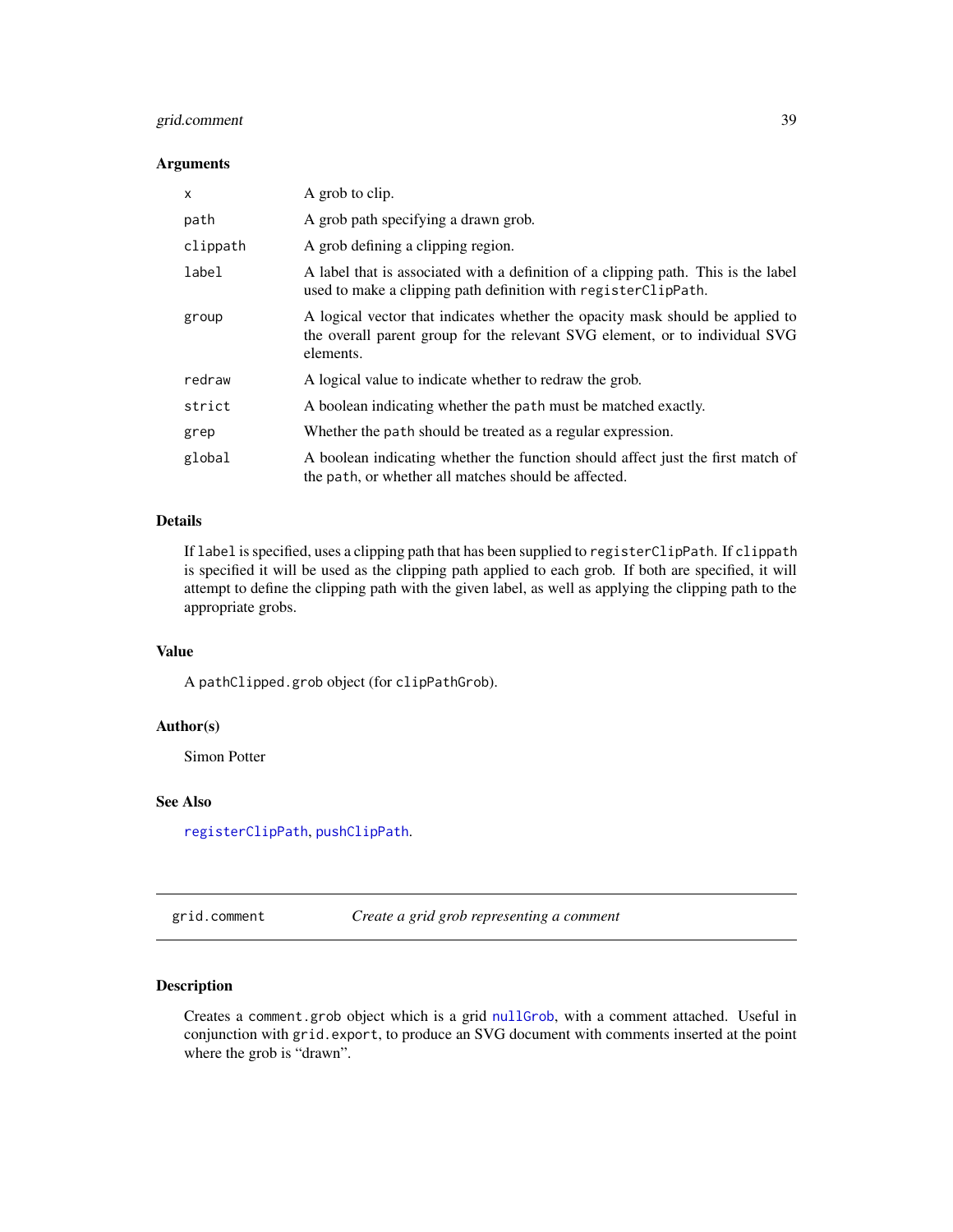# <span id="page-38-0"></span>grid.comment 39

#### Arguments

| X        | A grob to clip.                                                                                                                                                           |
|----------|---------------------------------------------------------------------------------------------------------------------------------------------------------------------------|
| path     | A grob path specifying a drawn grob.                                                                                                                                      |
| clippath | A grob defining a clipping region.                                                                                                                                        |
| label    | A label that is associated with a definition of a clipping path. This is the label<br>used to make a clipping path definition with registerClipPath.                      |
| group    | A logical vector that indicates whether the opacity mask should be applied to<br>the overall parent group for the relevant SVG element, or to individual SVG<br>elements. |
| redraw   | A logical value to indicate whether to redraw the grob.                                                                                                                   |
| strict   | A boolean indicating whether the path must be matched exactly.                                                                                                            |
| grep     | Whether the path should be treated as a regular expression.                                                                                                               |
| global   | A boolean indicating whether the function should affect just the first match of<br>the path, or whether all matches should be affected.                                   |

# Details

If label is specified, uses a clipping path that has been supplied to registerClipPath. If clippath is specified it will be used as the clipping path applied to each grob. If both are specified, it will attempt to define the clipping path with the given label, as well as applying the clipping path to the appropriate grobs.

# Value

A pathClipped.grob object (for clipPathGrob).

# Author(s)

Simon Potter

#### See Also

[registerClipPath](#page-4-1), [pushClipPath](#page-61-1).

grid.comment *Create a grid grob representing a comment*

### Description

Creates a comment.grob object which is a grid [nullGrob](#page-0-0), with a comment attached. Useful in conjunction with grid.export, to produce an SVG document with comments inserted at the point where the grob is "drawn".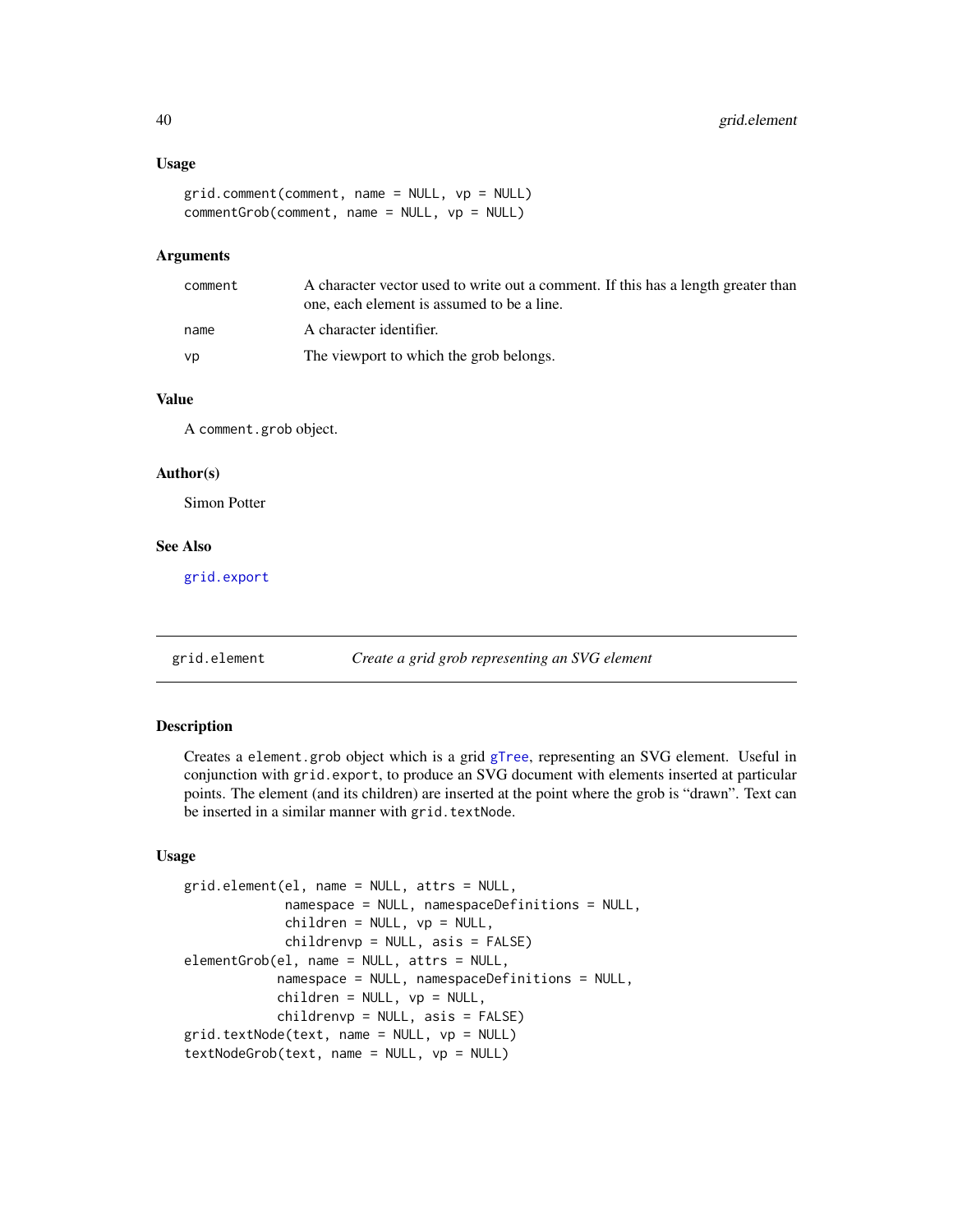#### <span id="page-39-0"></span>Usage

```
grid.comment(comment, name = NULL, vp = NULL)
commentGrob(comment, name = NULL, vp = NULL)
```
# Arguments

| comment | A character vector used to write out a comment. If this has a length greater than<br>one, each element is assumed to be a line. |
|---------|---------------------------------------------------------------------------------------------------------------------------------|
| name    | A character identifier.                                                                                                         |
| vp      | The viewport to which the grob belongs.                                                                                         |

#### Value

A comment.grob object.

# Author(s)

Simon Potter

# See Also

[grid.export](#page-40-1)

<span id="page-39-1"></span>grid.element *Create a grid grob representing an SVG element*

#### Description

Creates a element.grob object which is a grid [gTree](#page-0-0), representing an SVG element. Useful in conjunction with grid.export, to produce an SVG document with elements inserted at particular points. The element (and its children) are inserted at the point where the grob is "drawn". Text can be inserted in a similar manner with grid.textNode.

#### Usage

```
grid.element(el, name = NULL, attrs = NULL,
            namespace = NULL, namespaceDefinitions = NULL,
            children = NULL, vp = NULL,
            childrenvp = NULL, asis = FALSE)
elementGrob(el, name = NULL, attrs = NULL,
            namespace = NULL, namespaceDefinitions = NULL,
            children = NULL, vp = NULL,childrenvp = NULL, asis = FALSE)
grid.textNode(text, name = NULL, vp = NULL)
textNodeGrob(text, name = NULL, vp = NULL)
```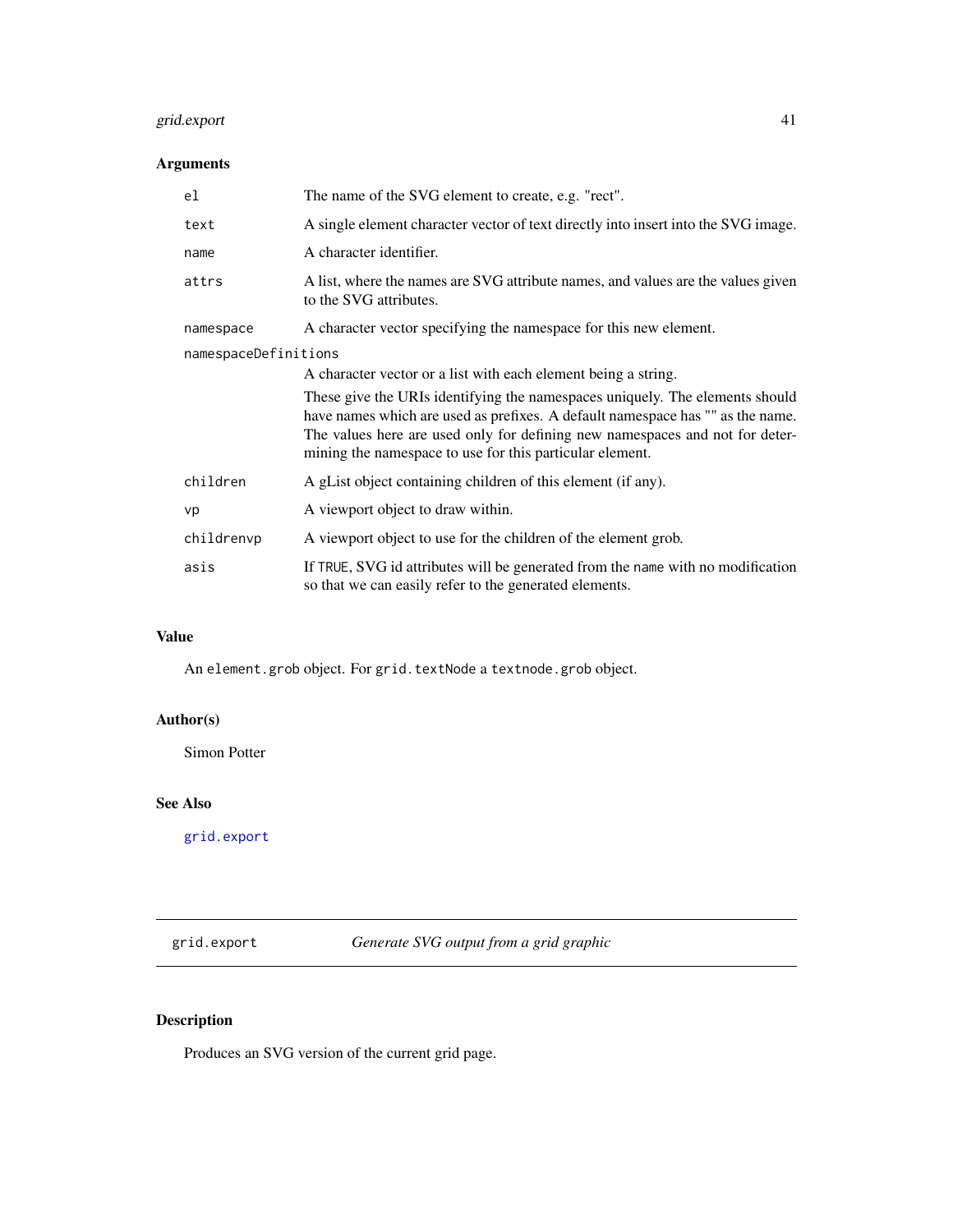# <span id="page-40-0"></span>grid.export 41

# Arguments

| el                   | The name of the SVG element to create, e.g. "rect".                                                                                                                                                                                                                                                        |
|----------------------|------------------------------------------------------------------------------------------------------------------------------------------------------------------------------------------------------------------------------------------------------------------------------------------------------------|
| text                 | A single element character vector of text directly into insert into the SVG image.                                                                                                                                                                                                                         |
| name                 | A character identifier.                                                                                                                                                                                                                                                                                    |
| attrs                | A list, where the names are SVG attribute names, and values are the values given<br>to the SVG attributes.                                                                                                                                                                                                 |
| namespace            | A character vector specifying the namespace for this new element.                                                                                                                                                                                                                                          |
| namespaceDefinitions |                                                                                                                                                                                                                                                                                                            |
|                      | A character vector or a list with each element being a string.                                                                                                                                                                                                                                             |
|                      | These give the URIs identifying the namespaces uniquely. The elements should<br>have names which are used as prefixes. A default namespace has "" as the name.<br>The values here are used only for defining new namespaces and not for deter-<br>mining the namespace to use for this particular element. |
| children             | A gList object containing children of this element (if any).                                                                                                                                                                                                                                               |
| vp                   | A viewport object to draw within.                                                                                                                                                                                                                                                                          |
| childrenvp           | A viewport object to use for the children of the element grob.                                                                                                                                                                                                                                             |
| asis                 | If TRUE, SVG id attributes will be generated from the name with no modification<br>so that we can easily refer to the generated elements.                                                                                                                                                                  |

# Value

An element.grob object. For grid.textNode a textnode.grob object.

# Author(s)

Simon Potter

# See Also

[grid.export](#page-40-1)

<span id="page-40-1"></span>grid.export *Generate SVG output from a grid graphic*

# Description

Produces an SVG version of the current grid page.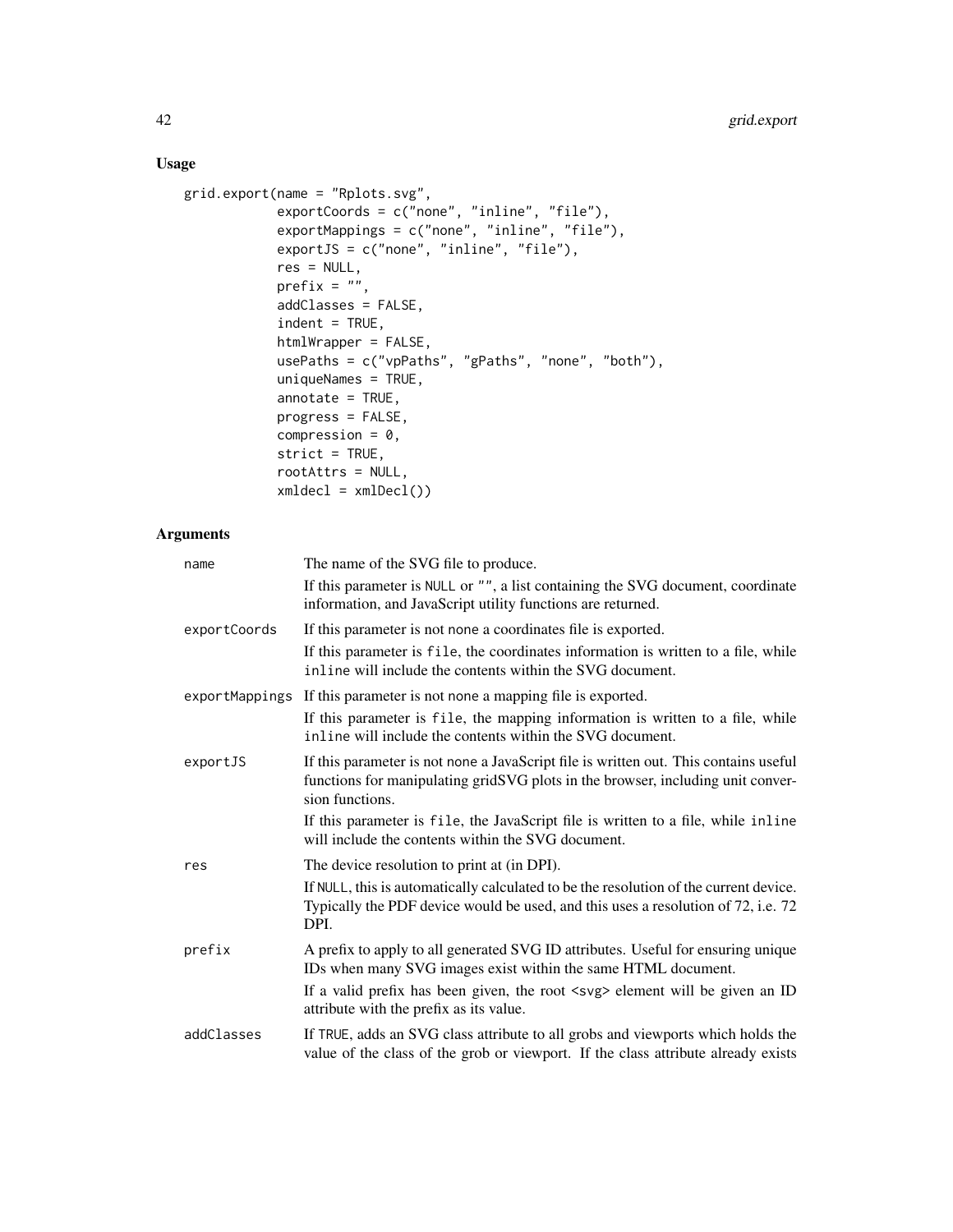# Usage

```
grid.export(name = "Rplots.svg",
           exportCoords = c("none", "inline", "file"),
           exportMappings = c("none", "inline", "file"),
            exportJS = c("none", "inline", "file"),
            res = NULL,
            prefix = "",addClasses = FALSE,
            indent = TRUE,htmlWrapper = FALSE,
           usePaths = c("vpPaths", "gPaths", "none", "both"),
            uniqueNames = TRUE,
            annotate = TRUE,progress = FALSE,
            compression = 0,
            strict = TRUE,
            rootAttrs = NULL,
            xmldec1 = xmlDec1()
```

| name         | The name of the SVG file to produce.                                                                                                                                                       |
|--------------|--------------------------------------------------------------------------------------------------------------------------------------------------------------------------------------------|
|              | If this parameter is NULL or "", a list containing the SVG document, coordinate<br>information, and JavaScript utility functions are returned.                                             |
| exportCoords | If this parameter is not none a coordinates file is exported.                                                                                                                              |
|              | If this parameter is file, the coordinates information is written to a file, while<br>inline will include the contents within the SVG document.                                            |
|              | exportMappings If this parameter is not none a mapping file is exported.                                                                                                                   |
|              | If this parameter is file, the mapping information is written to a file, while<br>inline will include the contents within the SVG document.                                                |
| exportJS     | If this parameter is not none a JavaScript file is written out. This contains useful<br>functions for manipulating gridSVG plots in the browser, including unit conver-<br>sion functions. |
|              | If this parameter is file, the JavaScript file is written to a file, while inline<br>will include the contents within the SVG document.                                                    |
| res          | The device resolution to print at (in DPI).                                                                                                                                                |
|              | If NULL, this is automatically calculated to be the resolution of the current device.<br>Typically the PDF device would be used, and this uses a resolution of 72, i.e. 72<br>DPI.         |
| prefix       | A prefix to apply to all generated SVG ID attributes. Useful for ensuring unique<br>IDs when many SVG images exist within the same HTML document.                                          |
|              | If a valid prefix has been given, the root <svg> element will be given an ID<br/>attribute with the prefix as its value.</svg>                                                             |
| addClasses   | If TRUE, adds an SVG class attribute to all grobs and viewports which holds the<br>value of the class of the grob or viewport. If the class attribute already exists                       |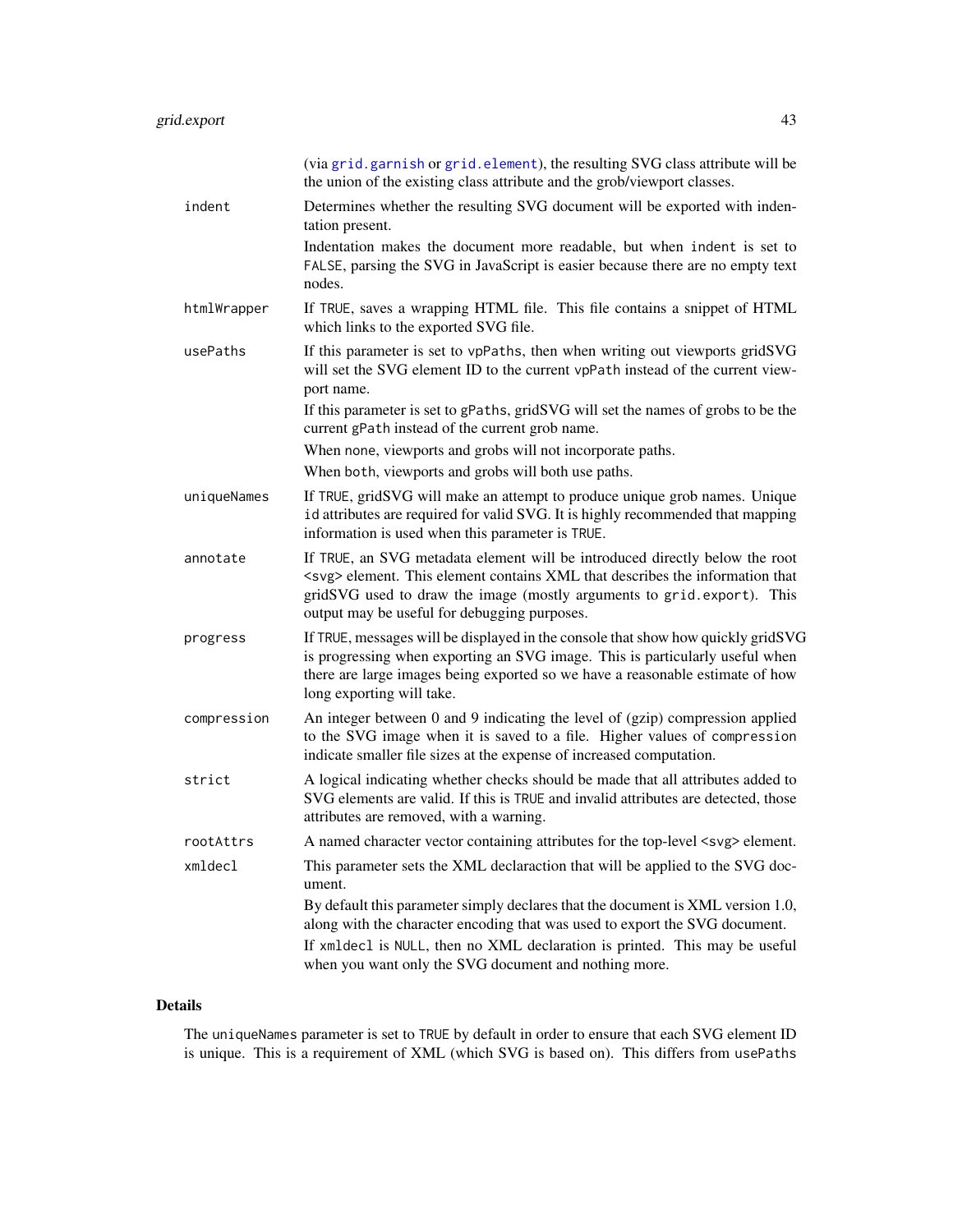<span id="page-42-0"></span>

|             | (via grid. garnish or grid. element), the resulting SVG class attribute will be<br>the union of the existing class attribute and the grob/viewport classes.                                                                                                                                           |
|-------------|-------------------------------------------------------------------------------------------------------------------------------------------------------------------------------------------------------------------------------------------------------------------------------------------------------|
| indent      | Determines whether the resulting SVG document will be exported with inden-<br>tation present.                                                                                                                                                                                                         |
|             | Indentation makes the document more readable, but when indent is set to<br>FALSE, parsing the SVG in JavaScript is easier because there are no empty text<br>nodes.                                                                                                                                   |
| htmlWrapper | If TRUE, saves a wrapping HTML file. This file contains a snippet of HTML<br>which links to the exported SVG file.                                                                                                                                                                                    |
| usePaths    | If this parameter is set to vpPaths, then when writing out viewports gridSVG<br>will set the SVG element ID to the current vpPath instead of the current view-<br>port name.                                                                                                                          |
|             | If this parameter is set to gPaths, gridSVG will set the names of grobs to be the<br>current gPath instead of the current grob name.                                                                                                                                                                  |
|             | When none, viewports and grobs will not incorporate paths.                                                                                                                                                                                                                                            |
|             | When both, viewports and grobs will both use paths.                                                                                                                                                                                                                                                   |
| uniqueNames | If TRUE, gridSVG will make an attempt to produce unique grob names. Unique<br>id attributes are required for valid SVG. It is highly recommended that mapping<br>information is used when this parameter is TRUE.                                                                                     |
| annotate    | If TRUE, an SVG metadata element will be introduced directly below the root<br><svg> element. This element contains XML that describes the information that<br/>gridSVG used to draw the image (mostly arguments to grid.export). This<br/>output may be useful for debugging purposes.</svg>         |
| progress    | If TRUE, messages will be displayed in the console that show how quickly gridSVG<br>is progressing when exporting an SVG image. This is particularly useful when<br>there are large images being exported so we have a reasonable estimate of how<br>long exporting will take.                        |
| compression | An integer between 0 and 9 indicating the level of (gzip) compression applied<br>to the SVG image when it is saved to a file. Higher values of compression<br>indicate smaller file sizes at the expense of increased computation.                                                                    |
| strict      | A logical indicating whether checks should be made that all attributes added to<br>SVG elements are valid. If this is TRUE and invalid attributes are detected, those<br>attributes are removed, with a warning.                                                                                      |
| rootAttrs   | A named character vector containing attributes for the top-level <svg> element.</svg>                                                                                                                                                                                                                 |
| xmldecl     | This parameter sets the XML declaraction that will be applied to the SVG doc-<br>ument.                                                                                                                                                                                                               |
|             | By default this parameter simply declares that the document is XML version 1.0,<br>along with the character encoding that was used to export the SVG document.<br>If xmldecl is NULL, then no XML declaration is printed. This may be useful<br>when you want only the SVG document and nothing more. |

# Details

The uniqueNames parameter is set to TRUE by default in order to ensure that each SVG element ID is unique. This is a requirement of XML (which SVG is based on). This differs from usePaths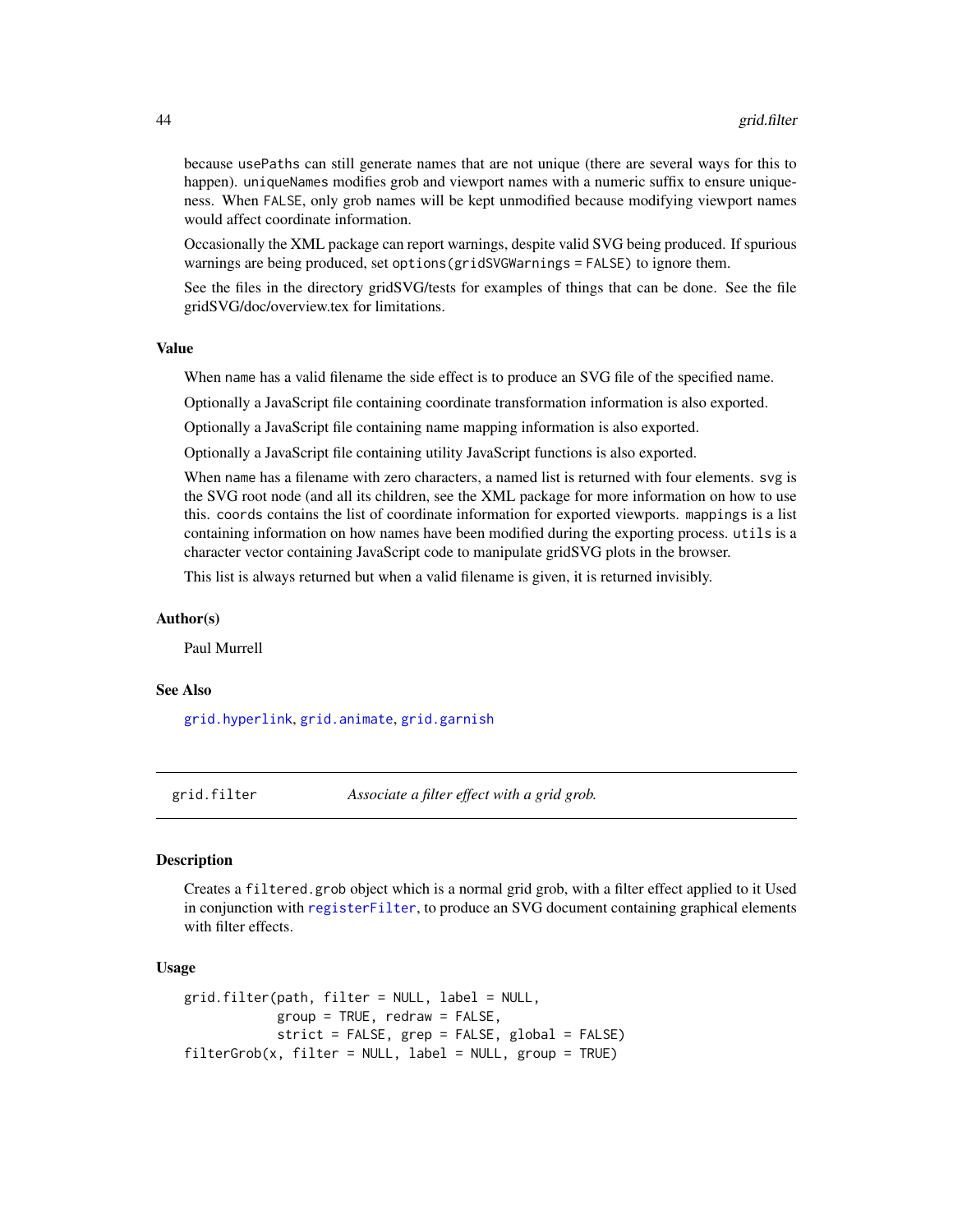because usePaths can still generate names that are not unique (there are several ways for this to happen). uniqueNames modifies grob and viewport names with a numeric suffix to ensure uniqueness. When FALSE, only grob names will be kept unmodified because modifying viewport names would affect coordinate information.

Occasionally the XML package can report warnings, despite valid SVG being produced. If spurious warnings are being produced, set options(gridSVGWarnings = FALSE) to ignore them.

See the files in the directory gridSVG/tests for examples of things that can be done. See the file gridSVG/doc/overview.tex for limitations.

#### Value

When name has a valid filename the side effect is to produce an SVG file of the specified name.

Optionally a JavaScript file containing coordinate transformation information is also exported.

Optionally a JavaScript file containing name mapping information is also exported.

Optionally a JavaScript file containing utility JavaScript functions is also exported.

When name has a filename with zero characters, a named list is returned with four elements. svg is the SVG root node (and all its children, see the XML package for more information on how to use this. coords contains the list of coordinate information for exported viewports. mappings is a list containing information on how names have been modified during the exporting process. utils is a character vector containing JavaScript code to manipulate gridSVG plots in the browser.

This list is always returned but when a valid filename is given, it is returned invisibly.

#### Author(s)

Paul Murrell

#### See Also

[grid.hyperlink](#page-47-1), [grid.animate](#page-36-1), [grid.garnish](#page-44-1)

<span id="page-43-1"></span>grid.filter *Associate a filter effect with a grid grob.*

#### Description

Creates a filtered.grob object which is a normal grid grob, with a filter effect applied to it Used in conjunction with [registerFilter](#page-63-1), to produce an SVG document containing graphical elements with filter effects.

#### Usage

```
grid.filter(path, filter = NULL, label = NULL,
            group = TRUE, redraw = FALSE,
            strict = FALSE, grep = FALSE, global = FALSE)
filterGrob(x, filter = NULL, label = NULL, group = TRUE)
```
<span id="page-43-0"></span>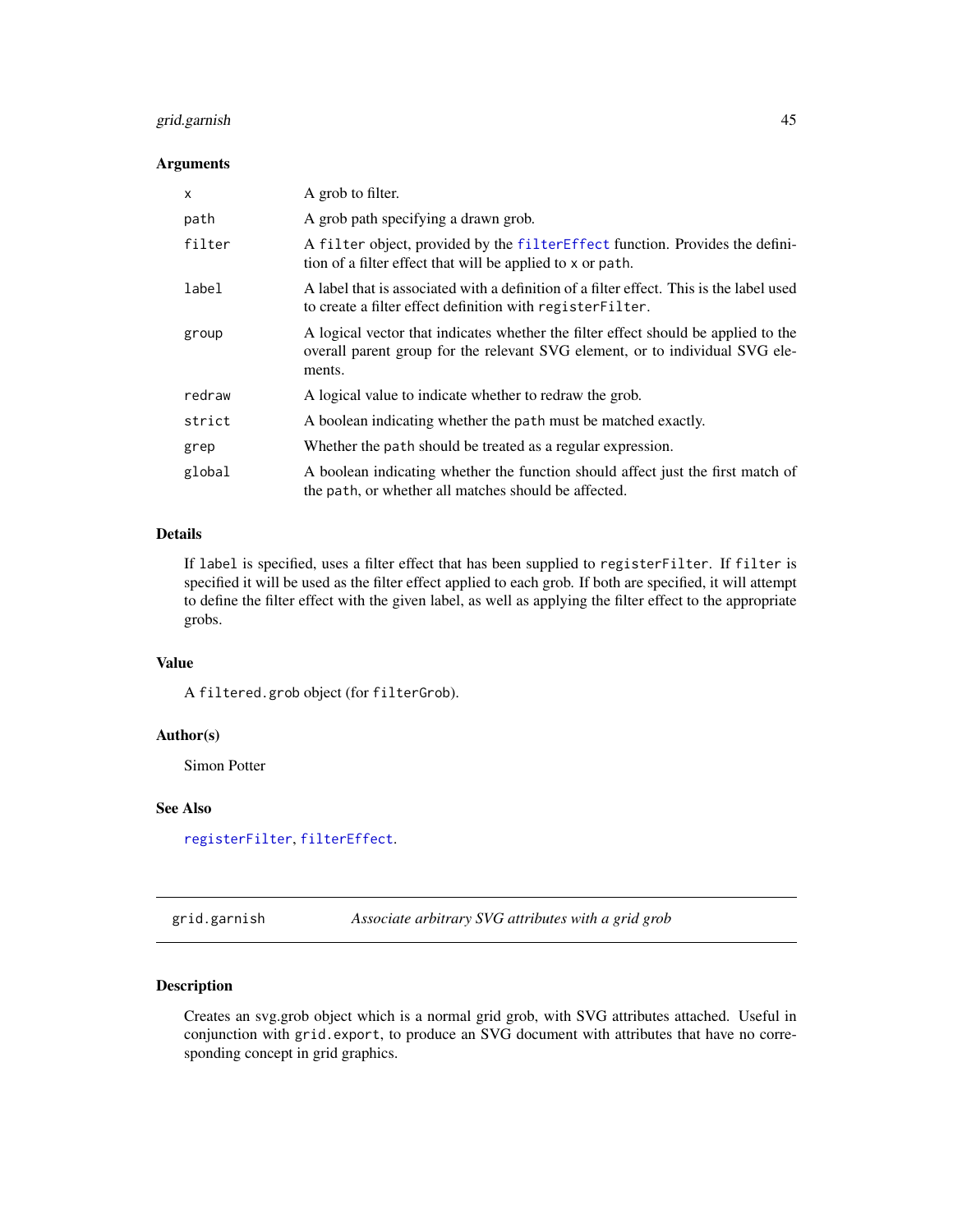# <span id="page-44-0"></span>grid.garnish 45

# Arguments

| X      | A grob to filter.                                                                                                                                                            |
|--------|------------------------------------------------------------------------------------------------------------------------------------------------------------------------------|
| path   | A grob path specifying a drawn grob.                                                                                                                                         |
| filter | A filter object, provided by the filter Effect function. Provides the defini-<br>tion of a filter effect that will be applied to x or path.                                  |
| label  | A label that is associated with a definition of a filter effect. This is the label used<br>to create a filter effect definition with register Filter.                        |
| group  | A logical vector that indicates whether the filter effect should be applied to the<br>overall parent group for the relevant SVG element, or to individual SVG ele-<br>ments. |
| redraw | A logical value to indicate whether to redraw the grob.                                                                                                                      |
| strict | A boolean indicating whether the path must be matched exactly.                                                                                                               |
| grep   | Whether the path should be treated as a regular expression.                                                                                                                  |
| global | A boolean indicating whether the function should affect just the first match of<br>the path, or whether all matches should be affected.                                      |

# Details

If label is specified, uses a filter effect that has been supplied to registerFilter. If filter is specified it will be used as the filter effect applied to each grob. If both are specified, it will attempt to define the filter effect with the given label, as well as applying the filter effect to the appropriate grobs.

# Value

A filtered.grob object (for filterGrob).

# Author(s)

Simon Potter

#### See Also

[registerFilter](#page-63-1), [filterEffect](#page-31-1).

<span id="page-44-1"></span>grid.garnish *Associate arbitrary SVG attributes with a grid grob*

# Description

Creates an svg.grob object which is a normal grid grob, with SVG attributes attached. Useful in conjunction with grid.export, to produce an SVG document with attributes that have no corresponding concept in grid graphics.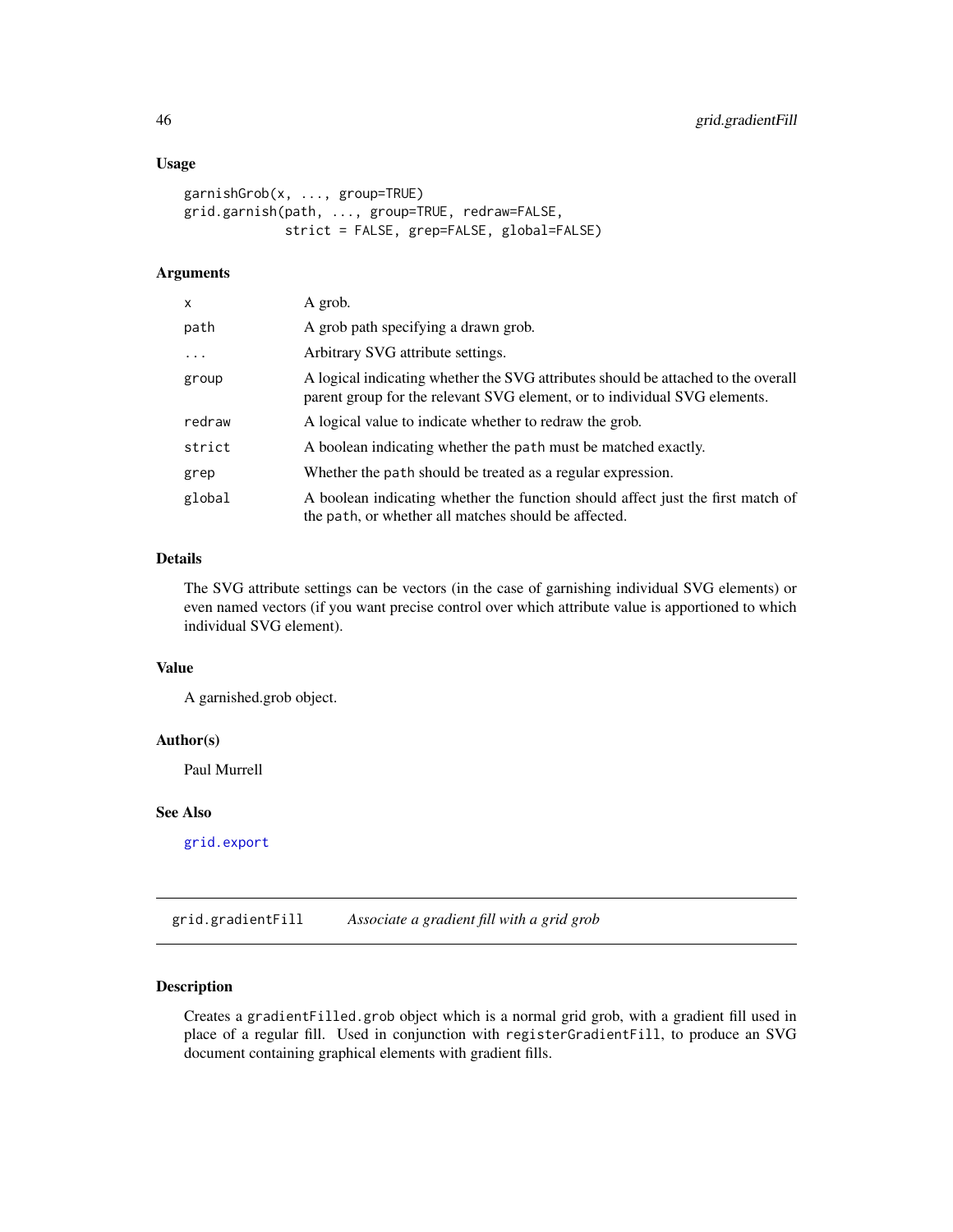#### <span id="page-45-0"></span>Usage

```
garnishGrob(x, ..., group=TRUE)
grid.garnish(path, ..., group=TRUE, redraw=FALSE,
            strict = FALSE, grep=FALSE, global=FALSE)
```
# Arguments

| x      | A grob.                                                                                                                                                        |
|--------|----------------------------------------------------------------------------------------------------------------------------------------------------------------|
| path   | A grob path specifying a drawn grob.                                                                                                                           |
| .      | Arbitrary SVG attribute settings.                                                                                                                              |
| group  | A logical indicating whether the SVG attributes should be attached to the overall<br>parent group for the relevant SVG element, or to individual SVG elements. |
| redraw | A logical value to indicate whether to redraw the grob.                                                                                                        |
| strict | A boolean indicating whether the path must be matched exactly.                                                                                                 |
| grep   | Whether the path should be treated as a regular expression.                                                                                                    |
| global | A boolean indicating whether the function should affect just the first match of<br>the path, or whether all matches should be affected.                        |

# Details

The SVG attribute settings can be vectors (in the case of garnishing individual SVG elements) or even named vectors (if you want precise control over which attribute value is apportioned to which individual SVG element).

# Value

A garnished.grob object.

# Author(s)

Paul Murrell

# See Also

[grid.export](#page-40-1)

<span id="page-45-1"></span>grid.gradientFill *Associate a gradient fill with a grid grob*

# Description

Creates a gradientFilled.grob object which is a normal grid grob, with a gradient fill used in place of a regular fill. Used in conjunction with registerGradientFill, to produce an SVG document containing graphical elements with gradient fills.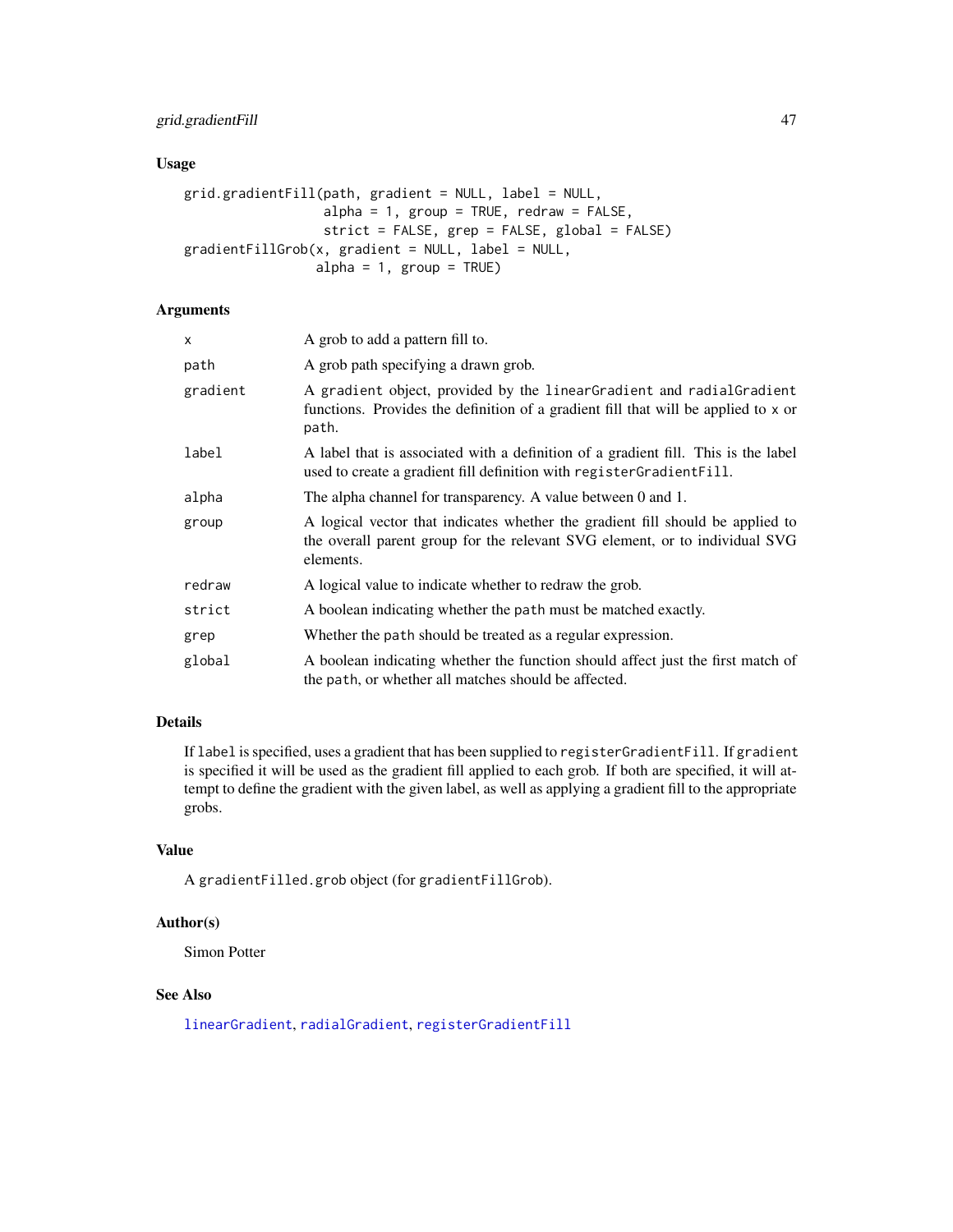# <span id="page-46-0"></span>grid.gradientFill 47

# Usage

```
grid.gradientFill(path, gradient = NULL, label = NULL,
                  alpha = 1, group = TRUE, redraw = FALSE,
                  strict = FALSE, grep = FALSE, global = FALSE)
gradientFillGrob(x, gradient = NULL, label = NULL,alpha = 1, group = TRUE)
```
# Arguments

| x        | A grob to add a pattern fill to.                                                                                                                                           |
|----------|----------------------------------------------------------------------------------------------------------------------------------------------------------------------------|
| path     | A grob path specifying a drawn grob.                                                                                                                                       |
| gradient | A gradient object, provided by the linearGradient and radialGradient<br>functions. Provides the definition of a gradient fill that will be applied to x or<br>path.        |
| label    | A label that is associated with a definition of a gradient fill. This is the label<br>used to create a gradient fill definition with registerGradientFill.                 |
| alpha    | The alpha channel for transparency. A value between 0 and 1.                                                                                                               |
| group    | A logical vector that indicates whether the gradient fill should be applied to<br>the overall parent group for the relevant SVG element, or to individual SVG<br>elements. |
| redraw   | A logical value to indicate whether to redraw the grob.                                                                                                                    |
| strict   | A boolean indicating whether the path must be matched exactly.                                                                                                             |
| grep     | Whether the path should be treated as a regular expression.                                                                                                                |
| global   | A boolean indicating whether the function should affect just the first match of<br>the path, or whether all matches should be affected.                                    |

# Details

If label is specified, uses a gradient that has been supplied to registerGradientFill. If gradient is specified it will be used as the gradient fill applied to each grob. If both are specified, it will attempt to define the gradient with the given label, as well as applying a gradient fill to the appropriate grobs.

# Value

A gradientFilled.grob object (for gradientFillGrob).

# Author(s)

Simon Potter

# See Also

[linearGradient](#page-34-1), [radialGradient](#page-34-1), [registerGradientFill](#page-34-2)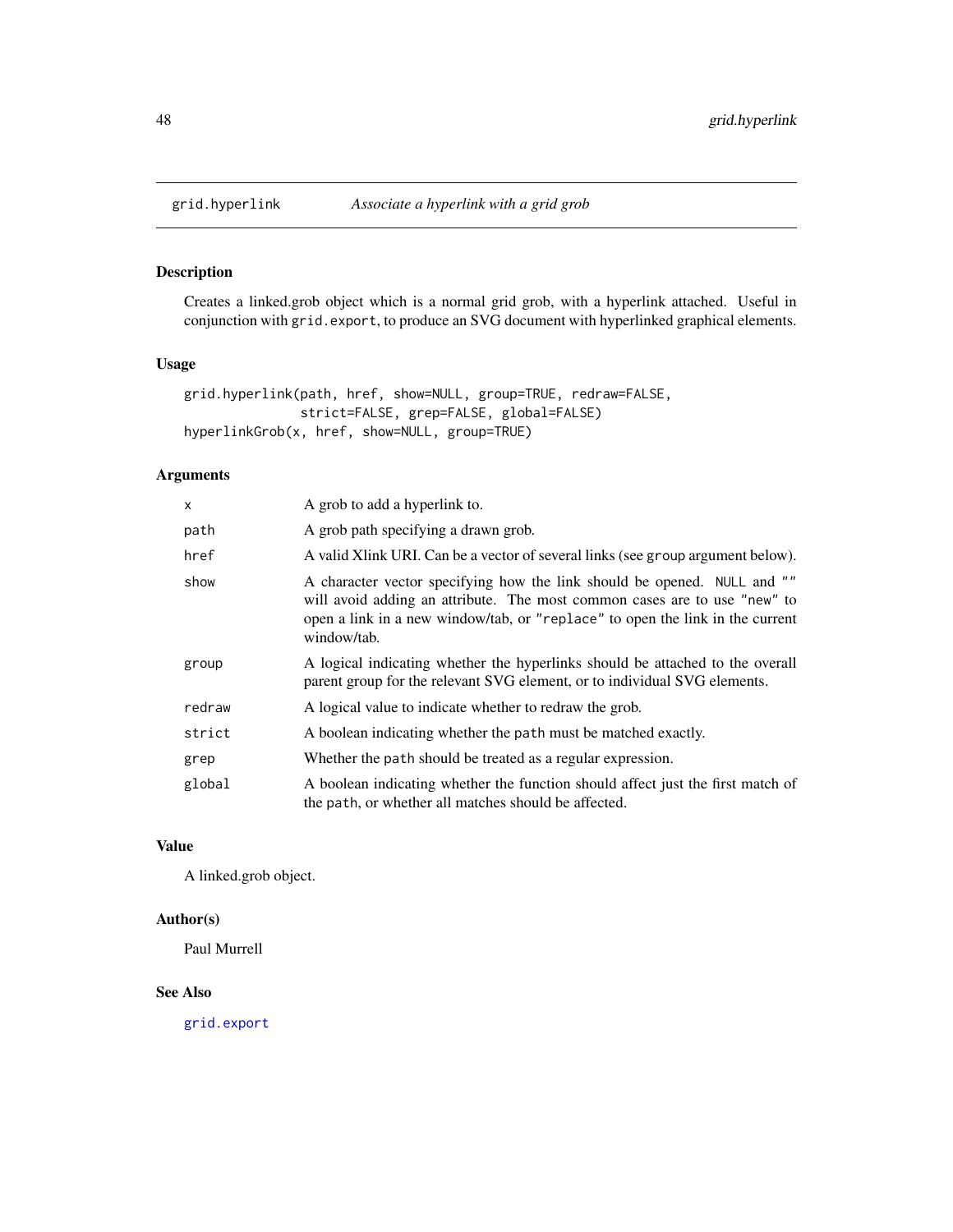<span id="page-47-1"></span><span id="page-47-0"></span>

Creates a linked.grob object which is a normal grid grob, with a hyperlink attached. Useful in conjunction with grid.export, to produce an SVG document with hyperlinked graphical elements.

#### Usage

```
grid.hyperlink(path, href, show=NULL, group=TRUE, redraw=FALSE,
               strict=FALSE, grep=FALSE, global=FALSE)
hyperlinkGrob(x, href, show=NULL, group=TRUE)
```
# Arguments

| X      | A grob to add a hyperlink to.                                                                                                                                                                                                                         |
|--------|-------------------------------------------------------------------------------------------------------------------------------------------------------------------------------------------------------------------------------------------------------|
| path   | A grob path specifying a drawn grob.                                                                                                                                                                                                                  |
| href   | A valid X link URI. Can be a vector of several links (see group argument below).                                                                                                                                                                      |
| show   | A character vector specifying how the link should be opened. NULL and ""<br>will avoid adding an attribute. The most common cases are to use "new" to<br>open a link in a new window/tab, or "replace" to open the link in the current<br>window/tab. |
| group  | A logical indicating whether the hyperlinks should be attached to the overall<br>parent group for the relevant SVG element, or to individual SVG elements.                                                                                            |
| redraw | A logical value to indicate whether to redraw the grob.                                                                                                                                                                                               |
| strict | A boolean indicating whether the path must be matched exactly.                                                                                                                                                                                        |
| grep   | Whether the path should be treated as a regular expression.                                                                                                                                                                                           |
| global | A boolean indicating whether the function should affect just the first match of<br>the path, or whether all matches should be affected.                                                                                                               |

# Value

A linked.grob object.

# Author(s)

Paul Murrell

# See Also

[grid.export](#page-40-1)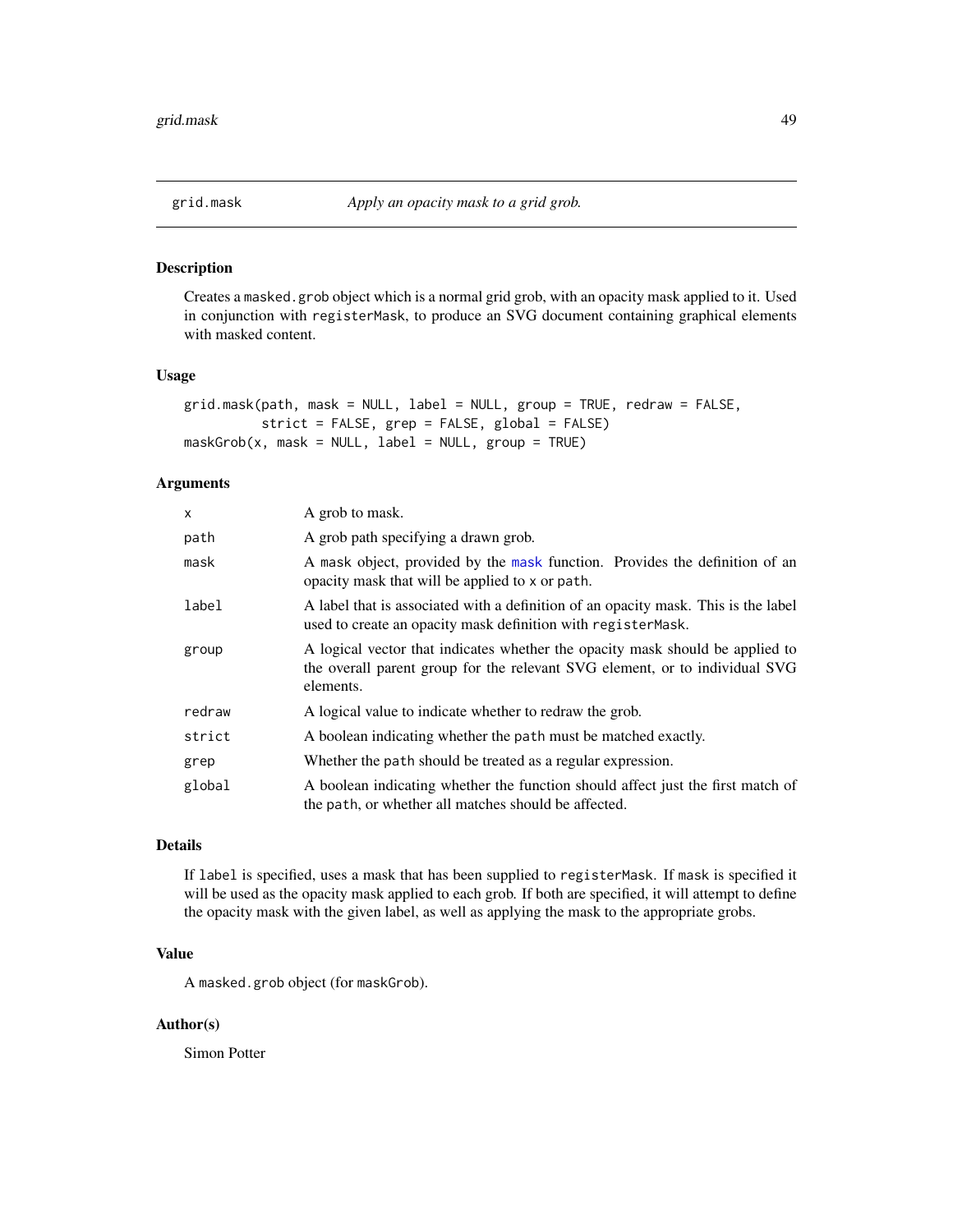<span id="page-48-1"></span><span id="page-48-0"></span>

Creates a masked.grob object which is a normal grid grob, with an opacity mask applied to it. Used in conjunction with registerMask, to produce an SVG document containing graphical elements with masked content.

#### Usage

```
grid.mask(path, mask = NULL, label = NULL, group = TRUE, redraw = FALSE,
         strict = FALSE, grep = FALSE, global = FALSE)
maskGrob(x, mask = NULL, label = NULL, group = TRUE)
```
#### Arguments

| X      | A grob to mask.                                                                                                                                                           |
|--------|---------------------------------------------------------------------------------------------------------------------------------------------------------------------------|
| path   | A grob path specifying a drawn grob.                                                                                                                                      |
| mask   | A mask object, provided by the mask function. Provides the definition of an<br>opacity mask that will be applied to x or path.                                            |
| label  | A label that is associated with a definition of an opacity mask. This is the label<br>used to create an opacity mask definition with register Mask.                       |
| group  | A logical vector that indicates whether the opacity mask should be applied to<br>the overall parent group for the relevant SVG element, or to individual SVG<br>elements. |
| redraw | A logical value to indicate whether to redraw the grob.                                                                                                                   |
| strict | A boolean indicating whether the path must be matched exactly.                                                                                                            |
| grep   | Whether the path should be treated as a regular expression.                                                                                                               |
| global | A boolean indicating whether the function should affect just the first match of<br>the path, or whether all matches should be affected.                                   |

#### Details

If label is specified, uses a mask that has been supplied to registerMask. If mask is specified it will be used as the opacity mask applied to each grob. If both are specified, it will attempt to define the opacity mask with the given label, as well as applying the mask to the appropriate grobs.

# Value

A masked.grob object (for maskGrob).

#### Author(s)

Simon Potter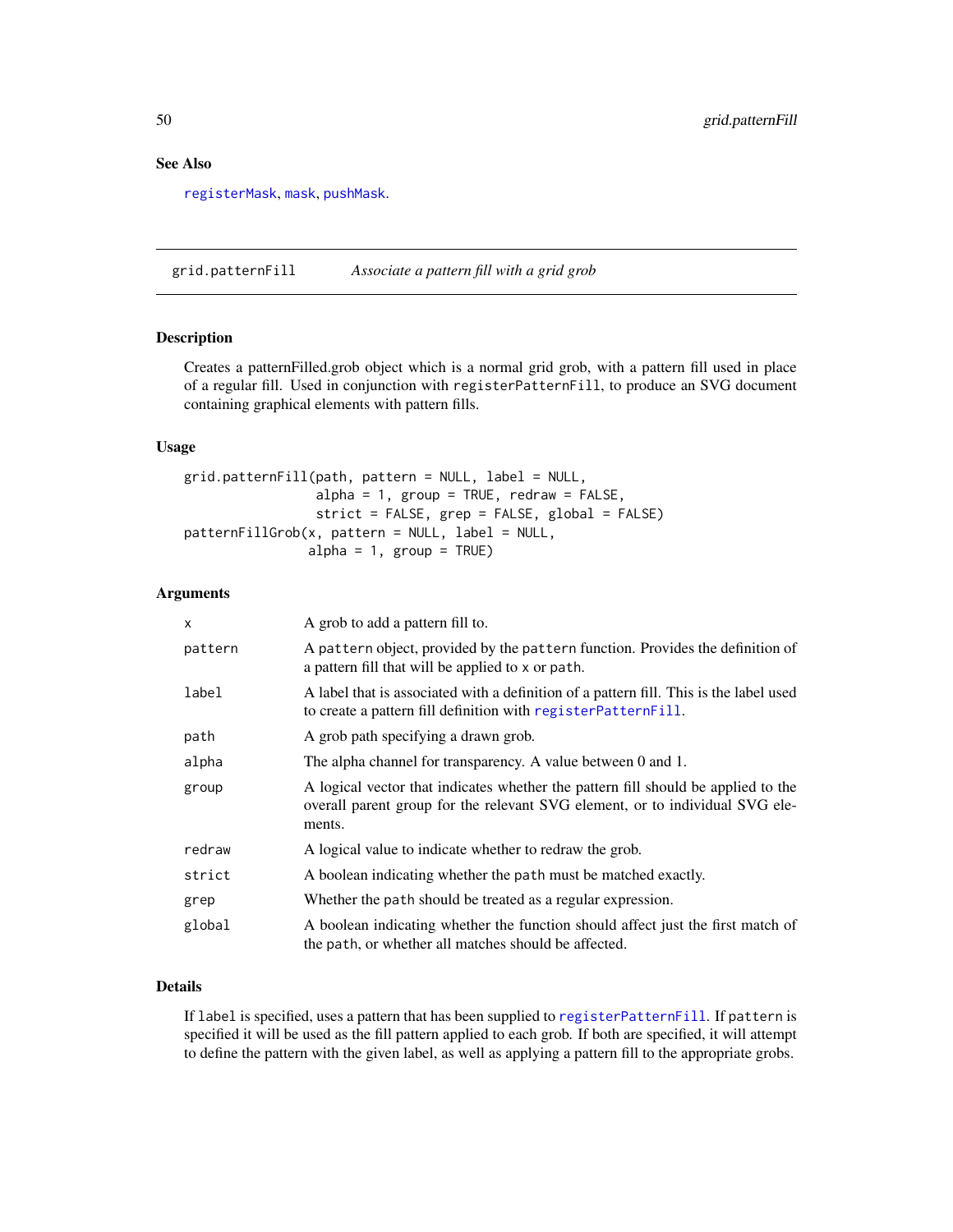# <span id="page-49-0"></span>See Also

[registerMask](#page-56-1), [mask](#page-56-1), [pushMask](#page-62-1).

<span id="page-49-1"></span>grid.patternFill *Associate a pattern fill with a grid grob*

# Description

Creates a patternFilled.grob object which is a normal grid grob, with a pattern fill used in place of a regular fill. Used in conjunction with registerPatternFill, to produce an SVG document containing graphical elements with pattern fills.

#### Usage

```
grid.patternFill(path, pattern = NULL, label = NULL,
                 alpha = 1, group = TRUE, redraw = FALSE,
                 strict = FALSE, grep = FALSE, global = FALSE)
patternFillGrob(x, pattern = NULL, label = NULL,
                alpha = 1, group = TRUE)
```
#### Arguments

| x       | A grob to add a pattern fill to.                                                                                                                                            |
|---------|-----------------------------------------------------------------------------------------------------------------------------------------------------------------------------|
| pattern | A pattern object, provided by the pattern function. Provides the definition of<br>a pattern fill that will be applied to x or path.                                         |
| label   | A label that is associated with a definition of a pattern fill. This is the label used<br>to create a pattern fill definition with registerPatternFill.                     |
| path    | A grob path specifying a drawn grob.                                                                                                                                        |
| alpha   | The alpha channel for transparency. A value between 0 and 1.                                                                                                                |
| group   | A logical vector that indicates whether the pattern fill should be applied to the<br>overall parent group for the relevant SVG element, or to individual SVG ele-<br>ments. |
| redraw  | A logical value to indicate whether to redraw the grob.                                                                                                                     |
| strict  | A boolean indicating whether the path must be matched exactly.                                                                                                              |
| grep    | Whether the path should be treated as a regular expression.                                                                                                                 |
| global  | A boolean indicating whether the function should affect just the first match of<br>the path, or whether all matches should be affected.                                     |

# Details

If label is specified, uses a pattern that has been supplied to [registerPatternFill](#page-58-1). If pattern is specified it will be used as the fill pattern applied to each grob. If both are specified, it will attempt to define the pattern with the given label, as well as applying a pattern fill to the appropriate grobs.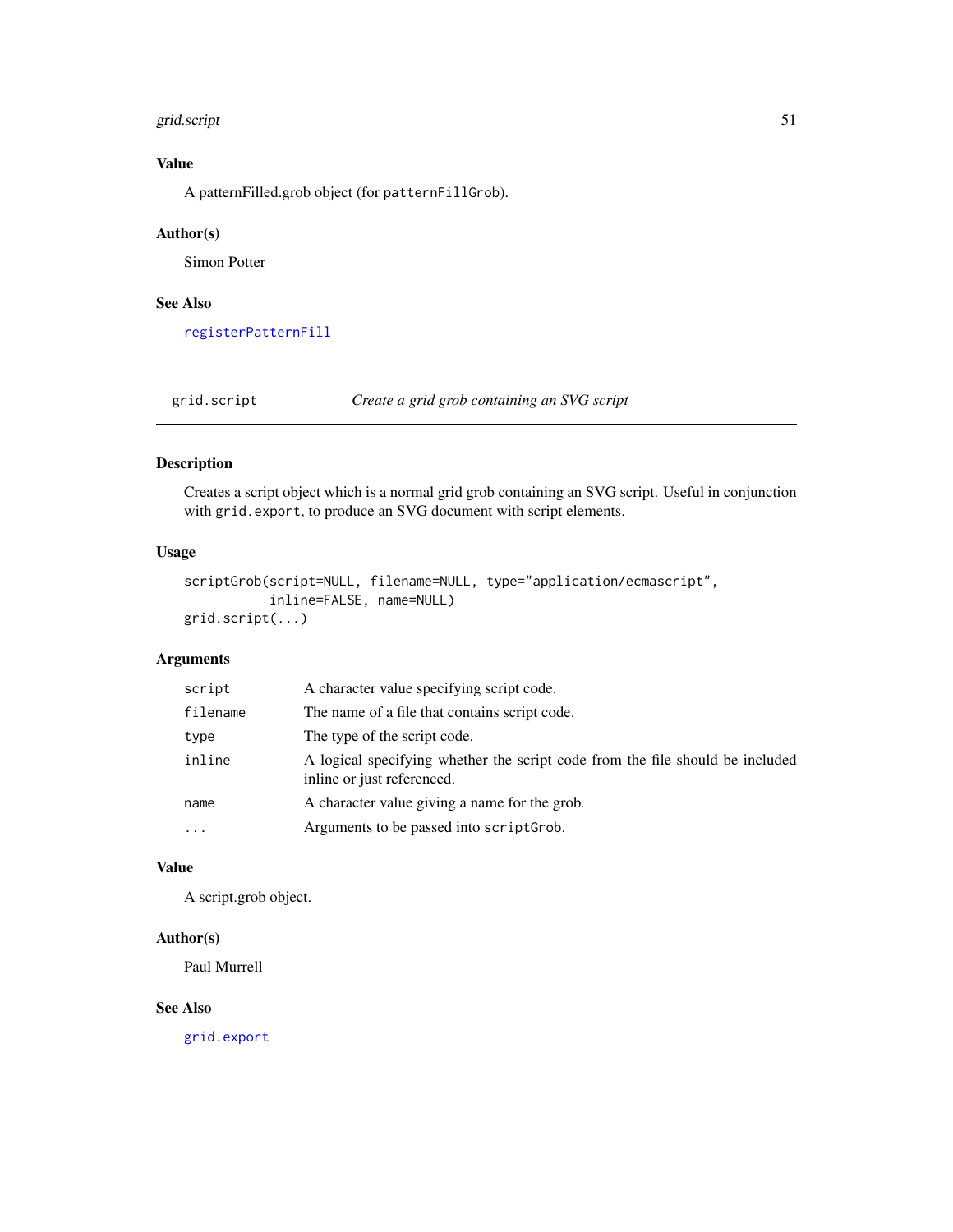# <span id="page-50-0"></span>grid.script 51

# Value

A patternFilled.grob object (for patternFillGrob).

# Author(s)

Simon Potter

# See Also

[registerPatternFill](#page-58-1)

grid.script *Create a grid grob containing an SVG script*

# Description

Creates a script object which is a normal grid grob containing an SVG script. Useful in conjunction with grid.export, to produce an SVG document with script elements.

#### Usage

```
scriptGrob(script=NULL, filename=NULL, type="application/ecmascript",
           inline=FALSE, name=NULL)
grid.script(...)
```
# Arguments

| script   | A character value specifying script code.                                                                   |
|----------|-------------------------------------------------------------------------------------------------------------|
| filename | The name of a file that contains script code.                                                               |
| type     | The type of the script code.                                                                                |
| inline   | A logical specifying whether the script code from the file should be included<br>inline or just referenced. |
| name     | A character value giving a name for the grob.                                                               |
| $\cdots$ | Arguments to be passed into scriptGrob.                                                                     |

#### Value

A script.grob object.

# Author(s)

Paul Murrell

# See Also

[grid.export](#page-40-1)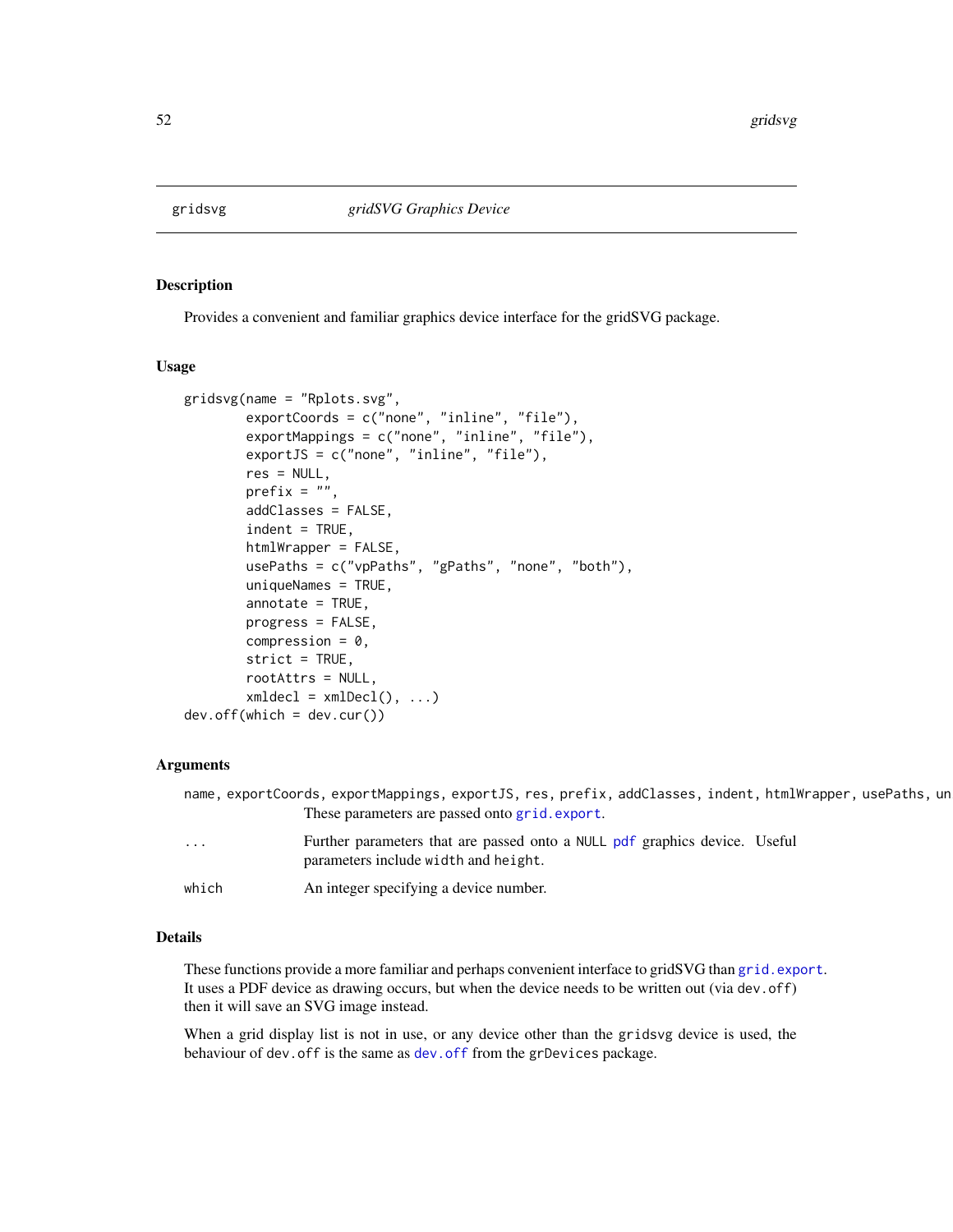<span id="page-51-1"></span><span id="page-51-0"></span>

Provides a convenient and familiar graphics device interface for the gridSVG package.

# Usage

```
gridsvg(name = "Rplots.svg",
       exportCoords = c("none", "inline", "file"),
       exportMappings = c("none", "inline", "file"),
       exportJS = c("none", "inline", "file"),
       res = NULL,
       prefix = "",addClasses = FALSE,
       index = TRUE,htmlWrapper = FALSE,
       usePaths = c("vpPaths", "gPaths", "none", "both"),
       uniqueNames = TRUE,
       annotate = TRUE,
       progress = FALSE,
       compression = 0,
       strict = TRUE,
       rootAttrs = NULL,
       xmldec1 = xmlDec1(), ...)dev.off(which = dev.cur())
```
#### Arguments

|          | name, exportCoords, exportMappings, exportJS, res, prefix, addClasses, indent, htmlWrapper, usePaths, un           |
|----------|--------------------------------------------------------------------------------------------------------------------|
|          | These parameters are passed onto grid.export.                                                                      |
| $\cdots$ | Further parameters that are passed onto a NULL pdf graphics device. Useful<br>parameters include width and height. |
| which    | An integer specifying a device number.                                                                             |

#### Details

These functions provide a more familiar and perhaps convenient interface to gridSVG than [grid.export](#page-40-1). It uses a PDF device as drawing occurs, but when the device needs to be written out (via dev.off) then it will save an SVG image instead.

When a grid display list is not in use, or any device other than the gridsvg device is used, the behaviour of dev.off is the same as [dev.off](#page-51-1) from the grDevices package.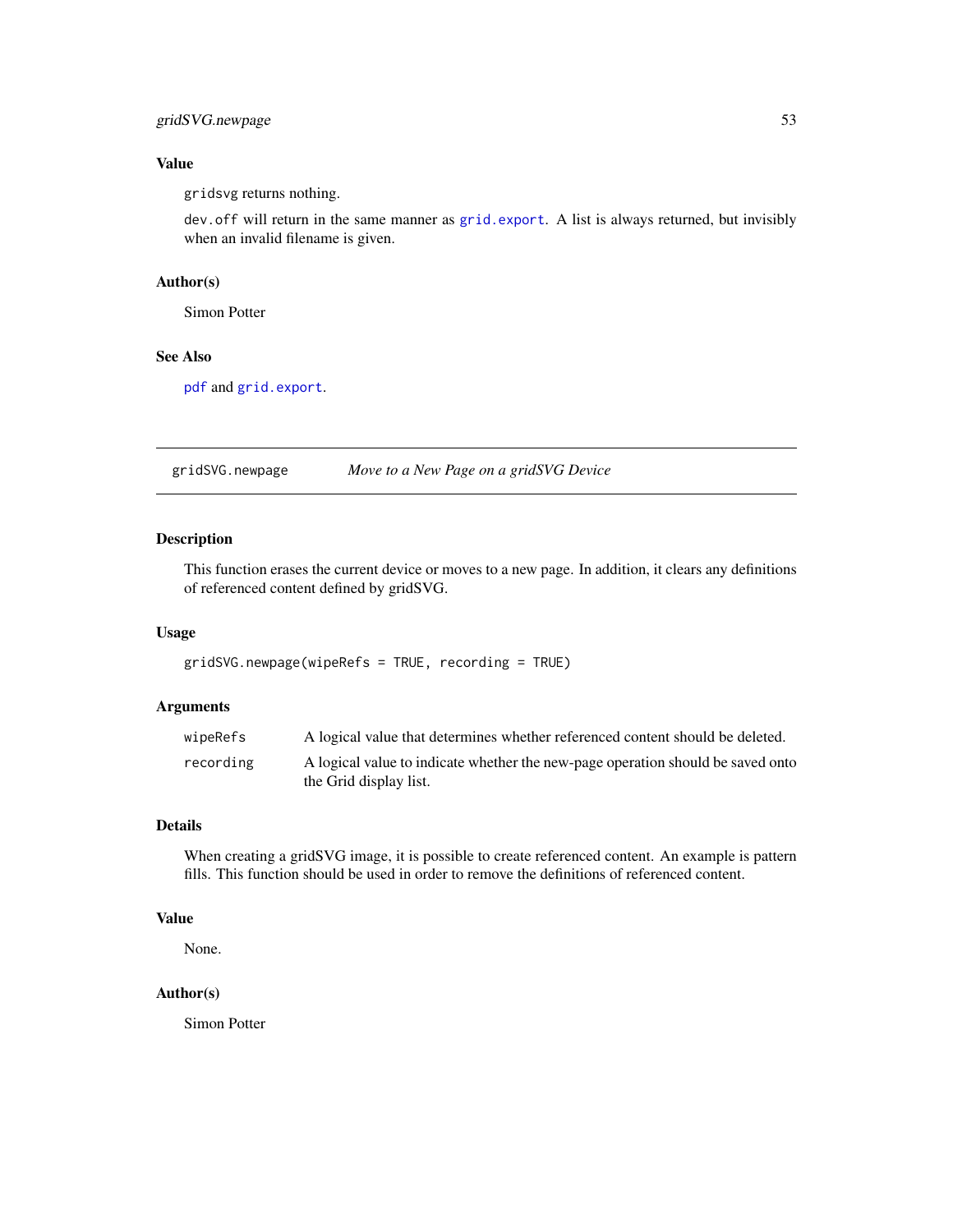# <span id="page-52-0"></span>gridSVG.newpage 53

# Value

gridsvg returns nothing.

dev.off will return in the same manner as [grid.export](#page-40-1). A list is always returned, but invisibly when an invalid filename is given.

#### Author(s)

Simon Potter

# See Also

[pdf](#page-0-0) and [grid.export](#page-40-1).

gridSVG.newpage *Move to a New Page on a gridSVG Device*

# Description

This function erases the current device or moves to a new page. In addition, it clears any definitions of referenced content defined by gridSVG.

#### Usage

gridSVG.newpage(wipeRefs = TRUE, recording = TRUE)

#### Arguments

| wipeRefs  | A logical value that determines whether referenced content should be deleted.                             |
|-----------|-----------------------------------------------------------------------------------------------------------|
| recording | A logical value to indicate whether the new-page operation should be saved onto<br>the Grid display list. |

#### Details

When creating a gridSVG image, it is possible to create referenced content. An example is pattern fills. This function should be used in order to remove the definitions of referenced content.

# Value

None.

# Author(s)

Simon Potter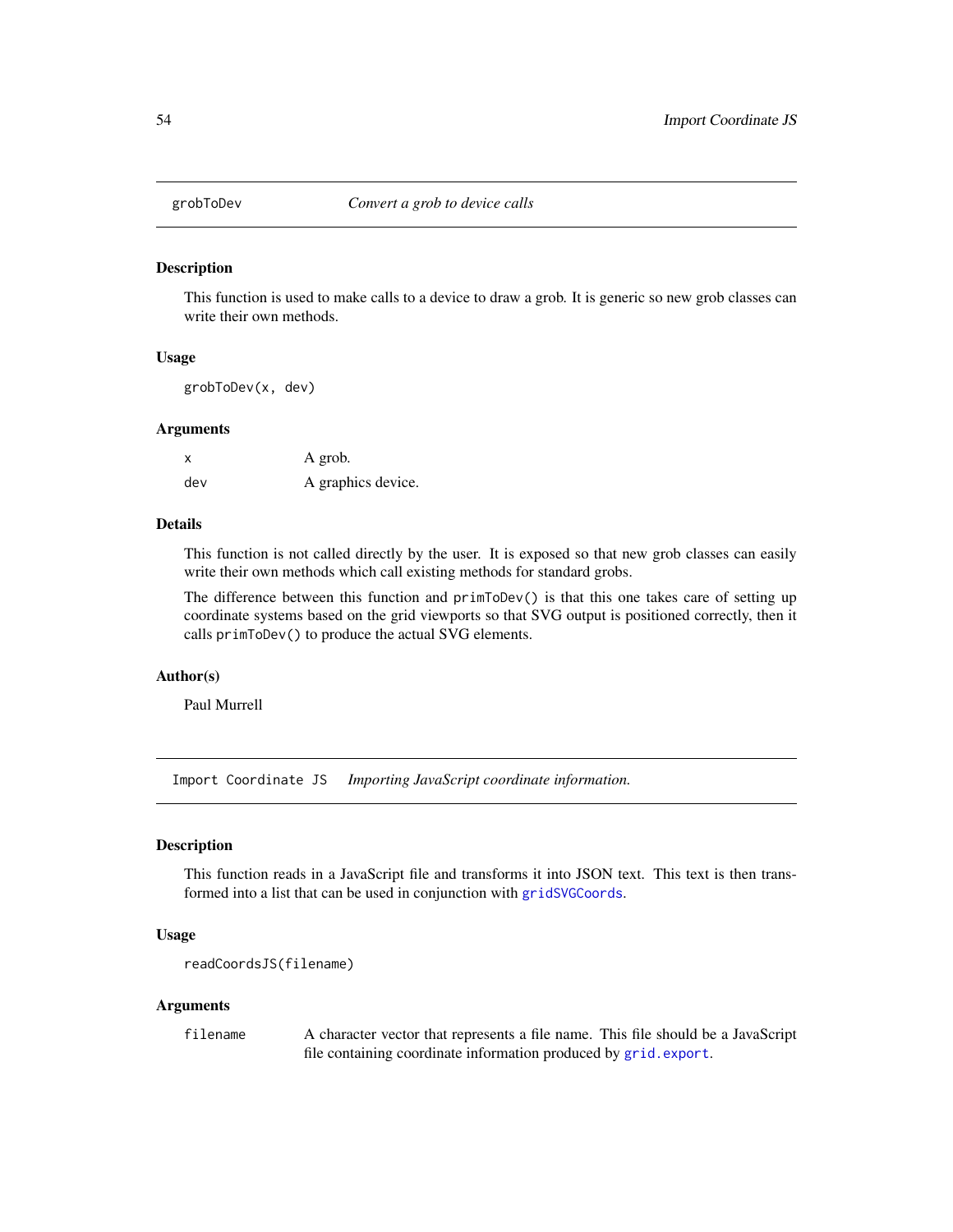<span id="page-53-0"></span>

This function is used to make calls to a device to draw a grob. It is generic so new grob classes can write their own methods.

# Usage

grobToDev(x, dev)

#### Arguments

x A grob. dev A graphics device.

# Details

This function is not called directly by the user. It is exposed so that new grob classes can easily write their own methods which call existing methods for standard grobs.

The difference between this function and primToDev() is that this one takes care of setting up coordinate systems based on the grid viewports so that SVG output is positioned correctly, then it calls primToDev() to produce the actual SVG elements.

### Author(s)

Paul Murrell

Import Coordinate JS *Importing JavaScript coordinate information.*

# Description

This function reads in a JavaScript file and transforms it into JSON text. This text is then transformed into a list that can be used in conjunction with [gridSVGCoords](#page-6-1).

# Usage

```
readCoordsJS(filename)
```
#### Arguments

filename A character vector that represents a file name. This file should be a JavaScript file containing coordinate information produced by [grid.export](#page-40-1).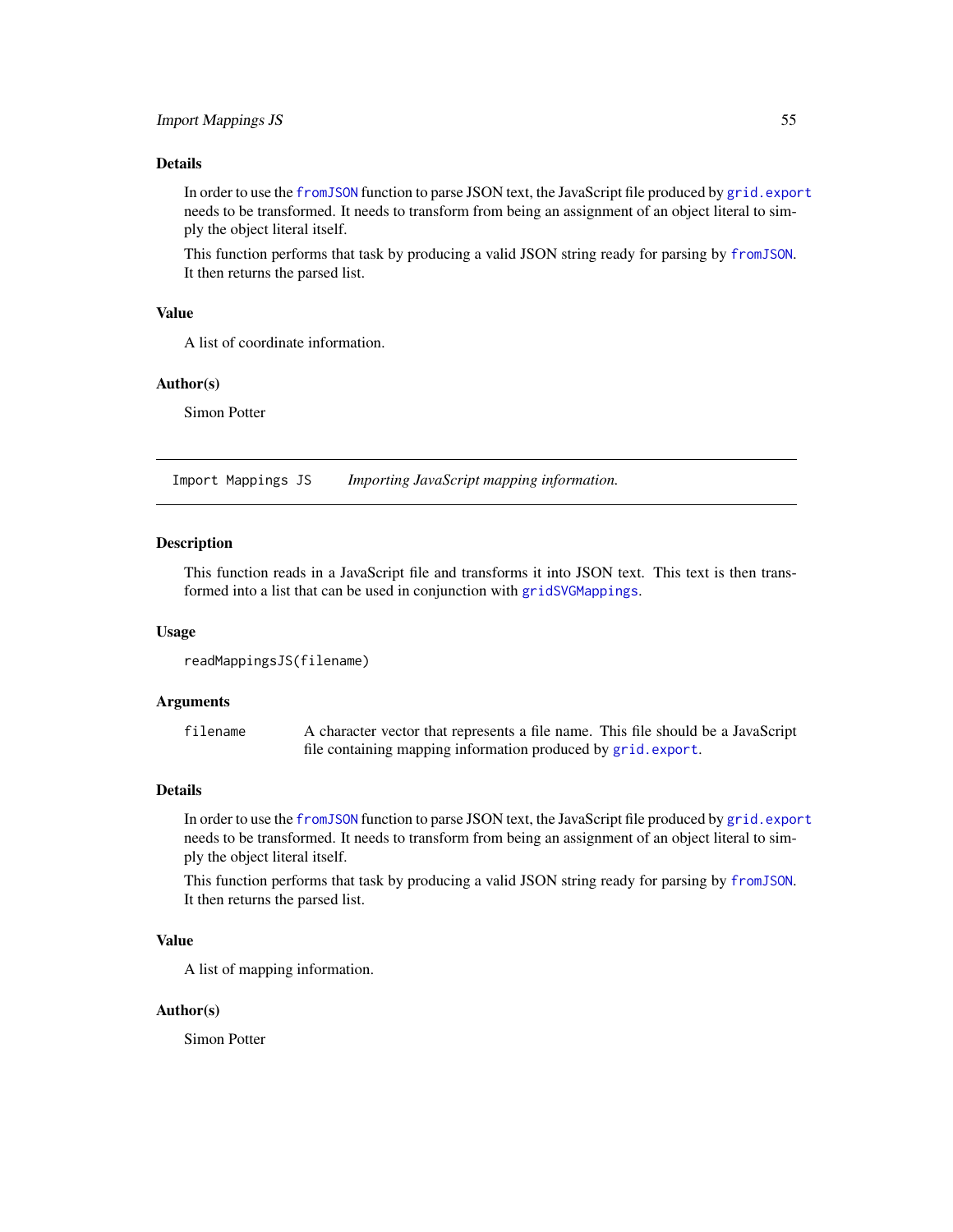# <span id="page-54-0"></span>Details

In order to use the [fromJSON](#page-0-0) function to parse JSON text, the JavaScript file produced by [grid.export](#page-40-1) needs to be transformed. It needs to transform from being an assignment of an object literal to simply the object literal itself.

This function performs that task by producing a valid JSON string ready for parsing by [fromJSON](#page-0-0). It then returns the parsed list.

# Value

A list of coordinate information.

#### Author(s)

Simon Potter

Import Mappings JS *Importing JavaScript mapping information.*

#### Description

This function reads in a JavaScript file and transforms it into JSON text. This text is then transformed into a list that can be used in conjunction with [gridSVGMappings](#page-55-1).

#### Usage

```
readMappingsJS(filename)
```
#### Arguments

filename A character vector that represents a file name. This file should be a JavaScript file containing mapping information produced by [grid.export](#page-40-1).

# Details

In order to use the [fromJSON](#page-0-0) function to parse JSON text, the JavaScript file produced by [grid.export](#page-40-1) needs to be transformed. It needs to transform from being an assignment of an object literal to simply the object literal itself.

This function performs that task by producing a valid JSON string ready for parsing by [fromJSON](#page-0-0). It then returns the parsed list.

# Value

A list of mapping information.

#### Author(s)

Simon Potter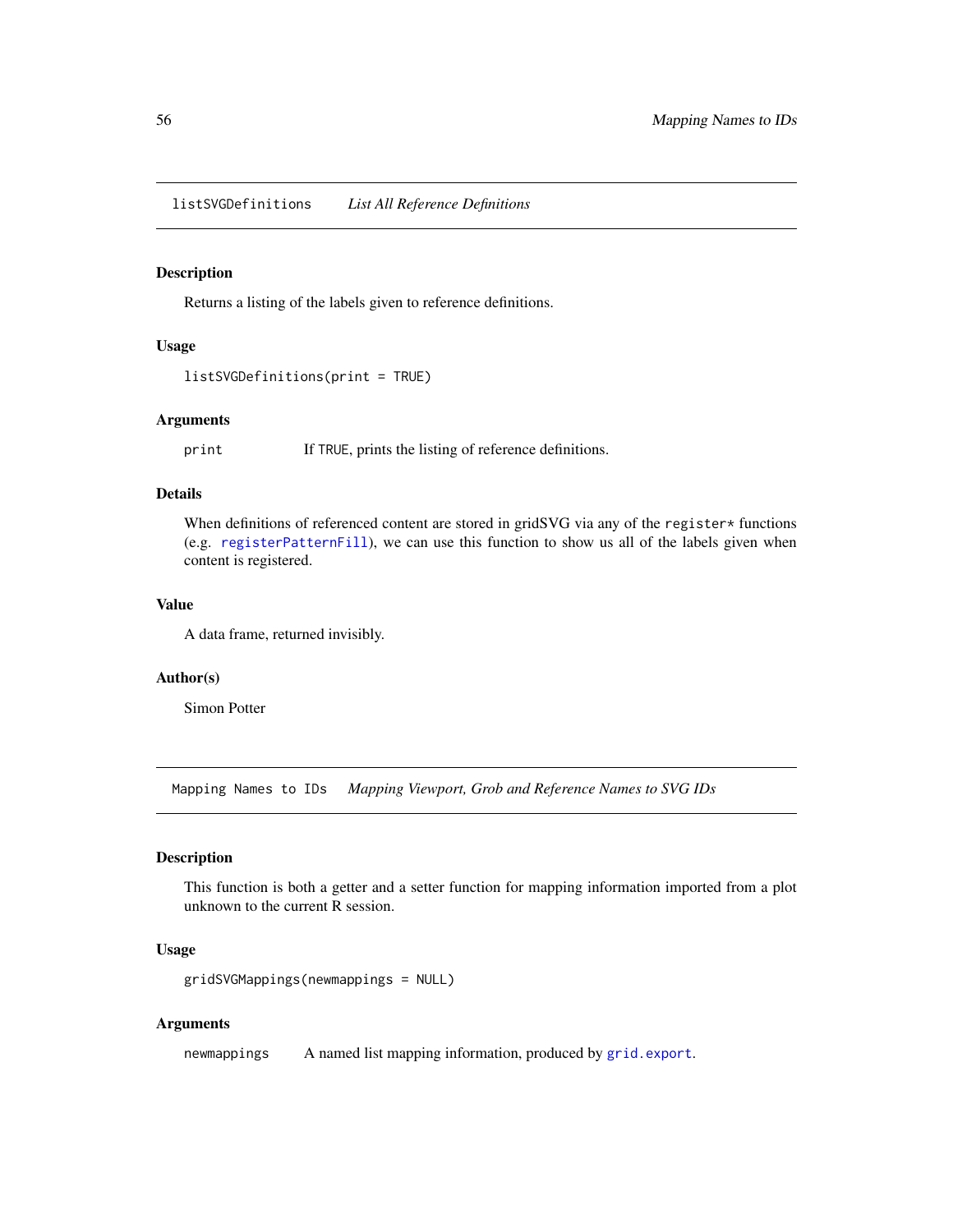<span id="page-55-0"></span>listSVGDefinitions *List All Reference Definitions*

# Description

Returns a listing of the labels given to reference definitions.

#### Usage

```
listSVGDefinitions(print = TRUE)
```
# Arguments

print If TRUE, prints the listing of reference definitions.

#### Details

When definitions of referenced content are stored in gridSVG via any of the register\* functions (e.g. [registerPatternFill](#page-58-1)), we can use this function to show us all of the labels given when content is registered.

#### Value

A data frame, returned invisibly.

#### Author(s)

Simon Potter

Mapping Names to IDs *Mapping Viewport, Grob and Reference Names to SVG IDs*

#### <span id="page-55-1"></span>Description

This function is both a getter and a setter function for mapping information imported from a plot unknown to the current R session.

# Usage

```
gridSVGMappings(newmappings = NULL)
```
#### Arguments

newmappings A named list mapping information, produced by [grid.export](#page-40-1).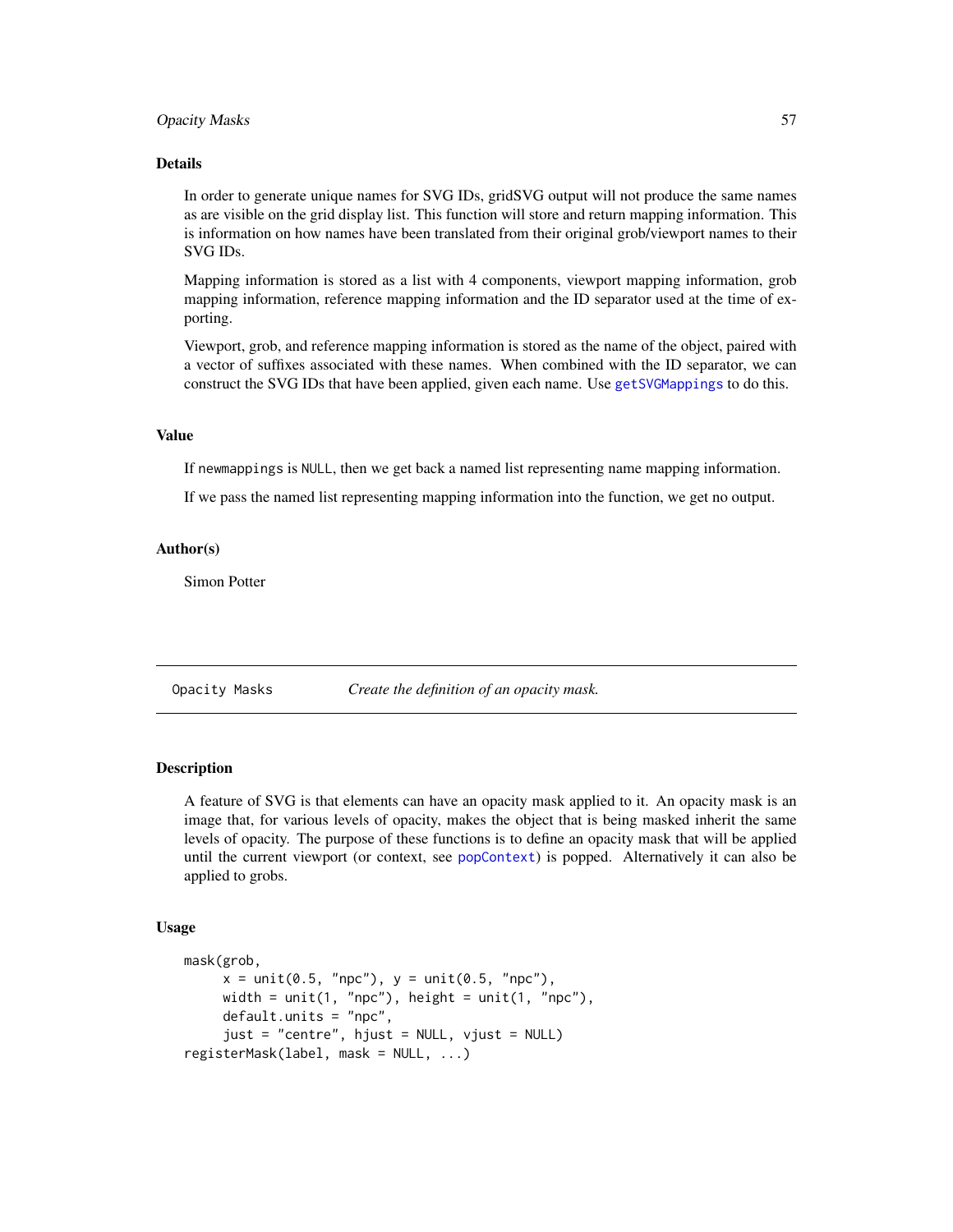#### <span id="page-56-0"></span>**Opacity Masks** 57

#### Details

In order to generate unique names for SVG IDs, gridSVG output will not produce the same names as are visible on the grid display list. This function will store and return mapping information. This is information on how names have been translated from their original grob/viewport names to their SVG IDs.

Mapping information is stored as a list with 4 components, viewport mapping information, grob mapping information, reference mapping information and the ID separator used at the time of exporting.

Viewport, grob, and reference mapping information is stored as the name of the object, paired with a vector of suffixes associated with these names. When combined with the ID separator, we can construct the SVG IDs that have been applied, given each name. Use [getSVGMappings](#page-63-2) to do this.

#### Value

If newmappings is NULL, then we get back a named list representing name mapping information.

If we pass the named list representing mapping information into the function, we get no output.

#### Author(s)

Simon Potter

Opacity Masks *Create the definition of an opacity mask.*

# <span id="page-56-1"></span>Description

A feature of SVG is that elements can have an opacity mask applied to it. An opacity mask is an image that, for various levels of opacity, makes the object that is being masked inherit the same levels of opacity. The purpose of these functions is to define an opacity mask that will be applied until the current viewport (or context, see [popContext](#page-59-1)) is popped. Alternatively it can also be applied to grobs.

#### Usage

```
mask(grob,
     x = unit(0.5, "npc"), y = unit(0.5, "npc"),width = unit(1, "npc"), height = unit(1, "npc"),
     default.units = "npc",
     just = "centre", hjust = NULL, vjust = NULL)
registerMask(label, mask = NULL, ...)
```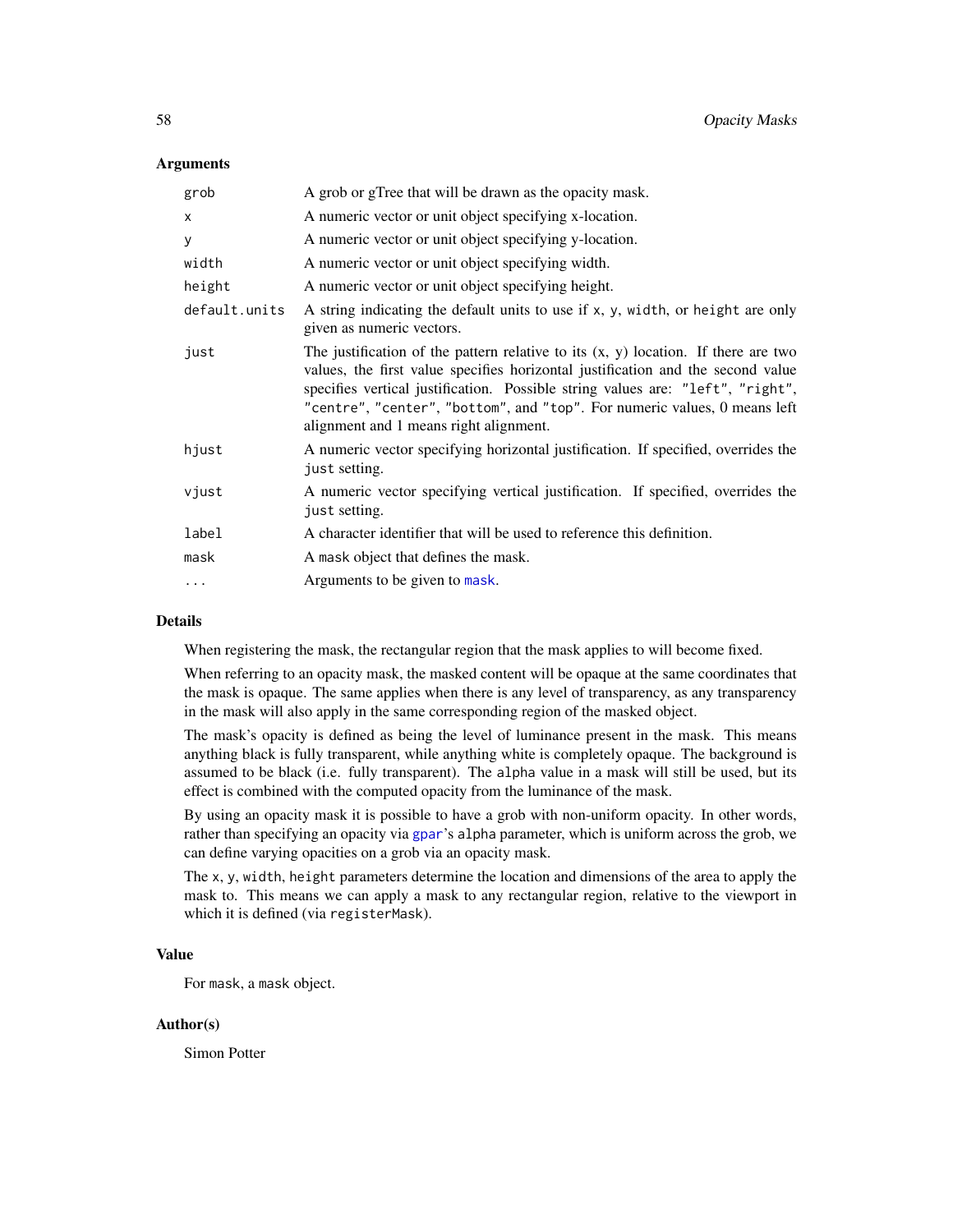#### <span id="page-57-0"></span>Arguments

| grob          | A grob or gTree that will be drawn as the opacity mask.                                                                                                                                                                                                                                                                                                                          |
|---------------|----------------------------------------------------------------------------------------------------------------------------------------------------------------------------------------------------------------------------------------------------------------------------------------------------------------------------------------------------------------------------------|
| X             | A numeric vector or unit object specifying x-location.                                                                                                                                                                                                                                                                                                                           |
| у             | A numeric vector or unit object specifying y-location.                                                                                                                                                                                                                                                                                                                           |
| width         | A numeric vector or unit object specifying width.                                                                                                                                                                                                                                                                                                                                |
| height        | A numeric vector or unit object specifying height.                                                                                                                                                                                                                                                                                                                               |
| default.units | A string indicating the default units to use if x, y, width, or height are only<br>given as numeric vectors.                                                                                                                                                                                                                                                                     |
| just          | The justification of the pattern relative to its $(x, y)$ location. If there are two<br>values, the first value specifies horizontal justification and the second value<br>specifies vertical justification. Possible string values are: "left", "right",<br>"centre", "center", "bottom", and "top". For numeric values, 0 means left<br>alignment and 1 means right alignment. |
| hjust         | A numeric vector specifying horizontal justification. If specified, overrides the<br>just setting.                                                                                                                                                                                                                                                                               |
| vjust         | A numeric vector specifying vertical justification. If specified, overrides the<br>just setting.                                                                                                                                                                                                                                                                                 |
| label         | A character identifier that will be used to reference this definition.                                                                                                                                                                                                                                                                                                           |
| mask          | A mask object that defines the mask.                                                                                                                                                                                                                                                                                                                                             |
| $\ddots$      | Arguments to be given to mask.                                                                                                                                                                                                                                                                                                                                                   |
|               |                                                                                                                                                                                                                                                                                                                                                                                  |

# Details

When registering the mask, the rectangular region that the mask applies to will become fixed.

When referring to an opacity mask, the masked content will be opaque at the same coordinates that the mask is opaque. The same applies when there is any level of transparency, as any transparency in the mask will also apply in the same corresponding region of the masked object.

The mask's opacity is defined as being the level of luminance present in the mask. This means anything black is fully transparent, while anything white is completely opaque. The background is assumed to be black (i.e. fully transparent). The alpha value in a mask will still be used, but its effect is combined with the computed opacity from the luminance of the mask.

By using an opacity mask it is possible to have a grob with non-uniform opacity. In other words, rather than specifying an opacity via [gpar](#page-0-0)'s alpha parameter, which is uniform across the grob, we can define varying opacities on a grob via an opacity mask.

The x, y, width, height parameters determine the location and dimensions of the area to apply the mask to. This means we can apply a mask to any rectangular region, relative to the viewport in which it is defined (via registerMask).

# Value

For mask, a mask object.

#### Author(s)

Simon Potter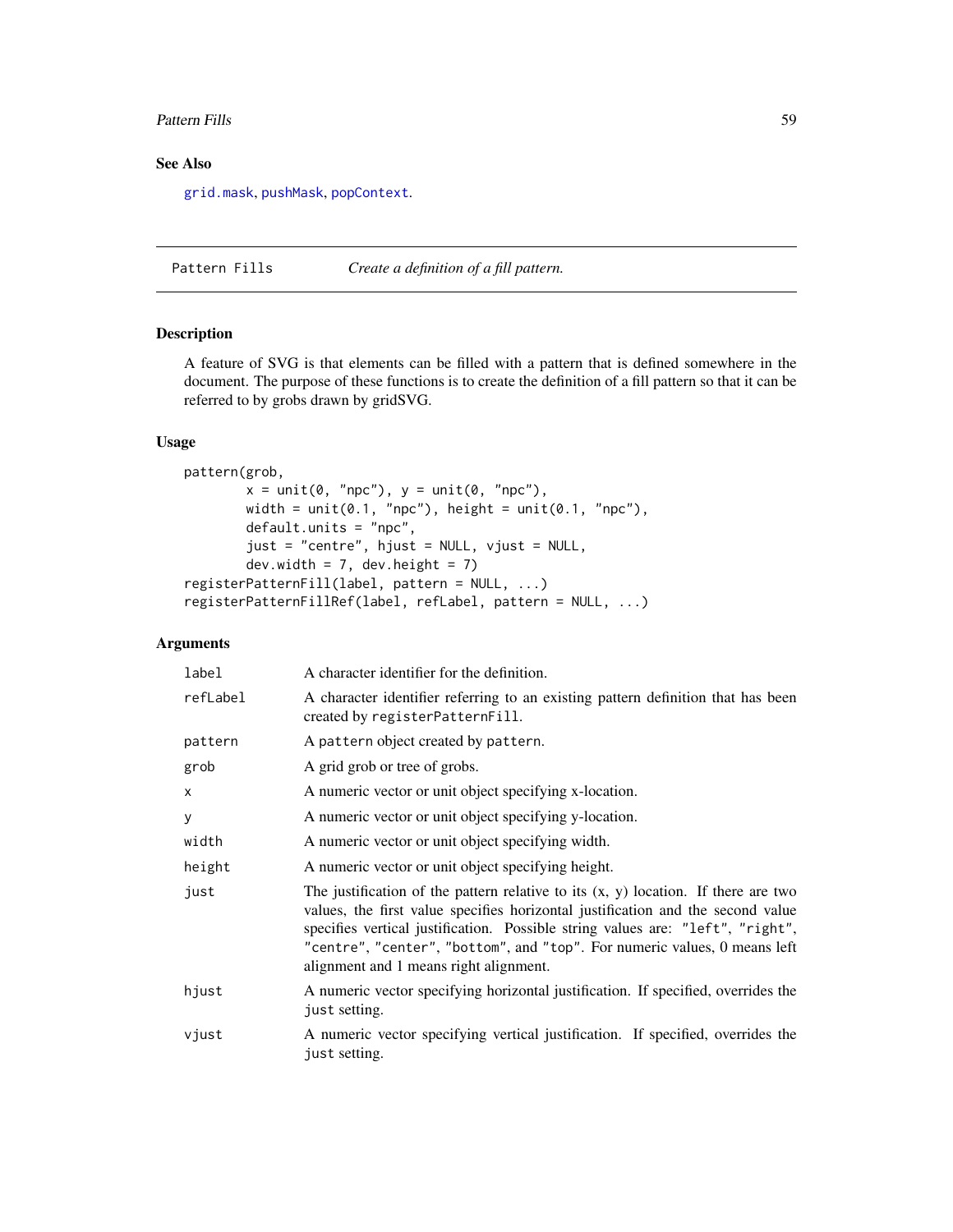#### <span id="page-58-0"></span>Pattern Fills 59

# See Also

[grid.mask](#page-48-1), [pushMask](#page-62-1), [popContext](#page-59-1).

Pattern Fills *Create a definition of a fill pattern.*

# <span id="page-58-1"></span>Description

A feature of SVG is that elements can be filled with a pattern that is defined somewhere in the document. The purpose of these functions is to create the definition of a fill pattern so that it can be referred to by grobs drawn by gridSVG.

# Usage

```
pattern(grob,
        x = unit(0, "npc"), y = unit(0, "npc"),width = unit(0.1, 'npc"), height = unit(0.1, 'npc"),
        default.units = "npc",
        just = "centre", hjust = NULL, vjust = NULL,
        dev.width = 7, dev.height = 7)
registerPatternFill(label, pattern = NULL, ...)
registerPatternFillRef(label, refLabel, pattern = NULL, ...)
```

| label    | A character identifier for the definition.                                                                                                                                                                                                                                                                                                                                       |
|----------|----------------------------------------------------------------------------------------------------------------------------------------------------------------------------------------------------------------------------------------------------------------------------------------------------------------------------------------------------------------------------------|
| refLabel | A character identifier referring to an existing pattern definition that has been<br>created by registerPatternFill.                                                                                                                                                                                                                                                              |
| pattern  | A pattern object created by pattern.                                                                                                                                                                                                                                                                                                                                             |
| grob     | A grid grob or tree of grobs.                                                                                                                                                                                                                                                                                                                                                    |
| X        | A numeric vector or unit object specifying x-location.                                                                                                                                                                                                                                                                                                                           |
| У        | A numeric vector or unit object specifying y-location.                                                                                                                                                                                                                                                                                                                           |
| width    | A numeric vector or unit object specifying width.                                                                                                                                                                                                                                                                                                                                |
| height   | A numeric vector or unit object specifying height.                                                                                                                                                                                                                                                                                                                               |
| just     | The justification of the pattern relative to its $(x, y)$ location. If there are two<br>values, the first value specifies horizontal justification and the second value<br>specifies vertical justification. Possible string values are: "left", "right",<br>"centre", "center", "bottom", and "top". For numeric values, 0 means left<br>alignment and 1 means right alignment. |
| hjust    | A numeric vector specifying horizontal justification. If specified, overrides the<br>just setting.                                                                                                                                                                                                                                                                               |
| vjust    | A numeric vector specifying vertical justification. If specified, overrides the<br>just setting.                                                                                                                                                                                                                                                                                 |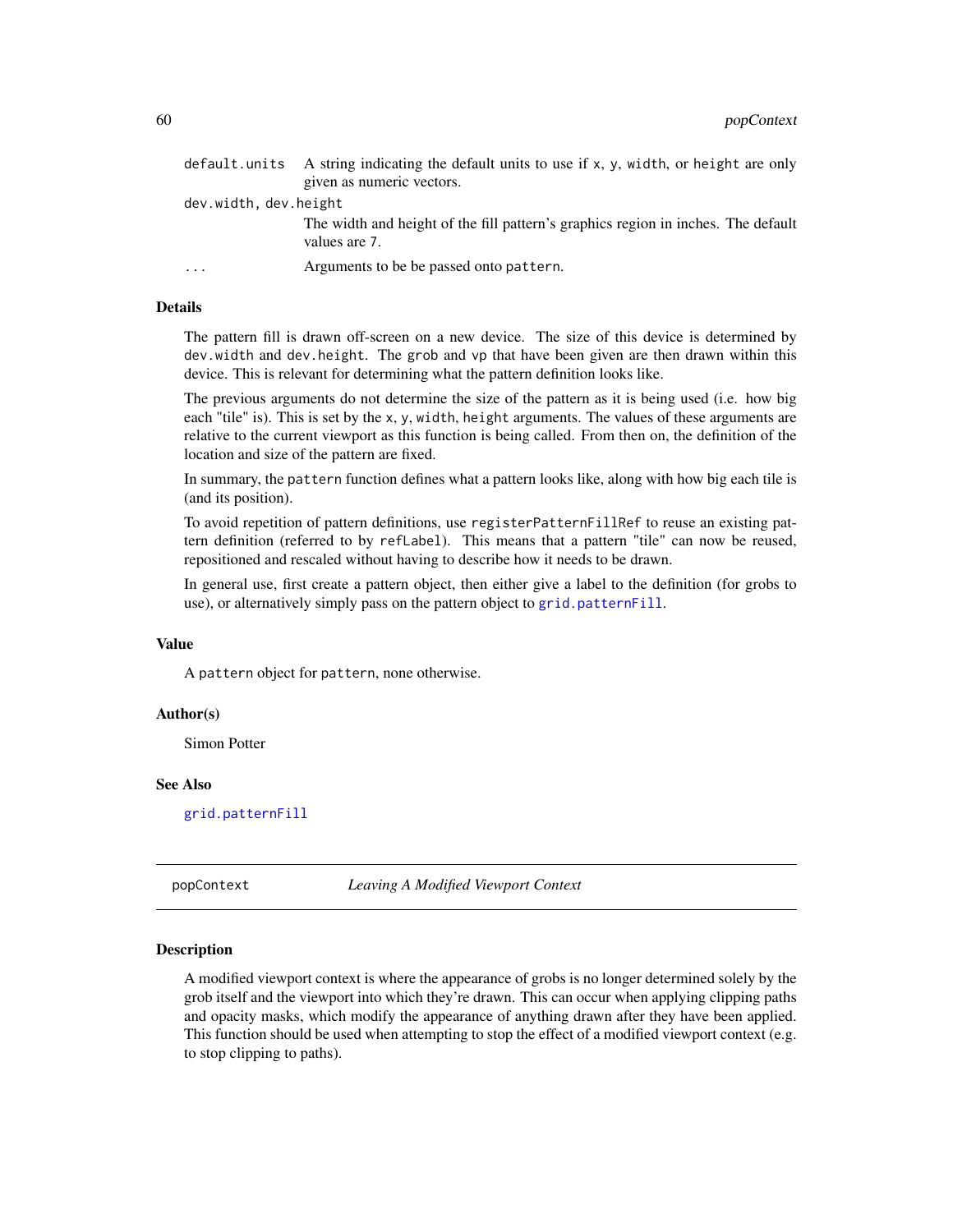<span id="page-59-0"></span>

|                       | default units A string indicating the default units to use if $x$ , $y$ , width, or height are only |
|-----------------------|-----------------------------------------------------------------------------------------------------|
|                       | given as numeric vectors.                                                                           |
| dev.width, dev.height |                                                                                                     |
|                       | The width and height of the fill pattern's graphics region in inches. The default<br>values are 7.  |
| .                     | Arguments to be be passed onto pattern.                                                             |

# Details

The pattern fill is drawn off-screen on a new device. The size of this device is determined by dev.width and dev.height. The grob and vp that have been given are then drawn within this device. This is relevant for determining what the pattern definition looks like.

The previous arguments do not determine the size of the pattern as it is being used (i.e. how big each "tile" is). This is set by the x, y, width, height arguments. The values of these arguments are relative to the current viewport as this function is being called. From then on, the definition of the location and size of the pattern are fixed.

In summary, the pattern function defines what a pattern looks like, along with how big each tile is (and its position).

To avoid repetition of pattern definitions, use registerPatternFillRef to reuse an existing pattern definition (referred to by refLabel). This means that a pattern "tile" can now be reused, repositioned and rescaled without having to describe how it needs to be drawn.

In general use, first create a pattern object, then either give a label to the definition (for grobs to use), or alternatively simply pass on the pattern object to [grid.patternFill](#page-49-1).

#### Value

A pattern object for pattern, none otherwise.

#### Author(s)

Simon Potter

#### See Also

[grid.patternFill](#page-49-1)

<span id="page-59-1"></span>popContext *Leaving A Modified Viewport Context*

#### Description

A modified viewport context is where the appearance of grobs is no longer determined solely by the grob itself and the viewport into which they're drawn. This can occur when applying clipping paths and opacity masks, which modify the appearance of anything drawn after they have been applied. This function should be used when attempting to stop the effect of a modified viewport context (e.g. to stop clipping to paths).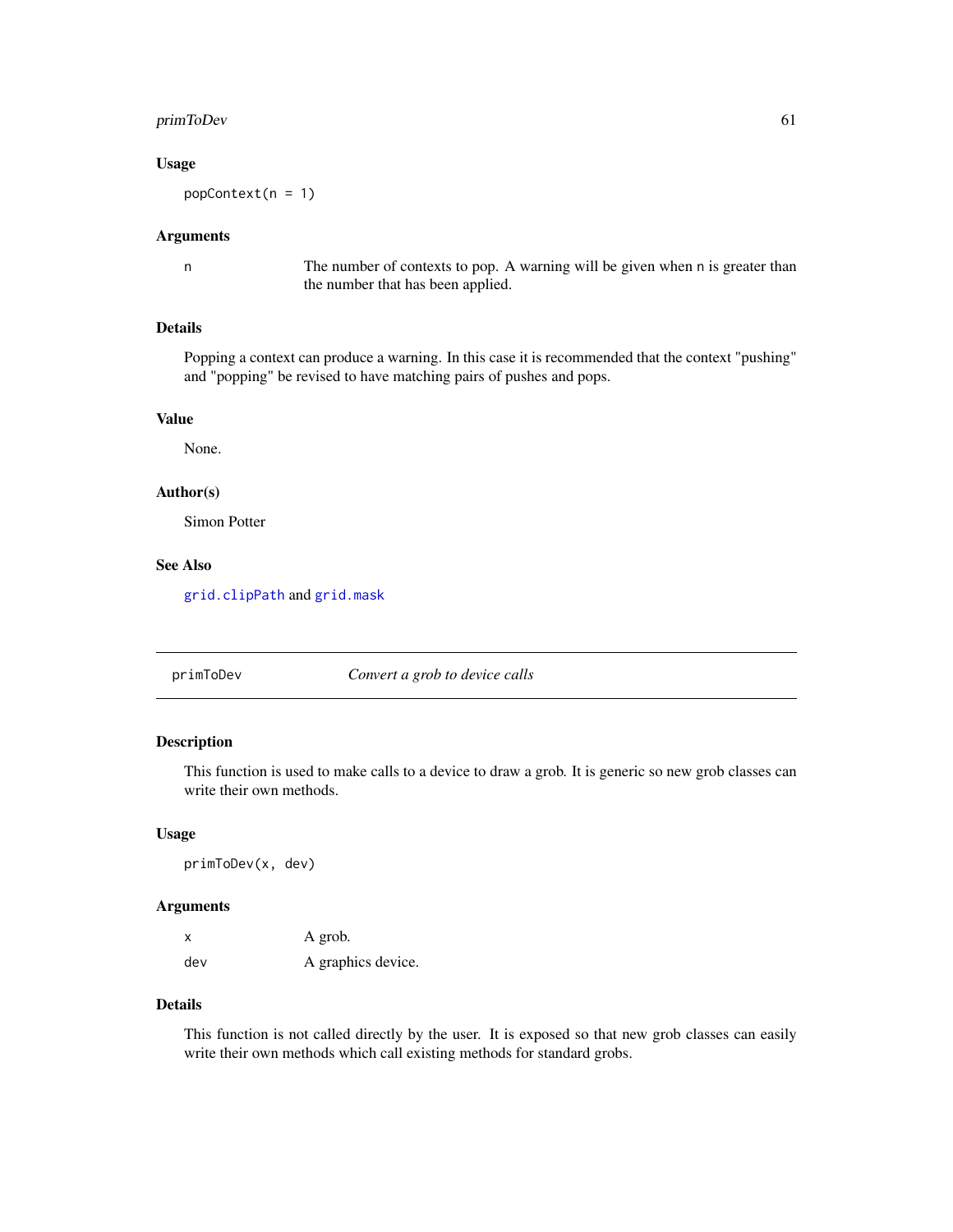# <span id="page-60-0"></span>primToDev 61

#### Usage

 $popContext(n = 1)$ 

#### Arguments

n The number of contexts to pop. A warning will be given when n is greater than the number that has been applied.

# Details

Popping a context can produce a warning. In this case it is recommended that the context "pushing" and "popping" be revised to have matching pairs of pushes and pops.

# Value

None.

#### Author(s)

Simon Potter

# See Also

[grid.clipPath](#page-37-1) and [grid.mask](#page-48-1)

primToDev *Convert a grob to device calls*

#### Description

This function is used to make calls to a device to draw a grob. It is generic so new grob classes can write their own methods.

#### Usage

primToDev(x, dev)

# Arguments

|     | A grob.            |
|-----|--------------------|
| dev | A graphics device. |

# Details

This function is not called directly by the user. It is exposed so that new grob classes can easily write their own methods which call existing methods for standard grobs.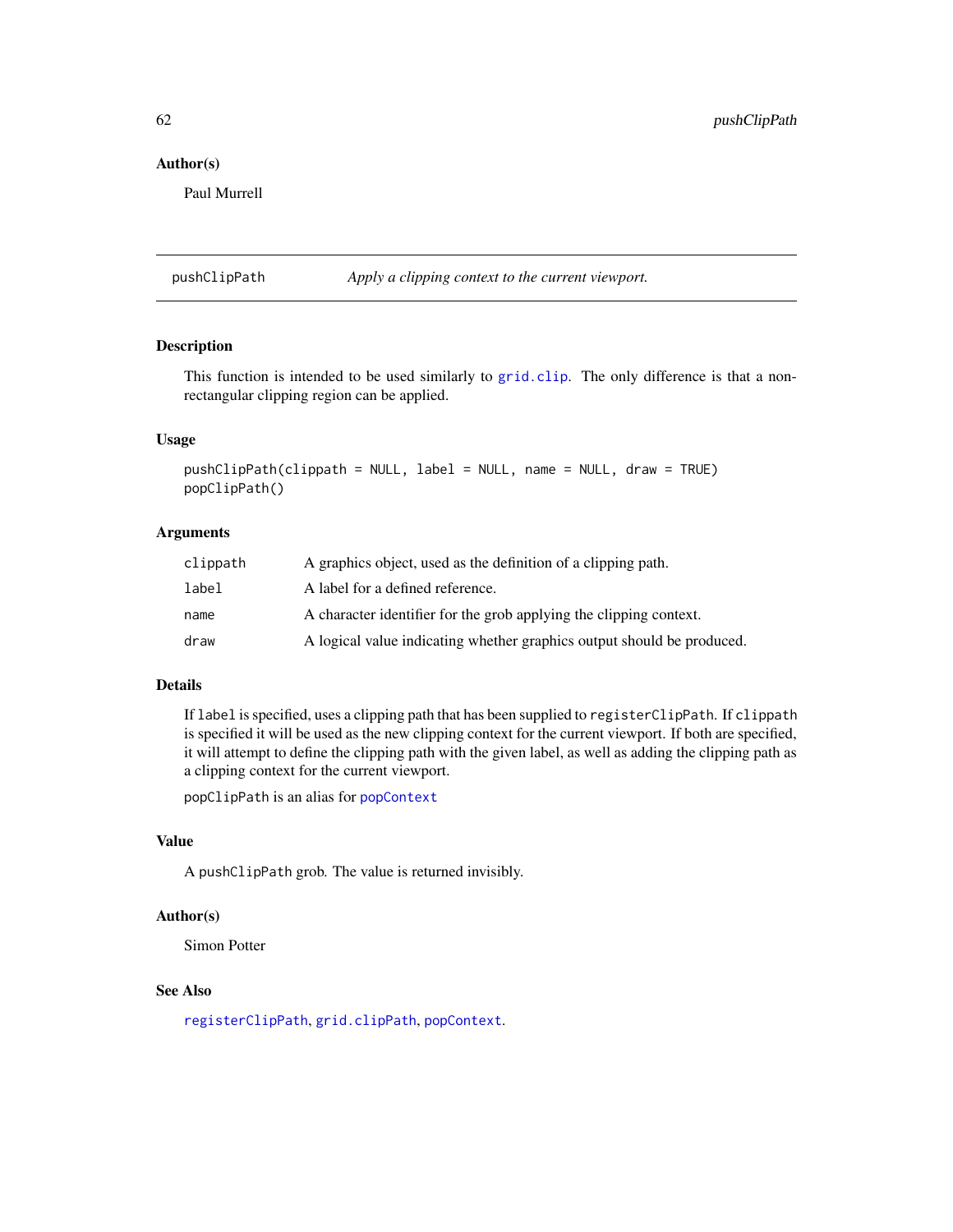#### Author(s)

Paul Murrell

<span id="page-61-1"></span>pushClipPath *Apply a clipping context to the current viewport.*

# Description

This function is intended to be used similarly to [grid.clip](#page-0-0). The only difference is that a nonrectangular clipping region can be applied.

#### Usage

```
pushClipPath(clippath = NULL, label = NULL, name = NULL, draw = TRUE)
popClipPath()
```
#### Arguments

| clippath | A graphics object, used as the definition of a clipping path.          |
|----------|------------------------------------------------------------------------|
| label    | A label for a defined reference.                                       |
| name     | A character identifier for the grob applying the clipping context.     |
| draw     | A logical value indicating whether graphics output should be produced. |

# Details

If label is specified, uses a clipping path that has been supplied to registerClipPath. If clippath is specified it will be used as the new clipping context for the current viewport. If both are specified, it will attempt to define the clipping path with the given label, as well as adding the clipping path as a clipping context for the current viewport.

popClipPath is an alias for [popContext](#page-59-1)

# Value

A pushClipPath grob. The value is returned invisibly.

# Author(s)

Simon Potter

#### See Also

[registerClipPath](#page-4-1), [grid.clipPath](#page-37-1), [popContext](#page-59-1).

<span id="page-61-0"></span>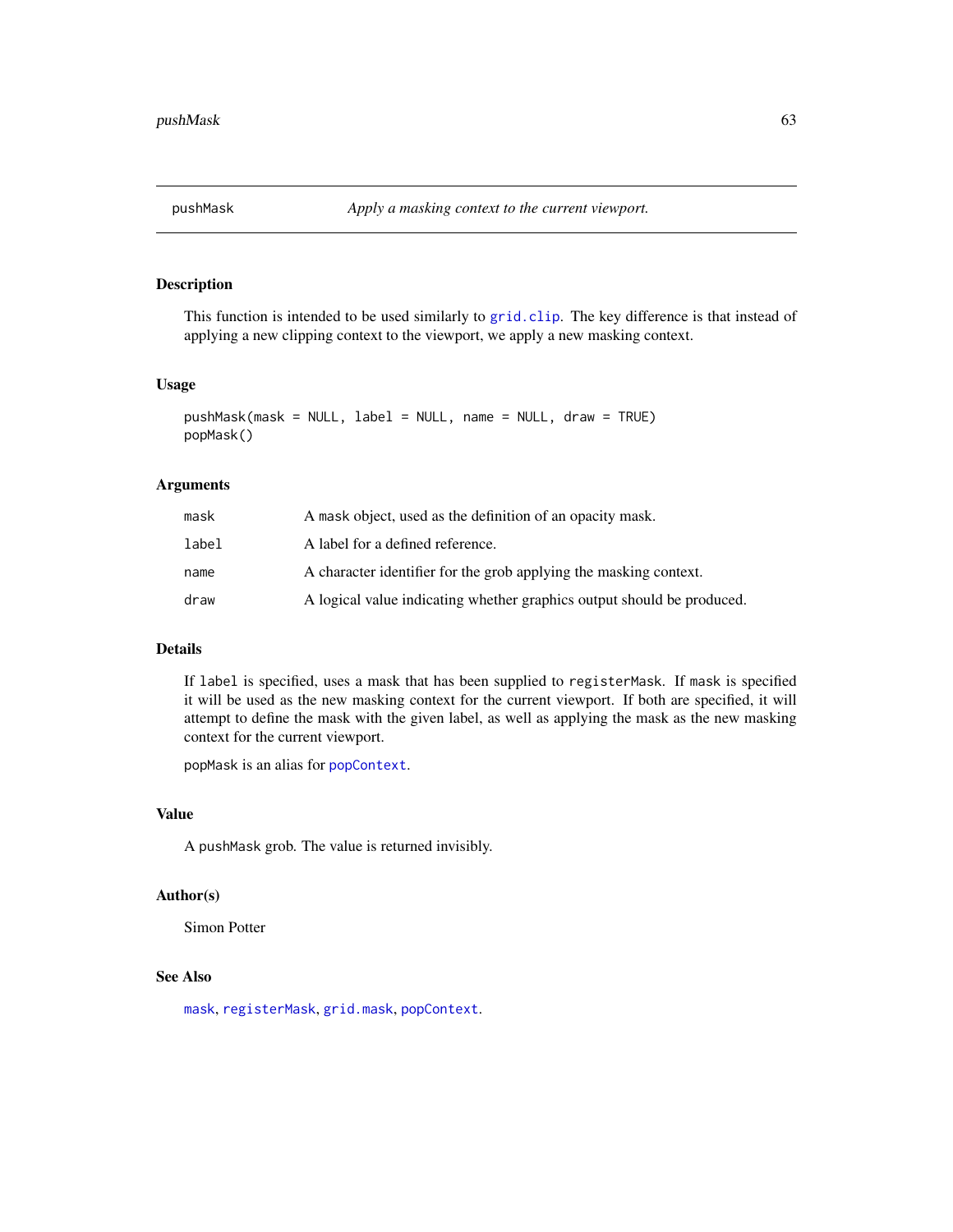<span id="page-62-1"></span><span id="page-62-0"></span>

This function is intended to be used similarly to [grid.clip](#page-0-0). The key difference is that instead of applying a new clipping context to the viewport, we apply a new masking context.

# Usage

```
pushMask(mask = NULL, label = NULL, name = NULL, draw = TRUE)
popMask()
```
#### Arguments

| mask  | A mask object, used as the definition of an opacity mask.              |
|-------|------------------------------------------------------------------------|
| label | A label for a defined reference.                                       |
| name  | A character identifier for the grob applying the masking context.      |
| draw  | A logical value indicating whether graphics output should be produced. |

# Details

If label is specified, uses a mask that has been supplied to registerMask. If mask is specified it will be used as the new masking context for the current viewport. If both are specified, it will attempt to define the mask with the given label, as well as applying the mask as the new masking context for the current viewport.

popMask is an alias for [popContext](#page-59-1).

# Value

A pushMask grob. The value is returned invisibly.

#### Author(s)

Simon Potter

#### See Also

[mask](#page-56-1), [registerMask](#page-56-1), [grid.mask](#page-48-1), [popContext](#page-59-1).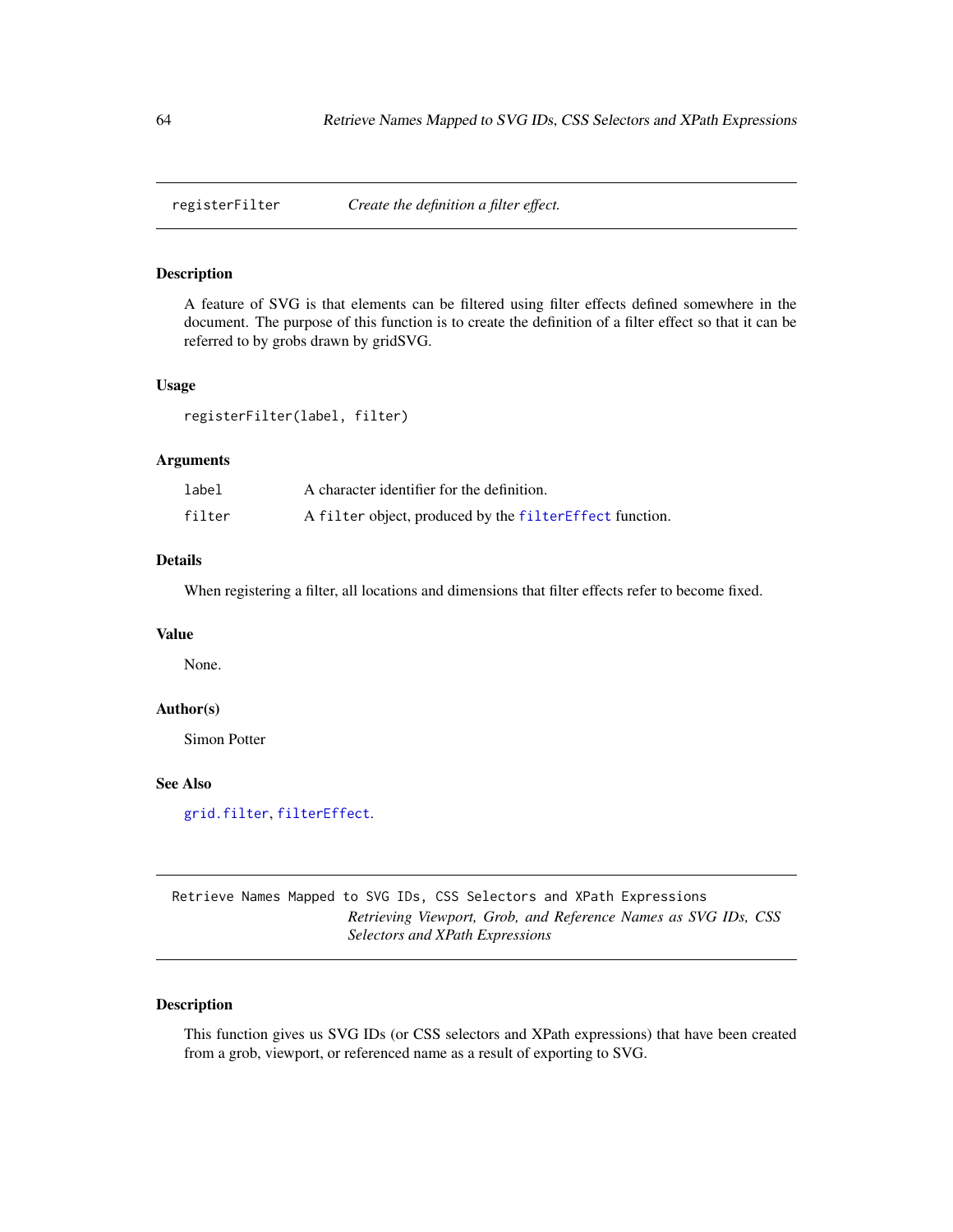<span id="page-63-1"></span><span id="page-63-0"></span>

A feature of SVG is that elements can be filtered using filter effects defined somewhere in the document. The purpose of this function is to create the definition of a filter effect so that it can be referred to by grobs drawn by gridSVG.

#### Usage

registerFilter(label, filter)

# Arguments

| label  | A character identifier for the definition.              |
|--------|---------------------------------------------------------|
| filter | A filter object, produced by the filterEffect function. |

# Details

When registering a filter, all locations and dimensions that filter effects refer to become fixed.

# Value

None.

#### Author(s)

Simon Potter

#### See Also

[grid.filter](#page-43-1), [filterEffect](#page-31-1).

Retrieve Names Mapped to SVG IDs, CSS Selectors and XPath Expressions *Retrieving Viewport, Grob, and Reference Names as SVG IDs, CSS Selectors and XPath Expressions*

#### <span id="page-63-2"></span>Description

This function gives us SVG IDs (or CSS selectors and XPath expressions) that have been created from a grob, viewport, or referenced name as a result of exporting to SVG.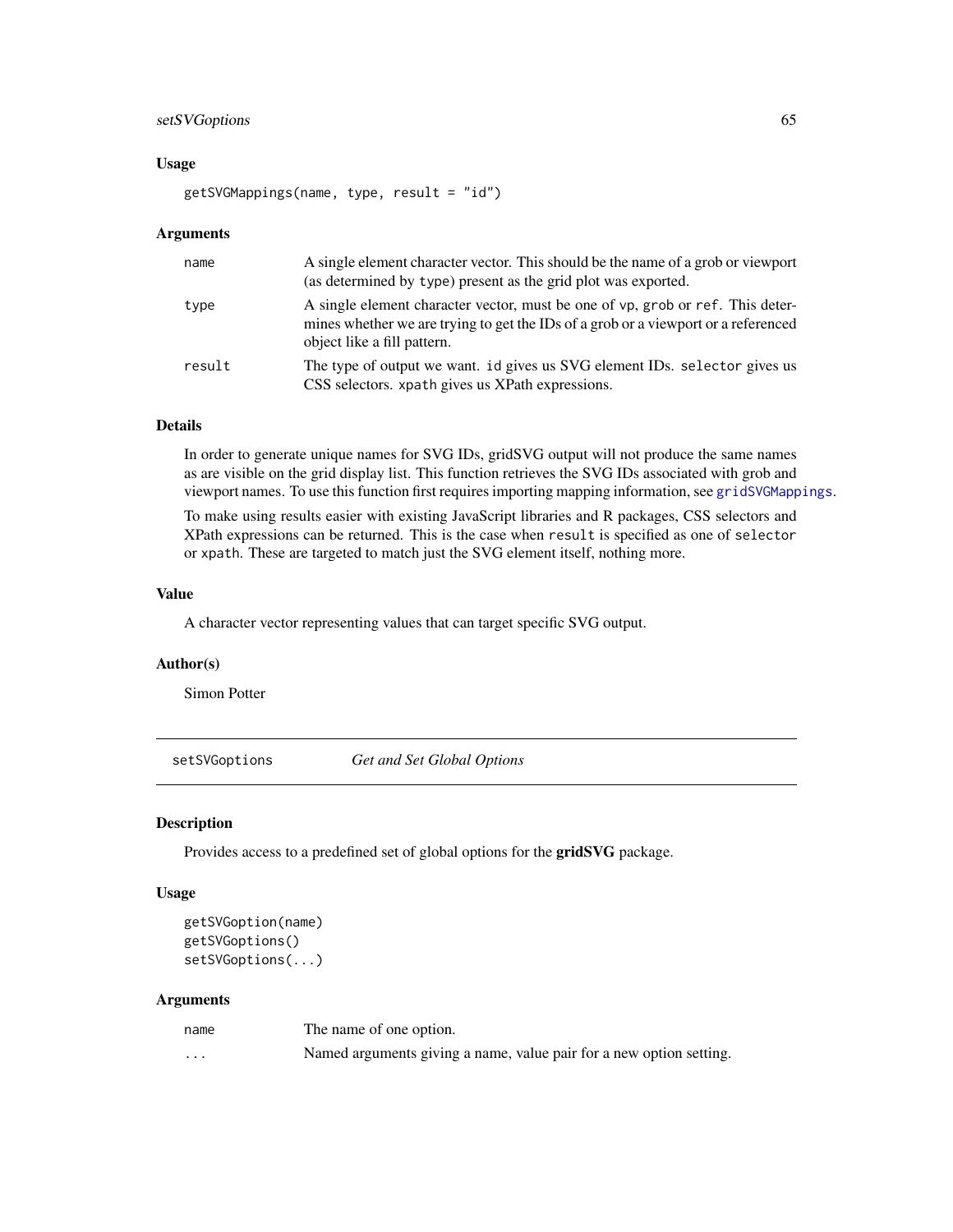# <span id="page-64-0"></span>setSVGoptions 65

#### Usage

getSVGMappings(name, type, result = "id")

#### **Arguments**

| name   | A single element character vector. This should be the name of a grob or viewport<br>(as determined by type) present as the grid plot was exported.                                                  |
|--------|-----------------------------------------------------------------------------------------------------------------------------------------------------------------------------------------------------|
| type   | A single element character vector, must be one of vp, grob or ref. This deter-<br>mines whether we are trying to get the IDs of a grob or a viewport or a referenced<br>object like a fill pattern. |
| result | The type of output we want. id gives us SVG element IDs. selector gives us<br>CSS selectors. xpath gives us XPath expressions.                                                                      |

# Details

In order to generate unique names for SVG IDs, gridSVG output will not produce the same names as are visible on the grid display list. This function retrieves the SVG IDs associated with grob and viewport names. To use this function first requires importing mapping information, see [gridSVGMappings](#page-55-1).

To make using results easier with existing JavaScript libraries and R packages, CSS selectors and XPath expressions can be returned. This is the case when result is specified as one of selector or xpath. These are targeted to match just the SVG element itself, nothing more.

#### Value

A character vector representing values that can target specific SVG output.

#### Author(s)

Simon Potter

setSVGoptions *Get and Set Global Options*

#### Description

Provides access to a predefined set of global options for the gridSVG package.

# Usage

```
getSVGoption(name)
getSVGoptions()
setSVGoptions(...)
```

| name                    | The name of one option.                                             |
|-------------------------|---------------------------------------------------------------------|
| $\cdot$ $\cdot$ $\cdot$ | Named arguments giving a name, value pair for a new option setting. |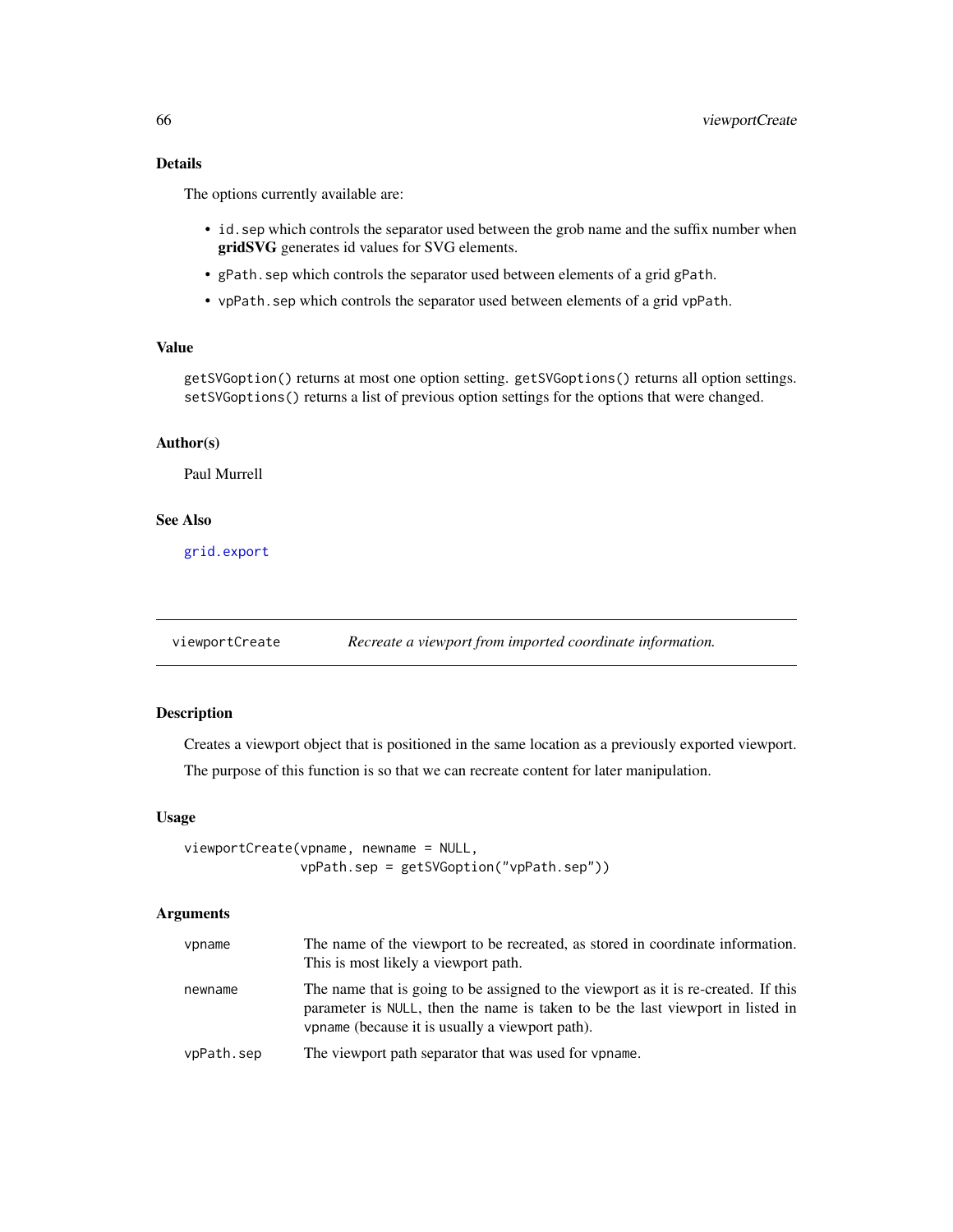# <span id="page-65-0"></span>Details

The options currently available are:

- id.sep which controls the separator used between the grob name and the suffix number when gridSVG generates id values for SVG elements.
- gPath.sep which controls the separator used between elements of a grid gPath.
- vpPath.sep which controls the separator used between elements of a grid vpPath.

# Value

getSVGoption() returns at most one option setting. getSVGoptions() returns all option settings. setSVGoptions() returns a list of previous option settings for the options that were changed.

#### Author(s)

Paul Murrell

# See Also

[grid.export](#page-40-1)

viewportCreate *Recreate a viewport from imported coordinate information.*

#### Description

Creates a viewport object that is positioned in the same location as a previously exported viewport.

The purpose of this function is so that we can recreate content for later manipulation.

#### Usage

```
viewportCreate(vpname, newname = NULL,
               vpPath.sep = getSVGoption("vpPath.sep"))
```

| vpname     | The name of the viewport to be recreated, as stored in coordinate information.<br>This is most likely a viewport path.                                                                                                  |
|------------|-------------------------------------------------------------------------------------------------------------------------------------------------------------------------------------------------------------------------|
| newname    | The name that is going to be assigned to the viewport as it is re-created. If this<br>parameter is NULL, then the name is taken to be the last viewport in listed in<br>vpname (because it is usually a viewport path). |
| vpPath.sep | The viewport path separator that was used for vpname.                                                                                                                                                                   |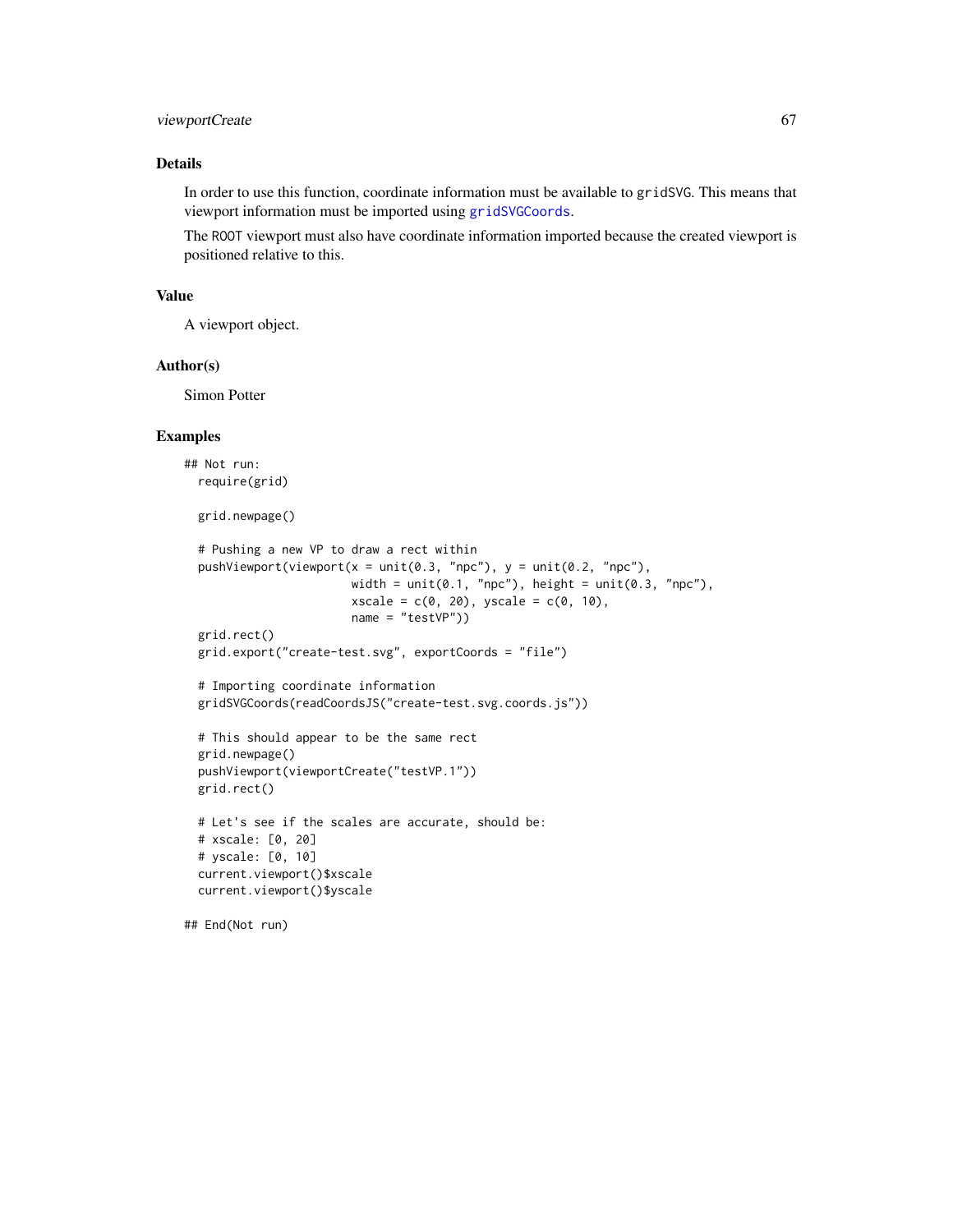# <span id="page-66-0"></span>viewportCreate 67

# Details

In order to use this function, coordinate information must be available to gridSVG. This means that viewport information must be imported using [gridSVGCoords](#page-6-1).

The ROOT viewport must also have coordinate information imported because the created viewport is positioned relative to this.

#### Value

A viewport object.

#### Author(s)

Simon Potter

# Examples

```
## Not run:
 require(grid)
 grid.newpage()
 # Pushing a new VP to draw a rect within
 pushViewport(viewport(x = unit(0.3, "npc"), y = unit(0.2, "npc"),
                        width = unit(0.1, "npc"), height = unit(0.3, "npc"),
                        xscale = c(0, 20), yscale = c(0, 10),name = "testVP"))
 grid.rect()
 grid.export("create-test.svg", exportCoords = "file")
 # Importing coordinate information
 gridSVGCoords(readCoordsJS("create-test.svg.coords.js"))
 # This should appear to be the same rect
 grid.newpage()
 pushViewport(viewportCreate("testVP.1"))
 grid.rect()
 # Let's see if the scales are accurate, should be:
 # xscale: [0, 20]
 # yscale: [0, 10]
 current.viewport()$xscale
 current.viewport()$yscale
## End(Not run)
```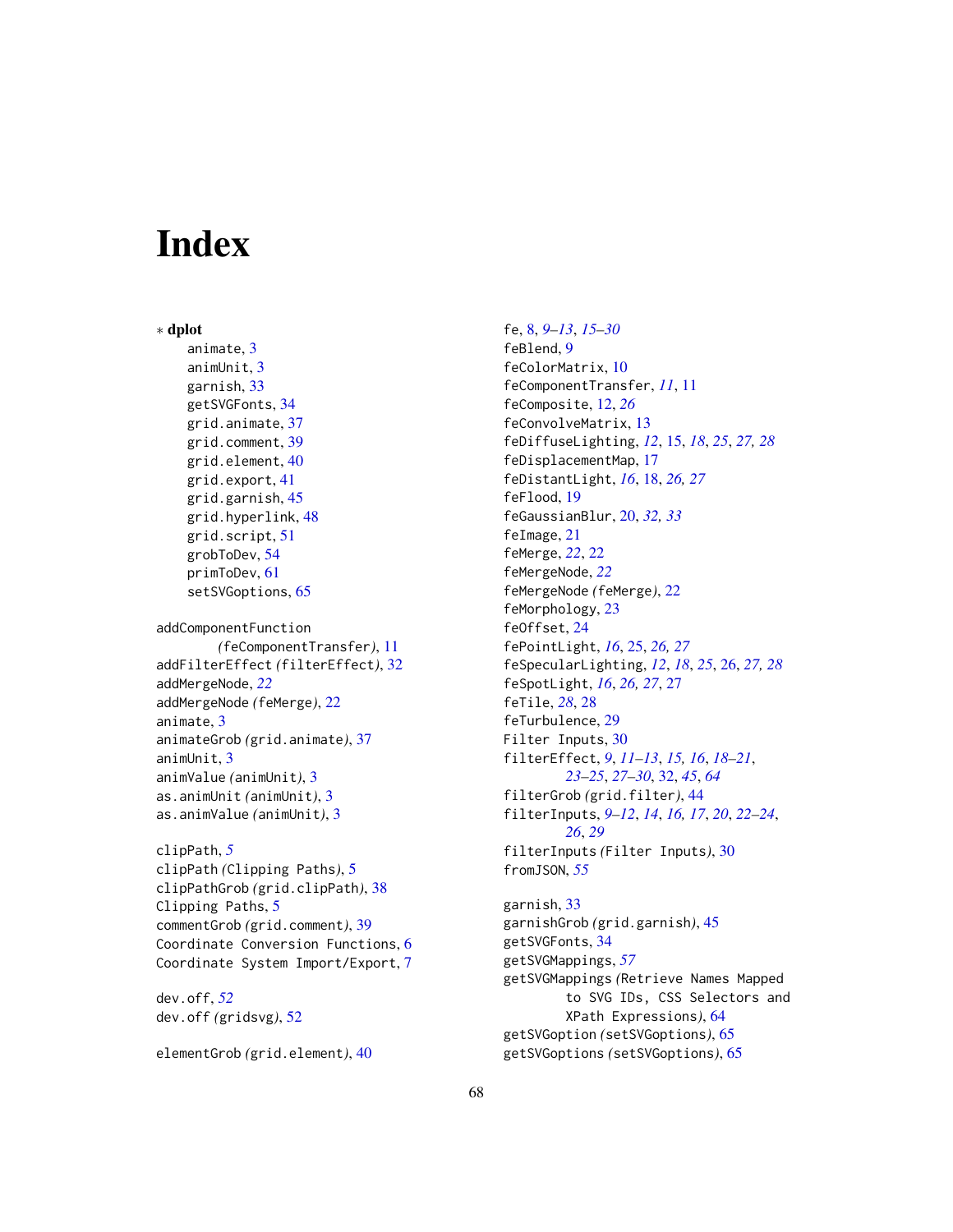# <span id="page-67-0"></span>**Index**

∗ dplot animate, [3](#page-2-0) animUnit, [3](#page-2-0) garnish, [33](#page-32-0) getSVGFonts, [34](#page-33-0) grid.animate, [37](#page-36-0) grid.comment, [39](#page-38-0) grid.element, [40](#page-39-0) grid.export, [41](#page-40-0) grid.garnish, [45](#page-44-0) grid.hyperlink, [48](#page-47-0) grid.script, [51](#page-50-0) grobToDev, [54](#page-53-0) primToDev, [61](#page-60-0) setSVGoptions, [65](#page-64-0) addComponentFunction *(*feComponentTransfer*)*, [11](#page-10-0) addFilterEffect *(*filterEffect*)*, [32](#page-31-0) addMergeNode, *[22](#page-21-0)* addMergeNode *(*feMerge*)*, [22](#page-21-0) animate, [3](#page-2-0) animateGrob *(*grid.animate*)*, [37](#page-36-0) animUnit, [3](#page-2-0) animValue *(*animUnit*)*, [3](#page-2-0) as.animUnit *(*animUnit*)*, [3](#page-2-0) as.animValue *(*animUnit*)*, [3](#page-2-0)

clipPath, *[5](#page-4-0)* clipPath *(*Clipping Paths*)*, [5](#page-4-0) clipPathGrob *(*grid.clipPath*)*, [38](#page-37-0) Clipping Paths, [5](#page-4-0) commentGrob *(*grid.comment*)*, [39](#page-38-0) Coordinate Conversion Functions, [6](#page-5-0) Coordinate System Import/Export, [7](#page-6-0)

dev.off, *[52](#page-51-0)* dev.off *(*gridsvg*)*, [52](#page-51-0)

elementGrob *(*grid.element*)*, [40](#page-39-0)

fe, [8,](#page-7-0) *[9–](#page-8-0)[13](#page-12-0)*, *[15](#page-14-0)[–30](#page-29-0)* feBlend, [9](#page-8-0) feColorMatrix, [10](#page-9-0) feComponentTransfer, *[11](#page-10-0)*, [11](#page-10-0) feComposite, [12,](#page-11-0) *[26](#page-25-0)* feConvolveMatrix, [13](#page-12-0) feDiffuseLighting, *[12](#page-11-0)*, [15,](#page-14-0) *[18](#page-17-0)*, *[25](#page-24-0)*, *[27,](#page-26-0) [28](#page-27-0)* feDisplacementMap, [17](#page-16-0) feDistantLight, *[16](#page-15-0)*, [18,](#page-17-0) *[26,](#page-25-0) [27](#page-26-0)* feFlood, [19](#page-18-0) feGaussianBlur, [20,](#page-19-0) *[32,](#page-31-0) [33](#page-32-0)* feImage, [21](#page-20-0) feMerge, *[22](#page-21-0)*, [22](#page-21-0) feMergeNode, *[22](#page-21-0)* feMergeNode *(*feMerge*)*, [22](#page-21-0) feMorphology, [23](#page-22-0) feOffset, [24](#page-23-0) fePointLight, *[16](#page-15-0)*, [25,](#page-24-0) *[26,](#page-25-0) [27](#page-26-0)* feSpecularLighting, *[12](#page-11-0)*, *[18](#page-17-0)*, *[25](#page-24-0)*, [26,](#page-25-0) *[27,](#page-26-0) [28](#page-27-0)* feSpotLight, *[16](#page-15-0)*, *[26,](#page-25-0) [27](#page-26-0)*, [27](#page-26-0) feTile, *[28](#page-27-0)*, [28](#page-27-0) feTurbulence, [29](#page-28-0) Filter Inputs, [30](#page-29-0) filterEffect, *[9](#page-8-0)*, *[11](#page-10-0)[–13](#page-12-0)*, *[15,](#page-14-0) [16](#page-15-0)*, *[18](#page-17-0)[–21](#page-20-0)*, *[23](#page-22-0)[–25](#page-24-0)*, *[27](#page-26-0)[–30](#page-29-0)*, [32,](#page-31-0) *[45](#page-44-0)*, *[64](#page-63-0)* filterGrob *(*grid.filter*)*, [44](#page-43-0) filterInputs, *[9](#page-8-0)[–12](#page-11-0)*, *[14](#page-13-0)*, *[16,](#page-15-0) [17](#page-16-0)*, *[20](#page-19-0)*, *[22](#page-21-0)[–24](#page-23-0)*, *[26](#page-25-0)*, *[29](#page-28-0)* filterInputs *(*Filter Inputs*)*, [30](#page-29-0) fromJSON, *[55](#page-54-0)* garnish, [33](#page-32-0)

garnishGrob *(*grid.garnish*)*, [45](#page-44-0) getSVGFonts, [34](#page-33-0) getSVGMappings, *[57](#page-56-0)* getSVGMappings *(*Retrieve Names Mapped to SVG IDs, CSS Selectors and XPath Expressions*)*, [64](#page-63-0) getSVGoption *(*setSVGoptions*)*, [65](#page-64-0) getSVGoptions *(*setSVGoptions*)*, [65](#page-64-0)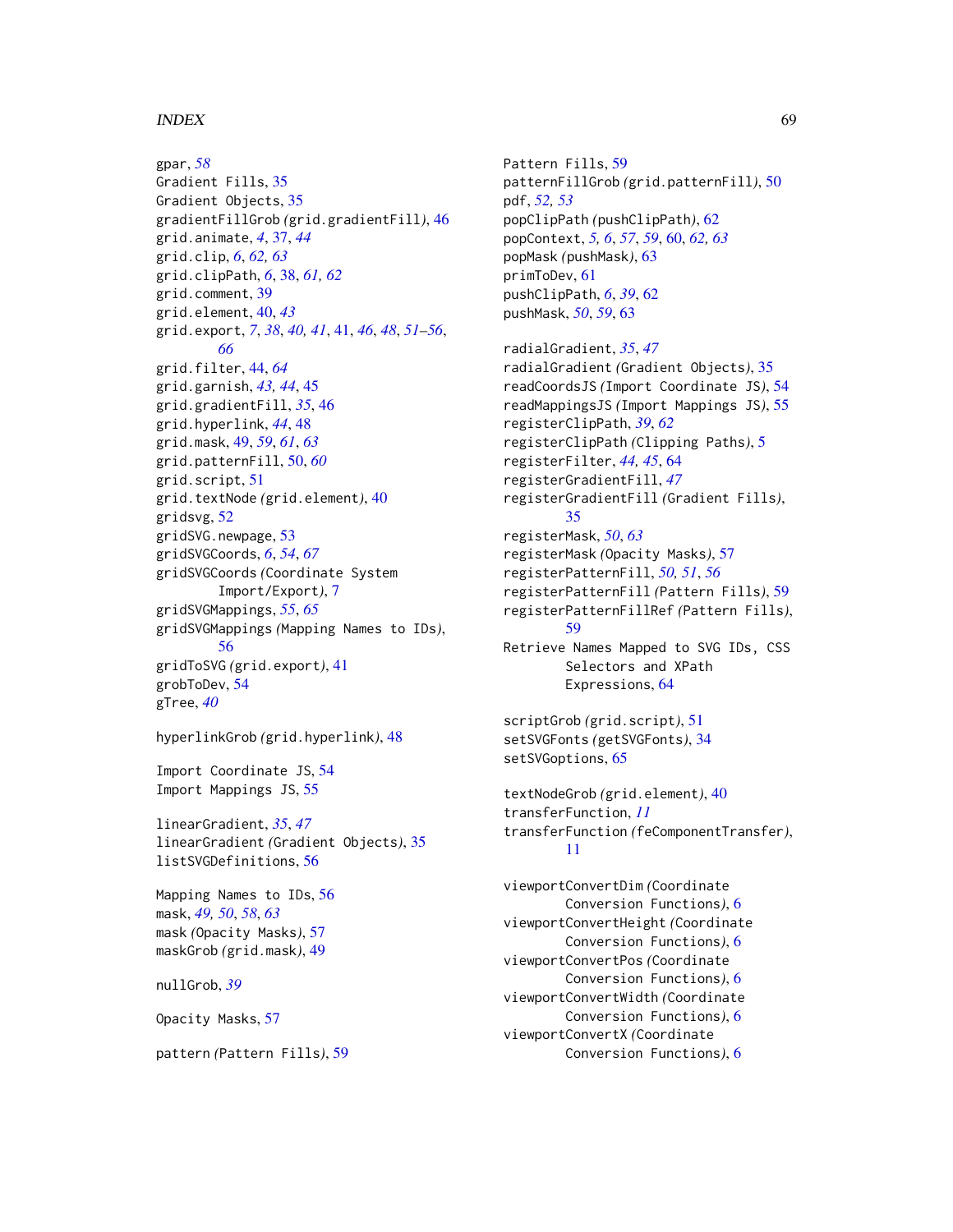#### $I$ NDEX 69

gpar, *[58](#page-57-0)* Gradient Fills, [35](#page-34-0) Gradient Objects, [35](#page-34-0) gradientFillGrob *(*grid.gradientFill*)*, [46](#page-45-0) grid.animate, *[4](#page-3-0)*, [37,](#page-36-0) *[44](#page-43-0)* grid.clip, *[6](#page-5-0)*, *[62,](#page-61-0) [63](#page-62-0)* grid.clipPath, *[6](#page-5-0)*, [38,](#page-37-0) *[61,](#page-60-0) [62](#page-61-0)* grid.comment, [39](#page-38-0) grid.element, [40,](#page-39-0) *[43](#page-42-0)* grid.export, *[7](#page-6-0)*, *[38](#page-37-0)*, *[40,](#page-39-0) [41](#page-40-0)*, [41,](#page-40-0) *[46](#page-45-0)*, *[48](#page-47-0)*, *[51–](#page-50-0)[56](#page-55-0)*, *[66](#page-65-0)* grid.filter, [44,](#page-43-0) *[64](#page-63-0)* grid.garnish, *[43,](#page-42-0) [44](#page-43-0)*, [45](#page-44-0) grid.gradientFill, *[35](#page-34-0)*, [46](#page-45-0) grid.hyperlink, *[44](#page-43-0)*, [48](#page-47-0) grid.mask, [49,](#page-48-0) *[59](#page-58-0)*, *[61](#page-60-0)*, *[63](#page-62-0)* grid.patternFill, [50,](#page-49-0) *[60](#page-59-0)* grid.script, [51](#page-50-0) grid.textNode *(*grid.element*)*, [40](#page-39-0) gridsvg, [52](#page-51-0) gridSVG.newpage, [53](#page-52-0) gridSVGCoords, *[6](#page-5-0)*, *[54](#page-53-0)*, *[67](#page-66-0)* gridSVGCoords *(*Coordinate System Import/Export*)*, [7](#page-6-0) gridSVGMappings, *[55](#page-54-0)*, *[65](#page-64-0)* gridSVGMappings *(*Mapping Names to IDs*)*, [56](#page-55-0) gridToSVG *(*grid.export*)*, [41](#page-40-0) grobToDev, [54](#page-53-0) gTree, *[40](#page-39-0)*

hyperlinkGrob *(*grid.hyperlink*)*, [48](#page-47-0)

Import Coordinate JS, [54](#page-53-0) Import Mappings JS, [55](#page-54-0)

linearGradient, *[35](#page-34-0)*, *[47](#page-46-0)* linearGradient *(*Gradient Objects*)*, [35](#page-34-0) listSVGDefinitions, [56](#page-55-0)

Mapping Names to IDs, [56](#page-55-0) mask, *[49,](#page-48-0) [50](#page-49-0)*, *[58](#page-57-0)*, *[63](#page-62-0)* mask *(*Opacity Masks*)*, [57](#page-56-0) maskGrob *(*grid.mask*)*, [49](#page-48-0)

nullGrob, *[39](#page-38-0)*

Opacity Masks, [57](#page-56-0)

pattern *(*Pattern Fills*)*, [59](#page-58-0)

Pattern Fills, [59](#page-58-0) patternFillGrob *(*grid.patternFill*)*, [50](#page-49-0) pdf, *[52,](#page-51-0) [53](#page-52-0)* popClipPath *(*pushClipPath*)*, [62](#page-61-0) popContext, *[5,](#page-4-0) [6](#page-5-0)*, *[57](#page-56-0)*, *[59](#page-58-0)*, [60,](#page-59-0) *[62,](#page-61-0) [63](#page-62-0)* popMask *(*pushMask*)*, [63](#page-62-0) primToDev, [61](#page-60-0) pushClipPath, *[6](#page-5-0)*, *[39](#page-38-0)*, [62](#page-61-0) pushMask, *[50](#page-49-0)*, *[59](#page-58-0)*, [63](#page-62-0)

radialGradient, *[35](#page-34-0)*, *[47](#page-46-0)* radialGradient *(*Gradient Objects*)*, [35](#page-34-0) readCoordsJS *(*Import Coordinate JS*)*, [54](#page-53-0) readMappingsJS *(*Import Mappings JS*)*, [55](#page-54-0) registerClipPath, *[39](#page-38-0)*, *[62](#page-61-0)* registerClipPath *(*Clipping Paths*)*, [5](#page-4-0) registerFilter, *[44,](#page-43-0) [45](#page-44-0)*, [64](#page-63-0) registerGradientFill, *[47](#page-46-0)* registerGradientFill *(*Gradient Fills*)*, [35](#page-34-0) registerMask, *[50](#page-49-0)*, *[63](#page-62-0)* registerMask *(*Opacity Masks*)*, [57](#page-56-0) registerPatternFill, *[50,](#page-49-0) [51](#page-50-0)*, *[56](#page-55-0)* registerPatternFill *(*Pattern Fills*)*, [59](#page-58-0) registerPatternFillRef *(*Pattern Fills*)*, [59](#page-58-0) Retrieve Names Mapped to SVG IDs, CSS Selectors and XPath Expressions, [64](#page-63-0)

```
scriptGrob (grid.script), 51
setSVGFonts (getSVGFonts), 34
setSVGoptions, 65
```

```
textNodeGrob (grid.element), 40
transferFunction, 11
transferFunction (feComponentTransfer),
        11
```
viewportConvertDim *(*Coordinate Conversion Functions*)*, [6](#page-5-0) viewportConvertHeight *(*Coordinate Conversion Functions*)*, [6](#page-5-0) viewportConvertPos *(*Coordinate Conversion Functions*)*, [6](#page-5-0) viewportConvertWidth *(*Coordinate Conversion Functions*)*, [6](#page-5-0) viewportConvertX *(*Coordinate Conversion Functions*)*, [6](#page-5-0)